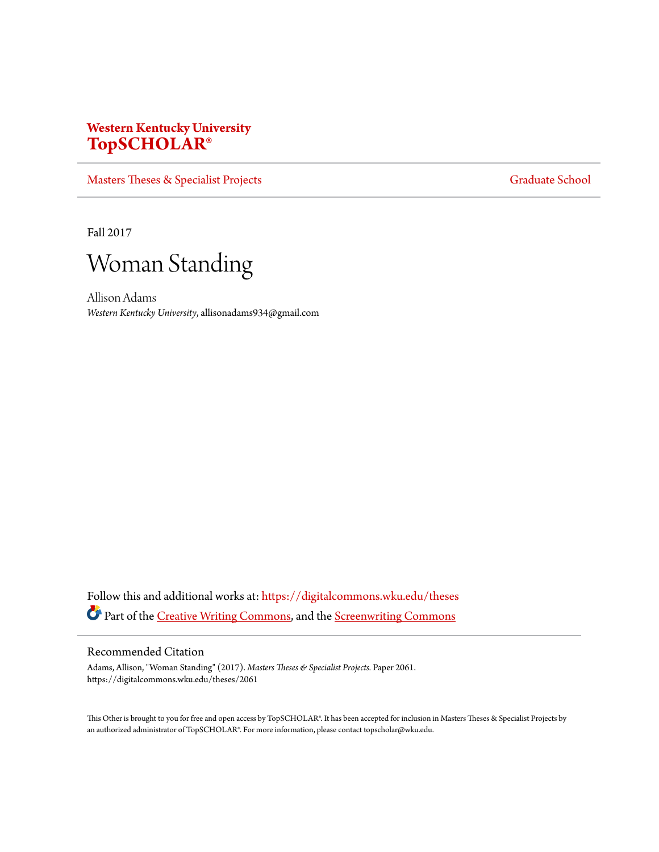# **Western Kentucky University [TopSCHOLAR®](https://digitalcommons.wku.edu?utm_source=digitalcommons.wku.edu%2Ftheses%2F2061&utm_medium=PDF&utm_campaign=PDFCoverPages)**

[Masters Theses & Specialist Projects](https://digitalcommons.wku.edu/theses?utm_source=digitalcommons.wku.edu%2Ftheses%2F2061&utm_medium=PDF&utm_campaign=PDFCoverPages) [Graduate School](https://digitalcommons.wku.edu/Graduate?utm_source=digitalcommons.wku.edu%2Ftheses%2F2061&utm_medium=PDF&utm_campaign=PDFCoverPages) Graduate School

Fall 2017



Allison Adams *Western Kentucky University*, allisonadams934@gmail.com

Follow this and additional works at: [https://digitalcommons.wku.edu/theses](https://digitalcommons.wku.edu/theses?utm_source=digitalcommons.wku.edu%2Ftheses%2F2061&utm_medium=PDF&utm_campaign=PDFCoverPages) Part of the [Creative Writing Commons](http://network.bepress.com/hgg/discipline/574?utm_source=digitalcommons.wku.edu%2Ftheses%2F2061&utm_medium=PDF&utm_campaign=PDFCoverPages), and the [Screenwriting Commons](http://network.bepress.com/hgg/discipline/1291?utm_source=digitalcommons.wku.edu%2Ftheses%2F2061&utm_medium=PDF&utm_campaign=PDFCoverPages)

# Recommended Citation

Adams, Allison, "Woman Standing" (2017). *Masters Theses & Specialist Projects.* Paper 2061. https://digitalcommons.wku.edu/theses/2061

This Other is brought to you for free and open access by TopSCHOLAR®. It has been accepted for inclusion in Masters Theses & Specialist Projects by an authorized administrator of TopSCHOLAR®. For more information, please contact topscholar@wku.edu.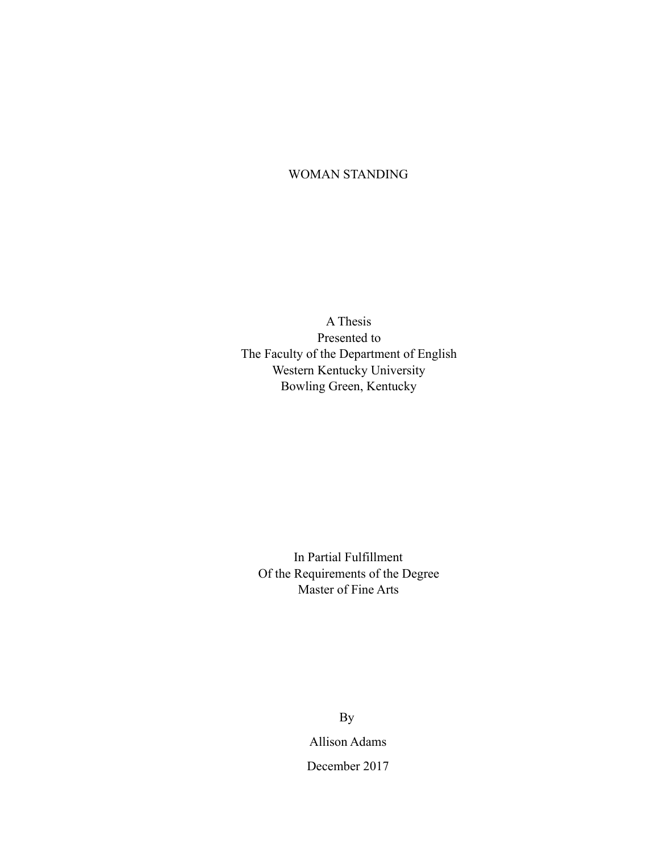# WOMAN STANDING

A Thesis Presented to The Faculty of the Department of English Western Kentucky University Bowling Green, Kentucky

In Partial Fulfillment Of the Requirements of the Degree Master of Fine Arts

> Allison Adams December 2017 By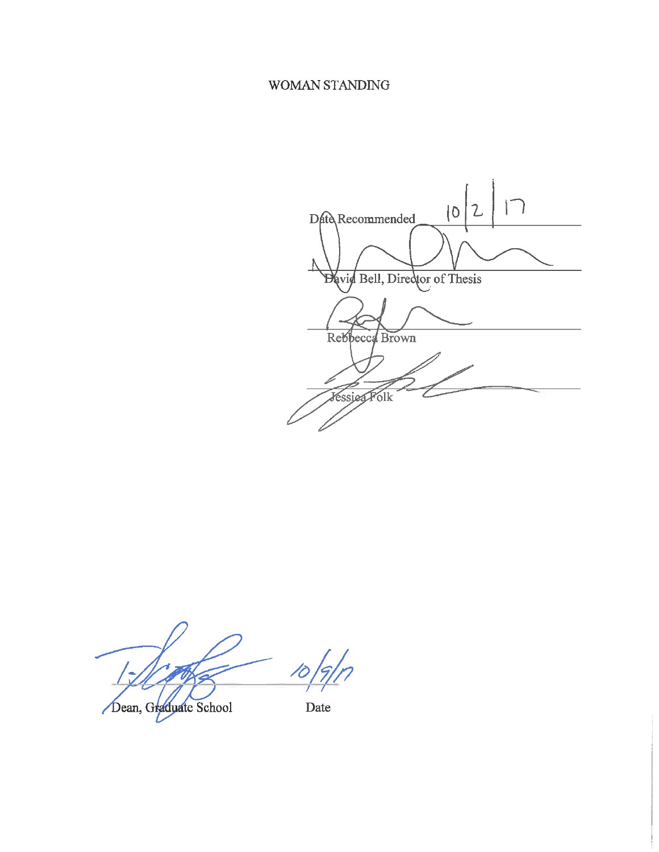# WOMAN STANDING

 $\Box$  $\mathcal{L}$  $|0$ Date Recommended David Bell, Director of Thesis Rebbecca Brown **Jessieg Folk** 

Dean, Graduate School

Date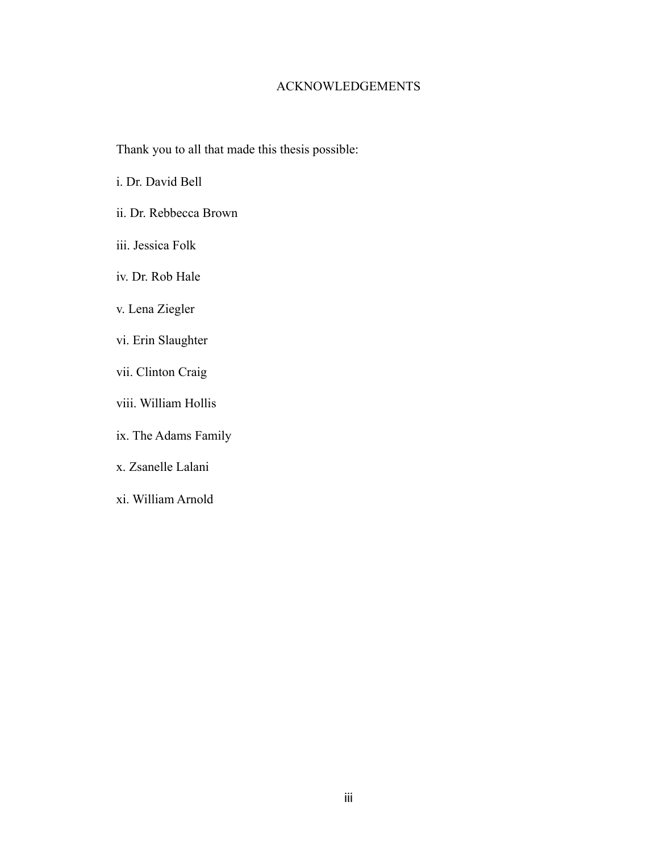# ACKNOWLEDGEMENTS

Thank you to all that made this thesis possible:

i. Dr. David Bell

- ii. Dr. Rebbecca Brown
- iii. Jessica Folk
- iv. Dr. Rob Hale
- v. Lena Ziegler
- vi. Erin Slaughter
- vii. Clinton Craig
- viii. William Hollis
- ix. The Adams Family
- x. Zsanelle Lalani
- xi. William Arnold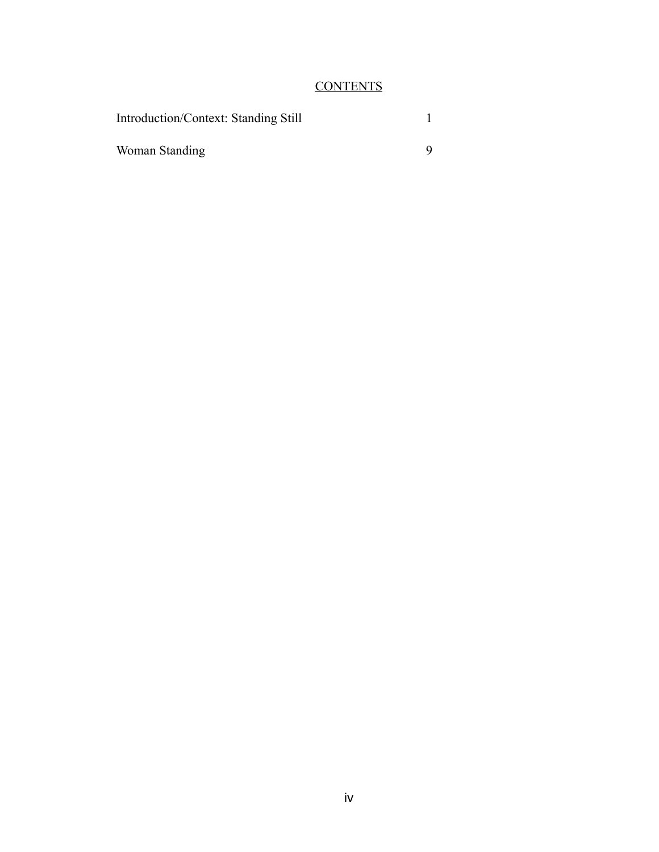# **CONTENTS**

| <b>Introduction/Context: Standing Still</b> |  |
|---------------------------------------------|--|
| Woman Standing                              |  |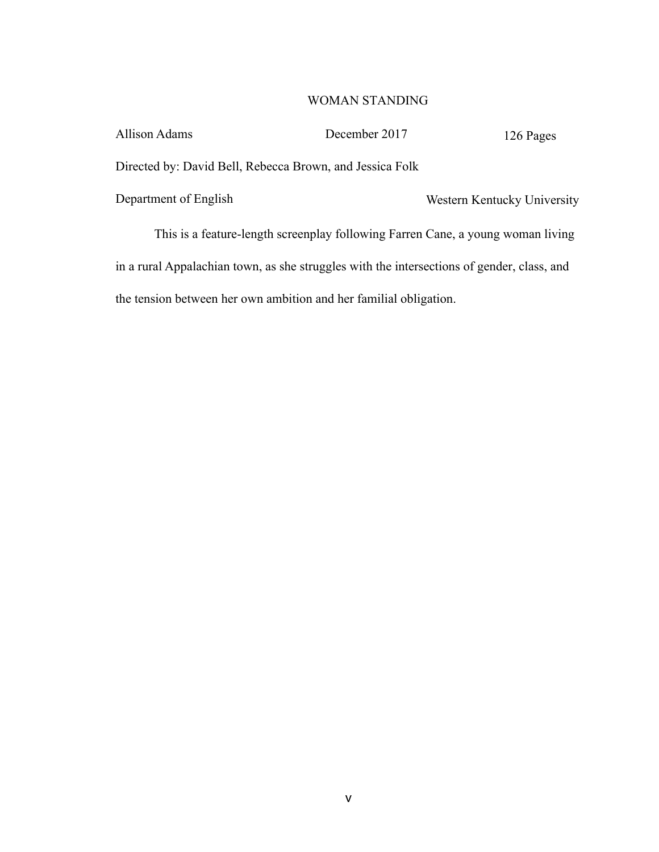# WOMAN STANDING

| <b>Allison Adams</b>                                                            | December 2017                                                                              | 126 Pages                   |  |
|---------------------------------------------------------------------------------|--------------------------------------------------------------------------------------------|-----------------------------|--|
| Directed by: David Bell, Rebecca Brown, and Jessica Folk                        |                                                                                            |                             |  |
| Department of English                                                           |                                                                                            | Western Kentucky University |  |
| This is a feature-length screenplay following Farren Cane, a young woman living |                                                                                            |                             |  |
|                                                                                 | in a rural Appalachian town, as she struggles with the intersections of gender, class, and |                             |  |

the tension between her own ambition and her familial obligation.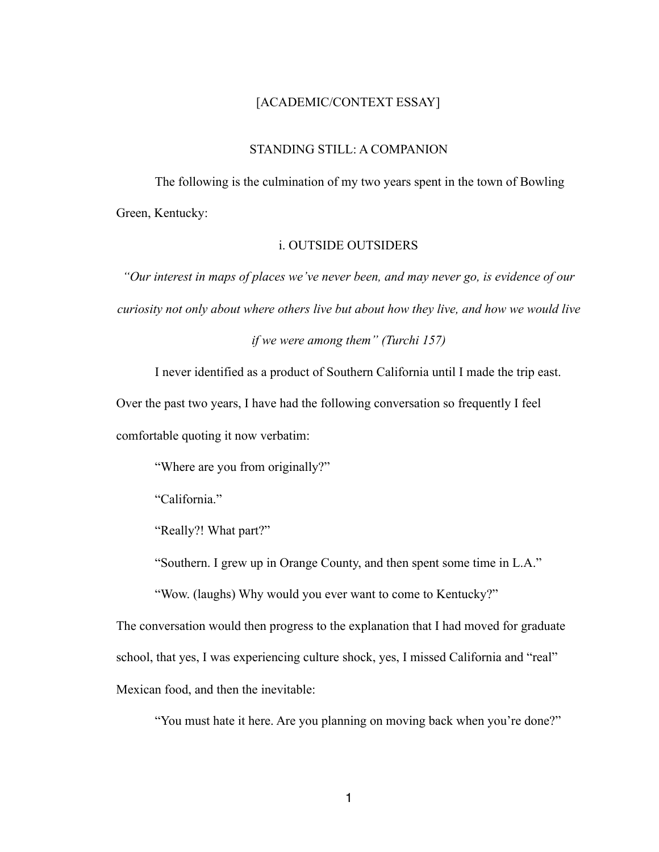# [ACADEMIC/CONTEXT ESSAY]

# STANDING STILL: A COMPANION

 The following is the culmination of my two years spent in the town of Bowling Green, Kentucky:

# i. OUTSIDE OUTSIDERS

*"Our interest in maps of places we've never been, and may never go, is evidence of our curiosity not only about where others live but about how they live, and how we would live* 

*if we were among them" (Turchi 157)* 

I never identified as a product of Southern California until I made the trip east.

Over the past two years, I have had the following conversation so frequently I feel comfortable quoting it now verbatim:

"Where are you from originally?"

"California."

"Really?! What part?"

"Southern. I grew up in Orange County, and then spent some time in L.A."

"Wow. (laughs) Why would you ever want to come to Kentucky?"

The conversation would then progress to the explanation that I had moved for graduate school, that yes, I was experiencing culture shock, yes, I missed California and "real" Mexican food, and then the inevitable:

"You must hate it here. Are you planning on moving back when you're done?"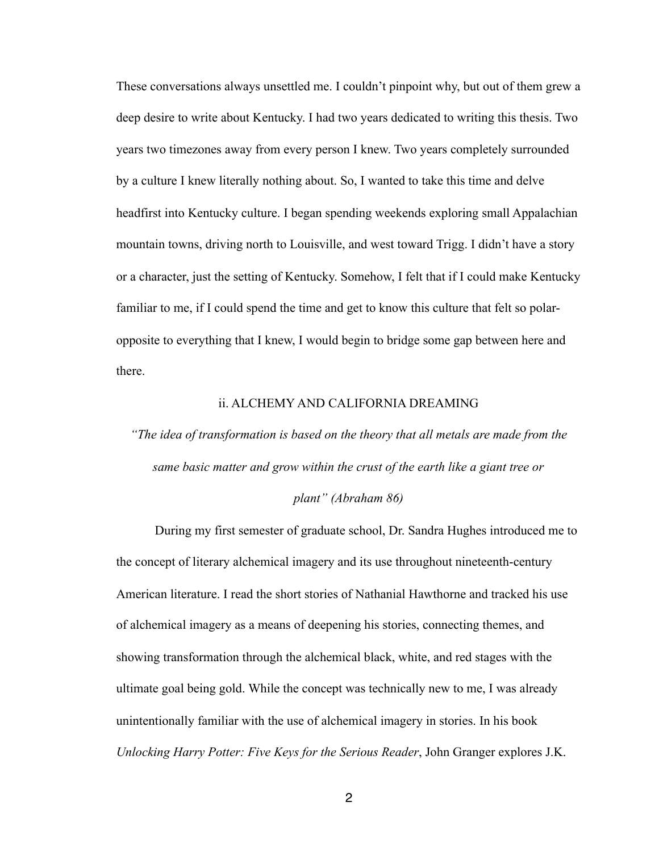These conversations always unsettled me. I couldn't pinpoint why, but out of them grew a deep desire to write about Kentucky. I had two years dedicated to writing this thesis. Two years two timezones away from every person I knew. Two years completely surrounded by a culture I knew literally nothing about. So, I wanted to take this time and delve headfirst into Kentucky culture. I began spending weekends exploring small Appalachian mountain towns, driving north to Louisville, and west toward Trigg. I didn't have a story or a character, just the setting of Kentucky. Somehow, I felt that if I could make Kentucky familiar to me, if I could spend the time and get to know this culture that felt so polaropposite to everything that I knew, I would begin to bridge some gap between here and there.

# ii. ALCHEMY AND CALIFORNIA DREAMING

*"The idea of transformation is based on the theory that all metals are made from the same basic matter and grow within the crust of the earth like a giant tree or* 

# *plant" (Abraham 86)*

 During my first semester of graduate school, Dr. Sandra Hughes introduced me to the concept of literary alchemical imagery and its use throughout nineteenth-century American literature. I read the short stories of Nathanial Hawthorne and tracked his use of alchemical imagery as a means of deepening his stories, connecting themes, and showing transformation through the alchemical black, white, and red stages with the ultimate goal being gold. While the concept was technically new to me, I was already unintentionally familiar with the use of alchemical imagery in stories. In his book *Unlocking Harry Potter: Five Keys for the Serious Reader*, John Granger explores J.K.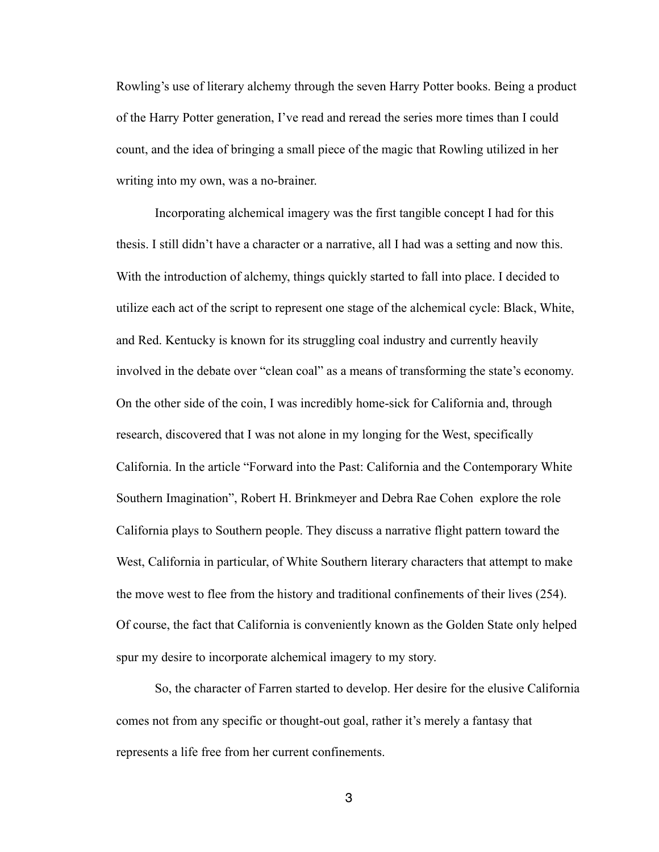Rowling's use of literary alchemy through the seven Harry Potter books. Being a product of the Harry Potter generation, I've read and reread the series more times than I could count, and the idea of bringing a small piece of the magic that Rowling utilized in her writing into my own, was a no-brainer.

 Incorporating alchemical imagery was the first tangible concept I had for this thesis. I still didn't have a character or a narrative, all I had was a setting and now this. With the introduction of alchemy, things quickly started to fall into place. I decided to utilize each act of the script to represent one stage of the alchemical cycle: Black, White, and Red. Kentucky is known for its struggling coal industry and currently heavily involved in the debate over "clean coal" as a means of transforming the state's economy. On the other side of the coin, I was incredibly home-sick for California and, through research, discovered that I was not alone in my longing for the West, specifically California. In the article "Forward into the Past: California and the Contemporary White Southern Imagination", Robert H. Brinkmeyer and Debra Rae Cohen explore the role California plays to Southern people. They discuss a narrative flight pattern toward the West, California in particular, of White Southern literary characters that attempt to make the move west to flee from the history and traditional confinements of their lives (254). Of course, the fact that California is conveniently known as the Golden State only helped spur my desire to incorporate alchemical imagery to my story.

 So, the character of Farren started to develop. Her desire for the elusive California comes not from any specific or thought-out goal, rather it's merely a fantasy that represents a life free from her current confinements.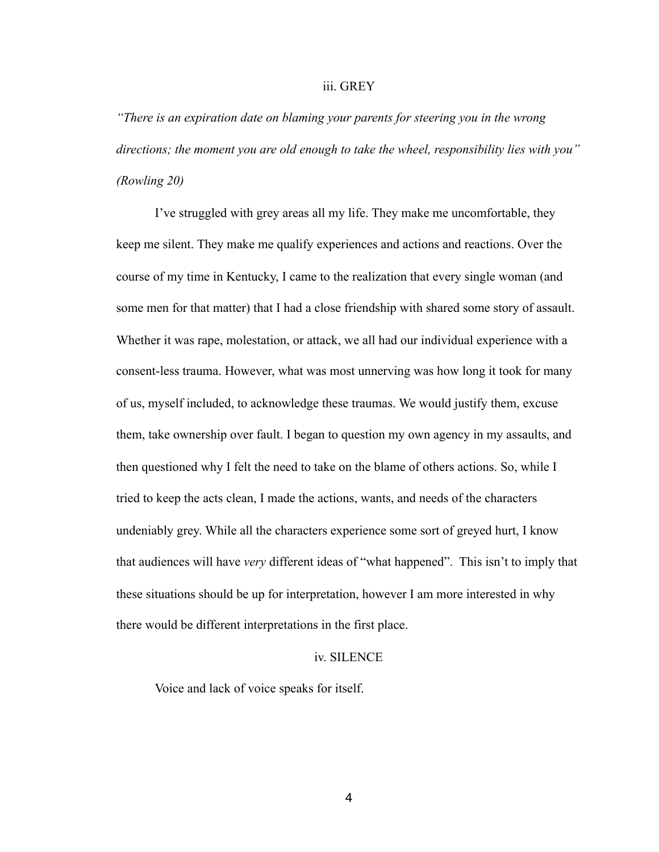## iii. GREY

*"There is an expiration date on blaming your parents for steering you in the wrong directions; the moment you are old enough to take the wheel, responsibility lies with you" (Rowling 20)* 

 I've struggled with grey areas all my life. They make me uncomfortable, they keep me silent. They make me qualify experiences and actions and reactions. Over the course of my time in Kentucky, I came to the realization that every single woman (and some men for that matter) that I had a close friendship with shared some story of assault. Whether it was rape, molestation, or attack, we all had our individual experience with a consent-less trauma. However, what was most unnerving was how long it took for many of us, myself included, to acknowledge these traumas. We would justify them, excuse them, take ownership over fault. I began to question my own agency in my assaults, and then questioned why I felt the need to take on the blame of others actions. So, while I tried to keep the acts clean, I made the actions, wants, and needs of the characters undeniably grey. While all the characters experience some sort of greyed hurt, I know that audiences will have *very* different ideas of "what happened". This isn't to imply that these situations should be up for interpretation, however I am more interested in why there would be different interpretations in the first place.

# iv. SILENCE

Voice and lack of voice speaks for itself.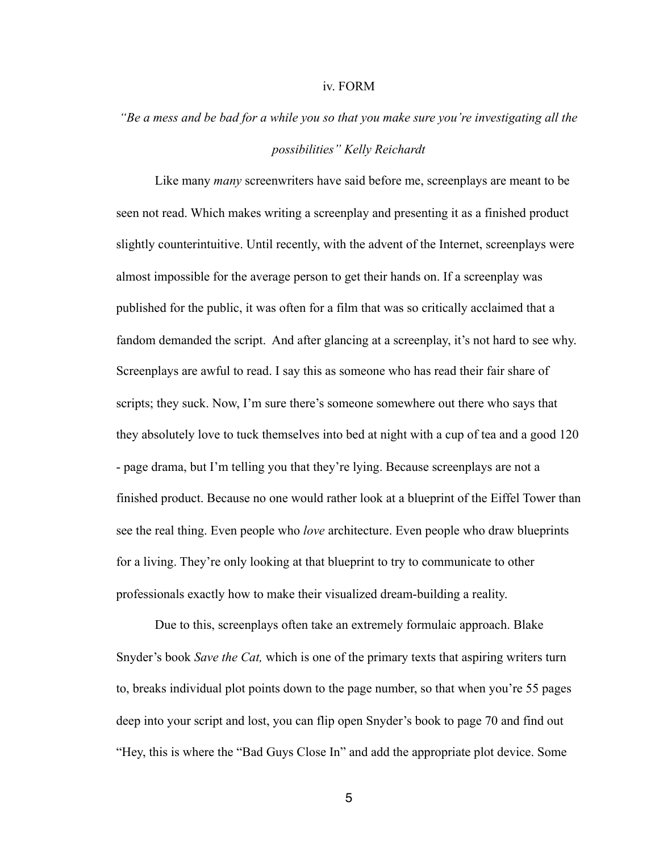#### iv. FORM

# *"Be a mess and be bad for a while you so that you make sure you're investigating all the*

# *possibilities" Kelly Reichardt*

 Like many *many* screenwriters have said before me, screenplays are meant to be seen not read. Which makes writing a screenplay and presenting it as a finished product slightly counterintuitive. Until recently, with the advent of the Internet, screenplays were almost impossible for the average person to get their hands on. If a screenplay was published for the public, it was often for a film that was so critically acclaimed that a fandom demanded the script. And after glancing at a screenplay, it's not hard to see why. Screenplays are awful to read. I say this as someone who has read their fair share of scripts; they suck. Now, I'm sure there's someone somewhere out there who says that they absolutely love to tuck themselves into bed at night with a cup of tea and a good 120 - page drama, but I'm telling you that they're lying. Because screenplays are not a finished product. Because no one would rather look at a blueprint of the Eiffel Tower than see the real thing. Even people who *love* architecture. Even people who draw blueprints for a living. They're only looking at that blueprint to try to communicate to other professionals exactly how to make their visualized dream-building a reality.

 Due to this, screenplays often take an extremely formulaic approach. Blake Snyder's book *Save the Cat,* which is one of the primary texts that aspiring writers turn to, breaks individual plot points down to the page number, so that when you're 55 pages deep into your script and lost, you can flip open Snyder's book to page 70 and find out "Hey, this is where the "Bad Guys Close In" and add the appropriate plot device. Some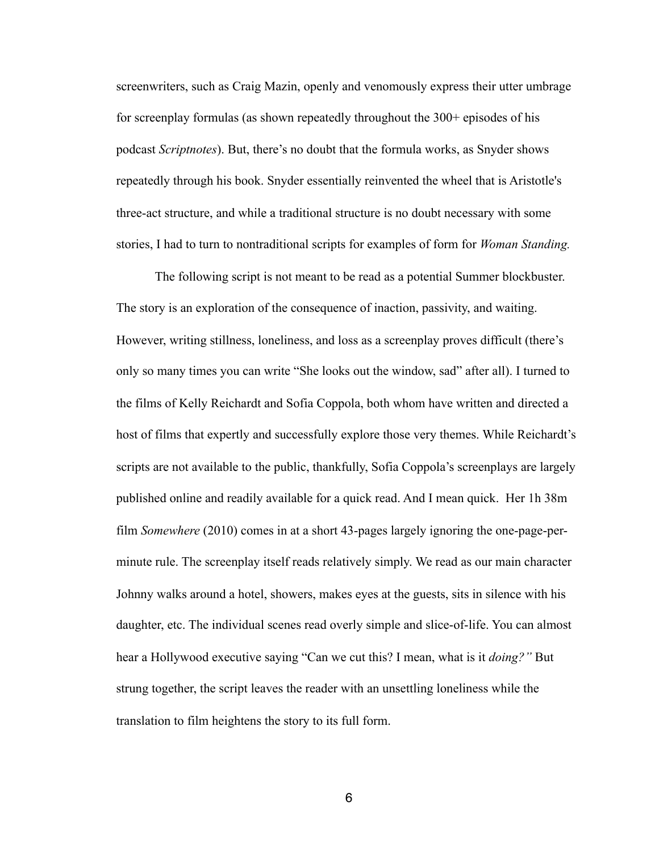screenwriters, such as Craig Mazin, openly and venomously express their utter umbrage for screenplay formulas (as shown repeatedly throughout the 300+ episodes of his podcast *Scriptnotes*). But, there's no doubt that the formula works, as Snyder shows repeatedly through his book. Snyder essentially reinvented the wheel that is Aristotle's three-act structure, and while a traditional structure is no doubt necessary with some stories, I had to turn to nontraditional scripts for examples of form for *Woman Standing.* 

 The following script is not meant to be read as a potential Summer blockbuster. The story is an exploration of the consequence of inaction, passivity, and waiting. However, writing stillness, loneliness, and loss as a screenplay proves difficult (there's only so many times you can write "She looks out the window, sad" after all). I turned to the films of Kelly Reichardt and Sofia Coppola, both whom have written and directed a host of films that expertly and successfully explore those very themes. While Reichardt's scripts are not available to the public, thankfully, Sofia Coppola's screenplays are largely published online and readily available for a quick read. And I mean quick. Her 1h 38m film *Somewhere* (2010) comes in at a short 43-pages largely ignoring the one-page-perminute rule. The screenplay itself reads relatively simply. We read as our main character Johnny walks around a hotel, showers, makes eyes at the guests, sits in silence with his daughter, etc. The individual scenes read overly simple and slice-of-life. You can almost hear a Hollywood executive saying "Can we cut this? I mean, what is it *doing?"* But strung together, the script leaves the reader with an unsettling loneliness while the translation to film heightens the story to its full form.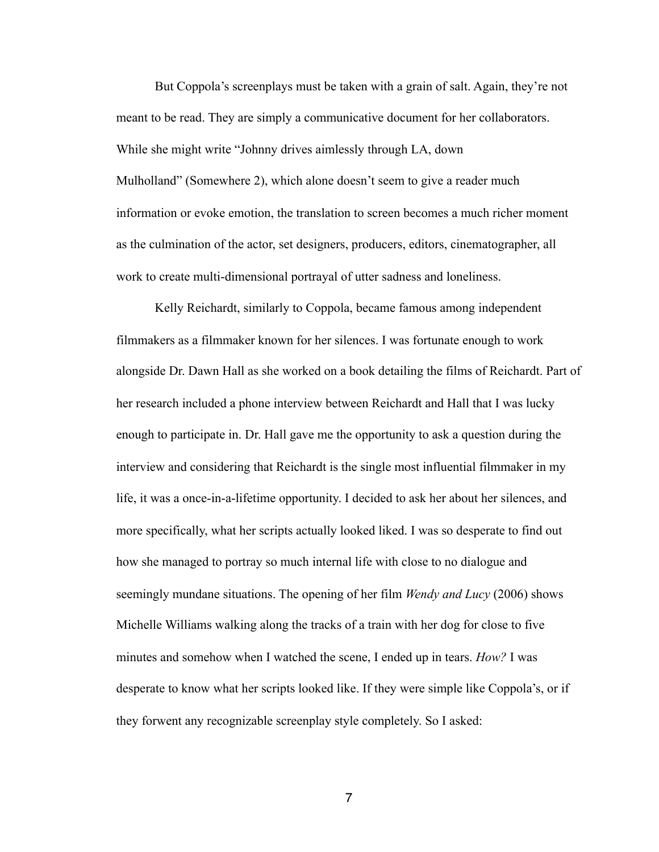But Coppola's screenplays must be taken with a grain of salt. Again, they're not meant to be read. They are simply a communicative document for her collaborators. While she might write "Johnny drives aimlessly through LA, down Mulholland" (Somewhere 2), which alone doesn't seem to give a reader much information or evoke emotion, the translation to screen becomes a much richer moment as the culmination of the actor, set designers, producers, editors, cinematographer, all work to create multi-dimensional portrayal of utter sadness and loneliness.

 Kelly Reichardt, similarly to Coppola, became famous among independent filmmakers as a filmmaker known for her silences. I was fortunate enough to work alongside Dr. Dawn Hall as she worked on a book detailing the films of Reichardt. Part of her research included a phone interview between Reichardt and Hall that I was lucky enough to participate in. Dr. Hall gave me the opportunity to ask a question during the interview and considering that Reichardt is the single most influential filmmaker in my life, it was a once-in-a-lifetime opportunity. I decided to ask her about her silences, and more specifically, what her scripts actually looked liked. I was so desperate to find out how she managed to portray so much internal life with close to no dialogue and seemingly mundane situations. The opening of her film *Wendy and Lucy* (2006) shows Michelle Williams walking along the tracks of a train with her dog for close to five minutes and somehow when I watched the scene, I ended up in tears. *How?* I was desperate to know what her scripts looked like. If they were simple like Coppola's, or if they forwent any recognizable screenplay style completely. So I asked: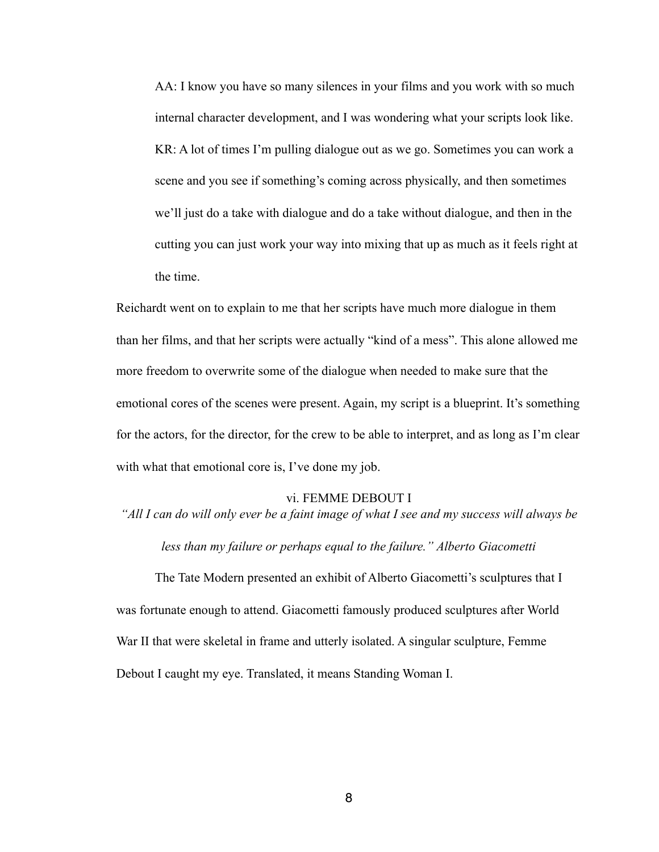AA: I know you have so many silences in your films and you work with so much internal character development, and I was wondering what your scripts look like. KR: A lot of times I'm pulling dialogue out as we go. Sometimes you can work a scene and you see if something's coming across physically, and then sometimes we'll just do a take with dialogue and do a take without dialogue, and then in the cutting you can just work your way into mixing that up as much as it feels right at the time.

Reichardt went on to explain to me that her scripts have much more dialogue in them than her films, and that her scripts were actually "kind of a mess". This alone allowed me more freedom to overwrite some of the dialogue when needed to make sure that the emotional cores of the scenes were present. Again, my script is a blueprint. It's something for the actors, for the director, for the crew to be able to interpret, and as long as I'm clear with what that emotional core is, I've done my job.

# vi. FEMME DEBOUT I

*"All I can do will only ever be a faint image of what I see and my success will always be* 

*less than my failure or perhaps equal to the failure." Alberto Giacometti*

 The Tate Modern presented an exhibit of Alberto Giacometti's sculptures that I was fortunate enough to attend. Giacometti famously produced sculptures after World War II that were skeletal in frame and utterly isolated. A singular sculpture, Femme Debout I caught my eye. Translated, it means Standing Woman I.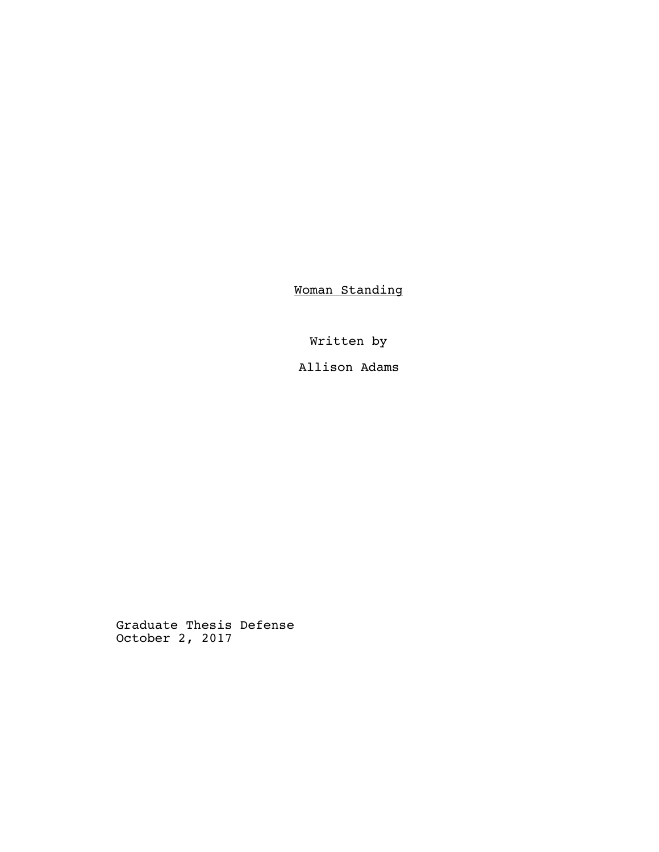Woman Standing

Written by Allison Adams

Graduate Thesis Defense October 2, 2017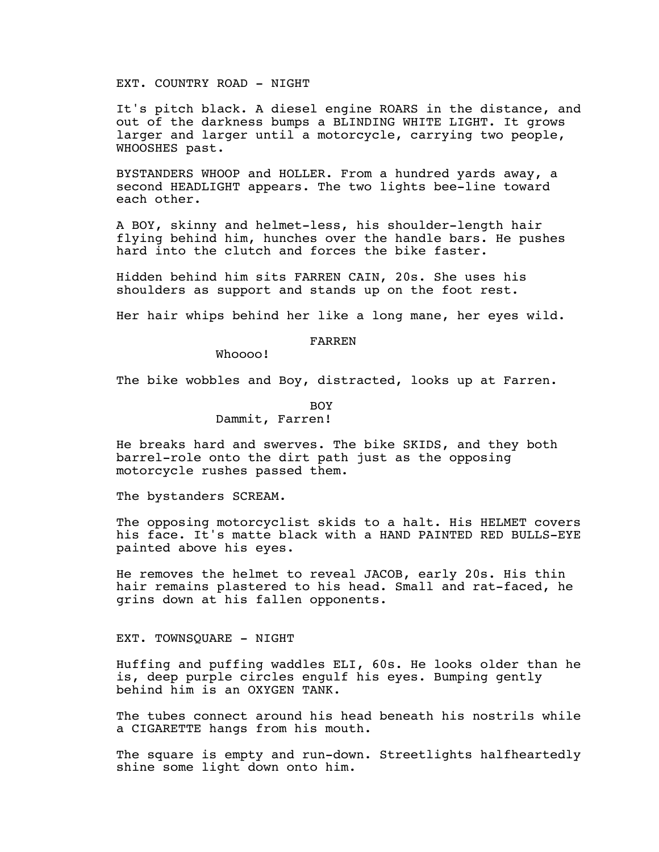EXT. COUNTRY ROAD - NIGHT

It's pitch black. A diesel engine ROARS in the distance, and out of the darkness bumps a BLINDING WHITE LIGHT. It grows larger and larger until a motorcycle, carrying two people, WHOOSHES past.

BYSTANDERS WHOOP and HOLLER. From a hundred yards away, a second HEADLIGHT appears. The two lights bee-line toward each other.

A BOY, skinny and helmet-less, his shoulder-length hair flying behind him, hunches over the handle bars. He pushes hard into the clutch and forces the bike faster.

Hidden behind him sits FARREN CAIN, 20s. She uses his shoulders as support and stands up on the foot rest.

Her hair whips behind her like a long mane, her eyes wild.

#### FARREN

Whoooo!

The bike wobbles and Boy, distracted, looks up at Farren.

BOY Dammit, Farren!

He breaks hard and swerves. The bike SKIDS, and they both barrel-role onto the dirt path just as the opposing motorcycle rushes passed them.

The bystanders SCREAM.

The opposing motorcyclist skids to a halt. His HELMET covers his face. It's matte black with a HAND PAINTED RED BULLS-EYE painted above his eyes.

He removes the helmet to reveal JACOB, early 20s. His thin hair remains plastered to his head. Small and rat-faced, he grins down at his fallen opponents.

#### EXT. TOWNSQUARE - NIGHT

Huffing and puffing waddles ELI, 60s. He looks older than he is, deep purple circles engulf his eyes. Bumping gently behind him is an OXYGEN TANK.

The tubes connect around his head beneath his nostrils while a CIGARETTE hangs from his mouth.

The square is empty and run-down. Streetlights halfheartedly shine some light down onto him.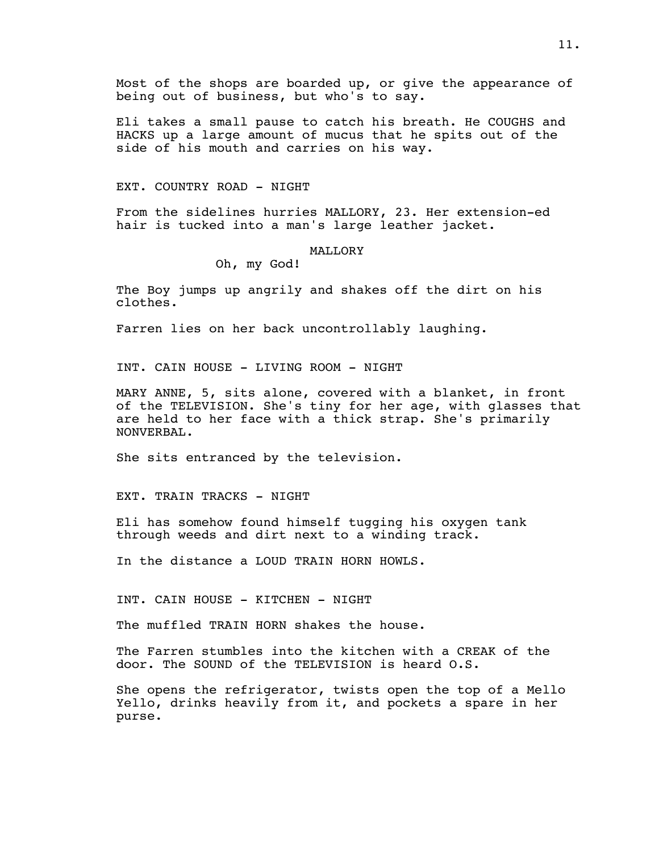Most of the shops are boarded up, or give the appearance of being out of business, but who's to say.

Eli takes a small pause to catch his breath. He COUGHS and HACKS up a large amount of mucus that he spits out of the side of his mouth and carries on his way.

#### EXT. COUNTRY ROAD - NIGHT

From the sidelines hurries MALLORY, 23. Her extension-ed hair is tucked into a man's large leather jacket.

#### MALLORY

#### Oh, my God!

The Boy jumps up angrily and shakes off the dirt on his clothes.

Farren lies on her back uncontrollably laughing.

INT. CAIN HOUSE - LIVING ROOM - NIGHT

MARY ANNE, 5, sits alone, covered with a blanket, in front of the TELEVISION. She's tiny for her age, with glasses that are held to her face with a thick strap. She's primarily NONVERBAL.

She sits entranced by the television.

EXT. TRAIN TRACKS - NIGHT

Eli has somehow found himself tugging his oxygen tank through weeds and dirt next to a winding track.

In the distance a LOUD TRAIN HORN HOWLS.

INT. CAIN HOUSE - KITCHEN - NIGHT

The muffled TRAIN HORN shakes the house.

The Farren stumbles into the kitchen with a CREAK of the door. The SOUND of the TELEVISION is heard O.S.

She opens the refrigerator, twists open the top of a Mello Yello, drinks heavily from it, and pockets a spare in her purse.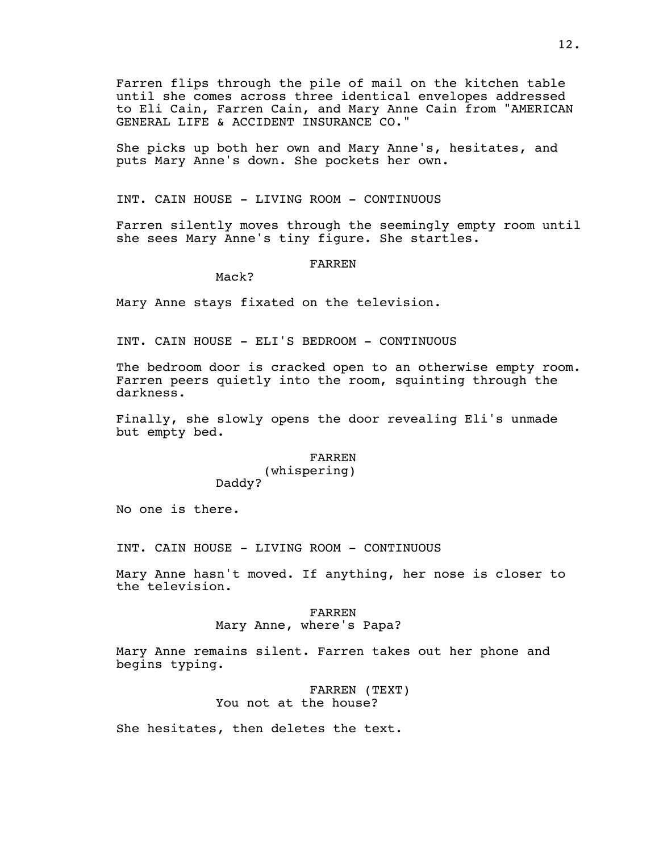Farren flips through the pile of mail on the kitchen table until she comes across three identical envelopes addressed to Eli Cain, Farren Cain, and Mary Anne Cain from "AMERICAN GENERAL LIFE & ACCIDENT INSURANCE CO."

She picks up both her own and Mary Anne's, hesitates, and puts Mary Anne's down. She pockets her own.

INT. CAIN HOUSE - LIVING ROOM - CONTINUOUS

Farren silently moves through the seemingly empty room until she sees Mary Anne's tiny figure. She startles.

#### FARREN

Mack?

Mary Anne stays fixated on the television.

INT. CAIN HOUSE - ELI'S BEDROOM - CONTINUOUS

The bedroom door is cracked open to an otherwise empty room. Farren peers quietly into the room, squinting through the darkness.

Finally, she slowly opens the door revealing Eli's unmade but empty bed.

## FARREN

(whispering) Daddy?

No one is there.

INT. CAIN HOUSE - LIVING ROOM - CONTINUOUS

Mary Anne hasn't moved. If anything, her nose is closer to the television.

#### FARREN

#### Mary Anne, where's Papa?

Mary Anne remains silent. Farren takes out her phone and begins typing.

> FARREN (TEXT) You not at the house?

She hesitates, then deletes the text.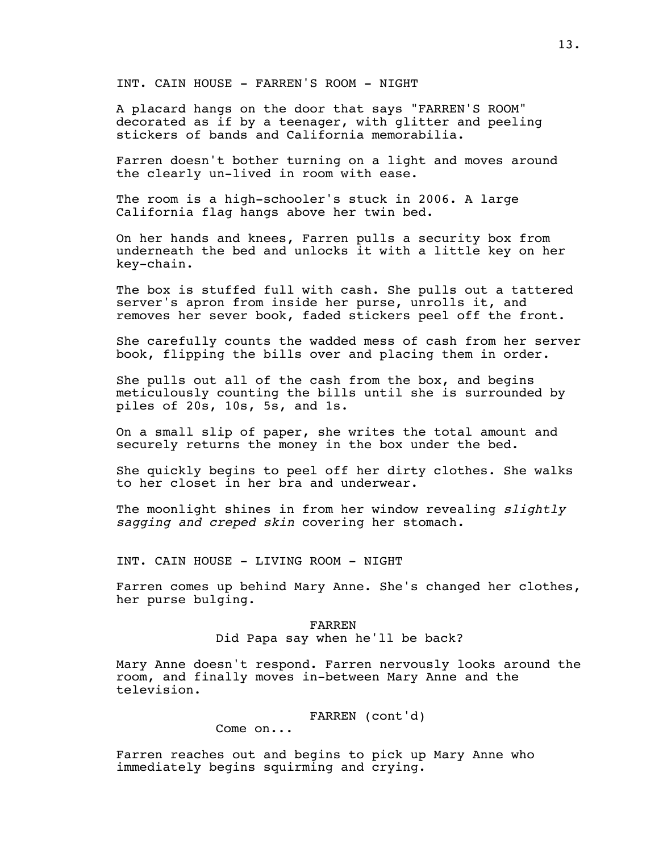INT. CAIN HOUSE - FARREN'S ROOM - NIGHT

A placard hangs on the door that says "FARREN'S ROOM" decorated as if by a teenager, with glitter and peeling stickers of bands and California memorabilia.

Farren doesn't bother turning on a light and moves around the clearly un-lived in room with ease.

The room is a high-schooler's stuck in 2006. A large California flag hangs above her twin bed.

On her hands and knees, Farren pulls a security box from underneath the bed and unlocks it with a little key on her key-chain.

The box is stuffed full with cash. She pulls out a tattered server's apron from inside her purse, unrolls it, and removes her sever book, faded stickers peel off the front.

She carefully counts the wadded mess of cash from her server book, flipping the bills over and placing them in order.

She pulls out all of the cash from the box, and begins meticulously counting the bills until she is surrounded by piles of 20s, 10s, 5s, and 1s.

On a small slip of paper, she writes the total amount and securely returns the money in the box under the bed.

She quickly begins to peel off her dirty clothes. She walks to her closet in her bra and underwear.

The moonlight shines in from her window revealing *slightly sagging and creped skin* covering her stomach.

INT. CAIN HOUSE - LIVING ROOM - NIGHT

Farren comes up behind Mary Anne. She's changed her clothes, her purse bulging.

> FARREN Did Papa say when he'll be back?

Mary Anne doesn't respond. Farren nervously looks around the room, and finally moves in-between Mary Anne and the television.

FARREN (cont'd)

Come on...

Farren reaches out and begins to pick up Mary Anne who immediately begins squirming and crying.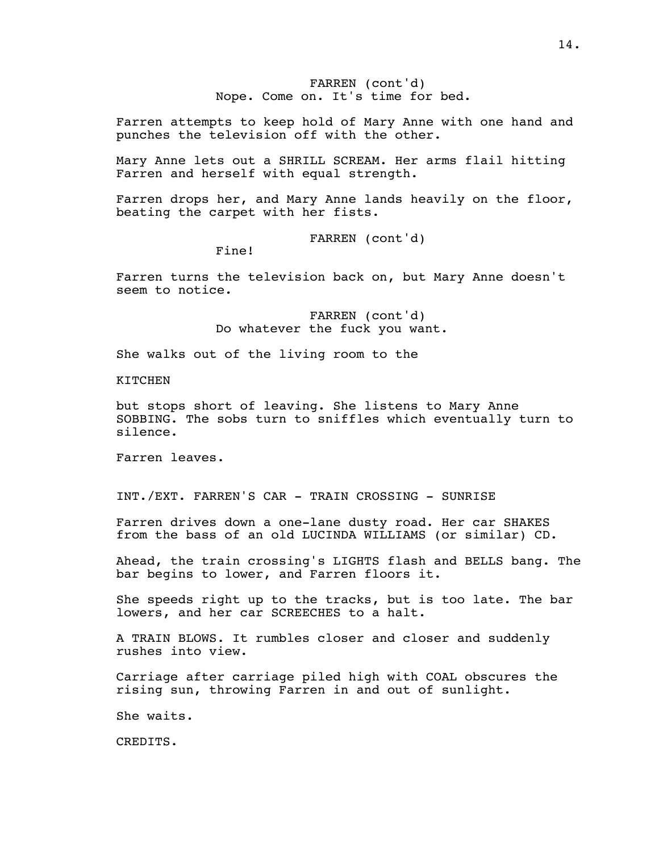FARREN (cont'd) Nope. Come on. It's time for bed.

Farren attempts to keep hold of Mary Anne with one hand and punches the television off with the other.

Mary Anne lets out a SHRILL SCREAM. Her arms flail hitting Farren and herself with equal strength.

Farren drops her, and Mary Anne lands heavily on the floor, beating the carpet with her fists.

FARREN (cont'd)

Fine!

Farren turns the television back on, but Mary Anne doesn't seem to notice.

> FARREN (cont'd) Do whatever the fuck you want.

She walks out of the living room to the

KITCHEN

but stops short of leaving. She listens to Mary Anne SOBBING. The sobs turn to sniffles which eventually turn to silence.

Farren leaves.

INT./EXT. FARREN'S CAR - TRAIN CROSSING - SUNRISE

Farren drives down a one-lane dusty road. Her car SHAKES from the bass of an old LUCINDA WILLIAMS (or similar) CD.

Ahead, the train crossing's LIGHTS flash and BELLS bang. The bar begins to lower, and Farren floors it.

She speeds right up to the tracks, but is too late. The bar lowers, and her car SCREECHES to a halt.

A TRAIN BLOWS. It rumbles closer and closer and suddenly rushes into view.

Carriage after carriage piled high with COAL obscures the rising sun, throwing Farren in and out of sunlight.

She waits.

CREDITS.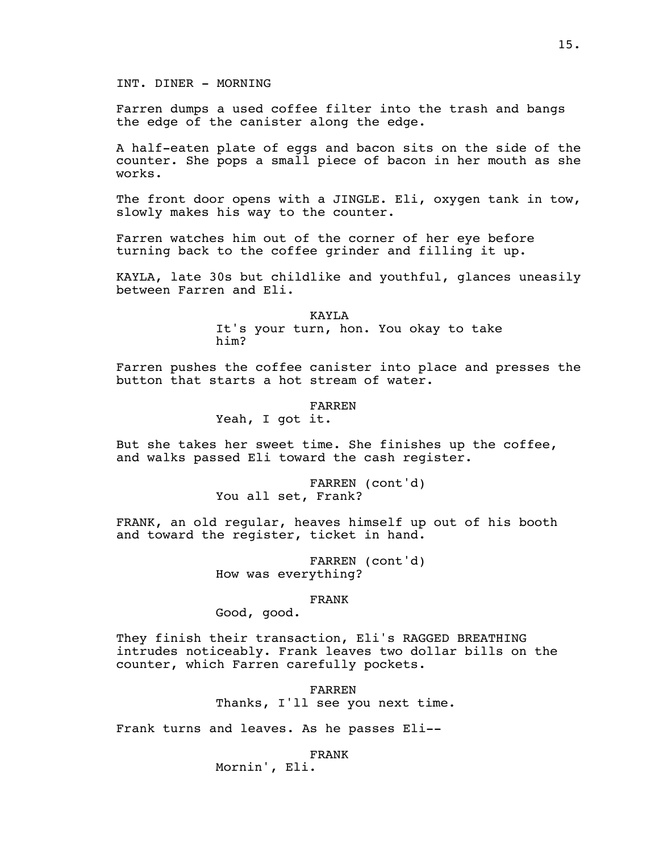INT. DINER - MORNING

Farren dumps a used coffee filter into the trash and bangs the edge of the canister along the edge.

A half-eaten plate of eggs and bacon sits on the side of the counter. She pops a small piece of bacon in her mouth as she works.

The front door opens with a JINGLE. Eli, oxygen tank in tow, slowly makes his way to the counter.

Farren watches him out of the corner of her eye before turning back to the coffee grinder and filling it up.

KAYLA, late 30s but childlike and youthful, glances uneasily between Farren and Eli.

> KAYLA It's your turn, hon. You okay to take him?

Farren pushes the coffee canister into place and presses the button that starts a hot stream of water.

#### FARREN

Yeah, I got it.

But she takes her sweet time. She finishes up the coffee, and walks passed Eli toward the cash register.

> FARREN (cont'd) You all set, Frank?

FRANK, an old regular, heaves himself up out of his booth and toward the register, ticket in hand.

> FARREN (cont'd) How was everything?

> > FRANK

Good, good.

They finish their transaction, Eli's RAGGED BREATHING intrudes noticeably. Frank leaves two dollar bills on the counter, which Farren carefully pockets.

> FARREN Thanks, I'll see you next time.

Frank turns and leaves. As he passes Eli--

FRANK

Mornin', Eli.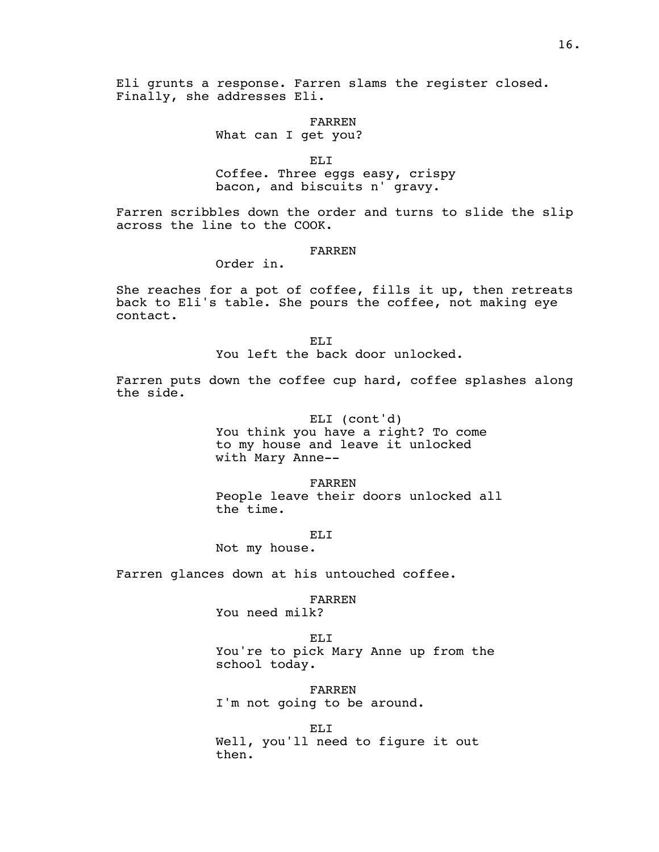Eli grunts a response. Farren slams the register closed. Finally, she addresses Eli.

FARREN

What can I get you?

ELI

Coffee. Three eggs easy, crispy bacon, and biscuits n' gravy.

Farren scribbles down the order and turns to slide the slip across the line to the COOK.

#### FARREN

Order in.

She reaches for a pot of coffee, fills it up, then retreats back to Eli's table. She pours the coffee, not making eye contact.

> EL<sub>I</sub> You left the back door unlocked.

Farren puts down the coffee cup hard, coffee splashes along the side.

> ELI (cont'd) You think you have a right? To come to my house and leave it unlocked with Mary Anne--

FARREN People leave their doors unlocked all the time.

EL<sub>I</sub>

Not my house.

Farren glances down at his untouched coffee.

FARREN

You need milk?

ELI

You're to pick Mary Anne up from the school today.

FARREN I'm not going to be around.

ELI Well, you'll need to figure it out then.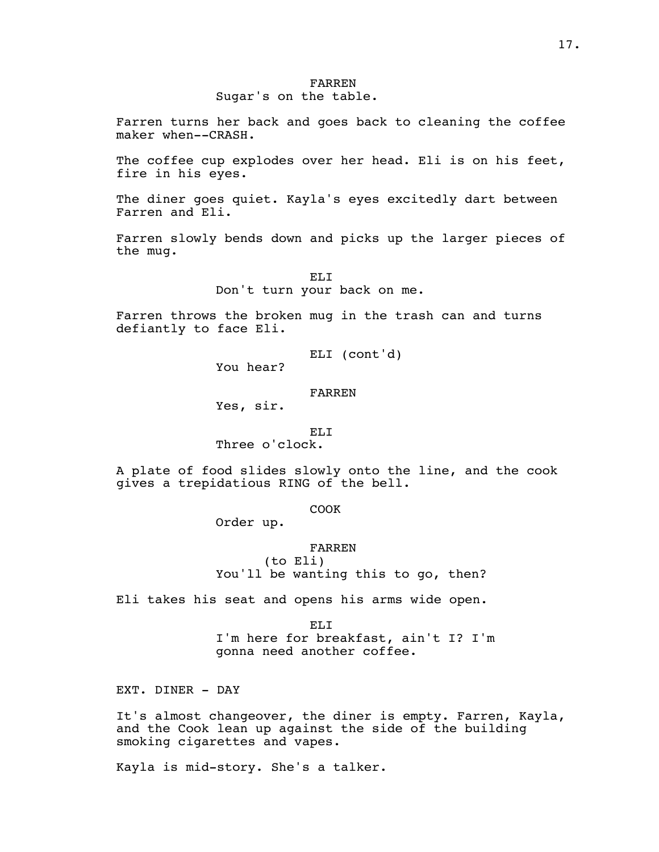# Sugar's on the table.

Farren turns her back and goes back to cleaning the coffee maker when--CRASH.

The coffee cup explodes over her head. Eli is on his feet, fire in his eyes.

The diner goes quiet. Kayla's eyes excitedly dart between Farren and Eli.

Farren slowly bends down and picks up the larger pieces of the mug.

> ELI Don't turn your back on me.

Farren throws the broken mug in the trash can and turns defiantly to face Eli.

ELI (cont'd)

You hear?

FARREN

Yes, sir.

EL<sub>I</sub>

Three o'clock.

A plate of food slides slowly onto the line, and the cook gives a trepidatious RING of the bell.

COOK

Order up.

FARREN (to Eli) You'll be wanting this to go, then?

Eli takes his seat and opens his arms wide open.

EL<sub>I</sub> I'm here for breakfast, ain't I? I'm gonna need another coffee.

EXT. DINER - DAY

It's almost changeover, the diner is empty. Farren, Kayla, and the Cook lean up against the side of the building smoking cigarettes and vapes.

Kayla is mid-story. She's a talker.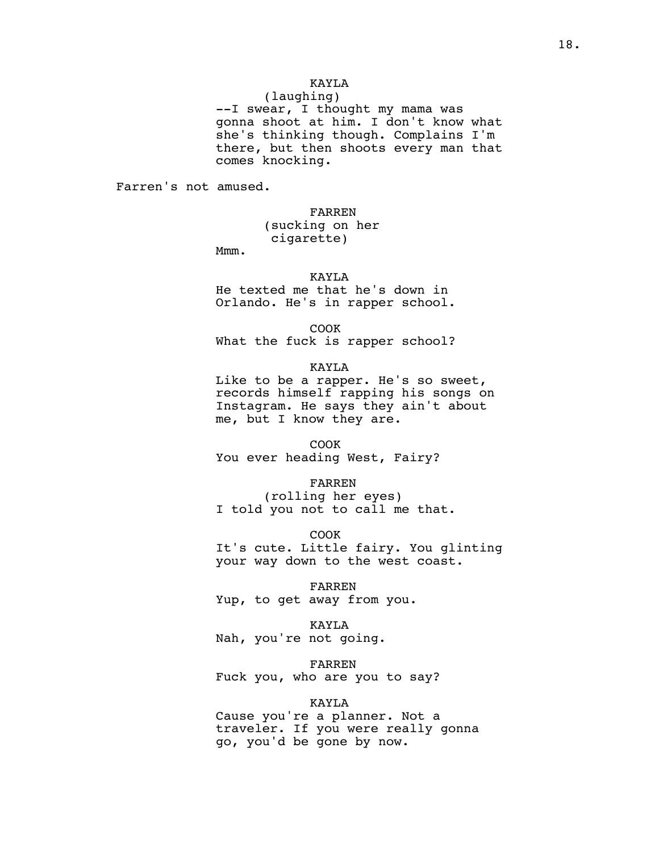# KAYLA

(laughing) --I swear, I thought my mama was gonna shoot at him. I don't know what she's thinking though. Complains I'm there, but then shoots every man that comes knocking.

Farren's not amused.

#### FARREN

(sucking on her cigarette)

Mmm.

#### KAYLA

He texted me that he's down in Orlando. He's in rapper school.

COOK

What the fuck is rapper school?

#### KAYLA

Like to be a rapper. He's so sweet, records himself rapping his songs on Instagram. He says they ain't about me, but I know they are.

# COOK

You ever heading West, Fairy?

#### FARREN

(rolling her eyes) I told you not to call me that.

COOK

It's cute. Little fairy. You glinting your way down to the west coast.

FARREN Yup, to get away from you.

#### KAYLA Nah, you're not going.

FARREN

Fuck you, who are you to say?

#### KAYLA

Cause you're a planner. Not a traveler. If you were really gonna go, you'd be gone by now.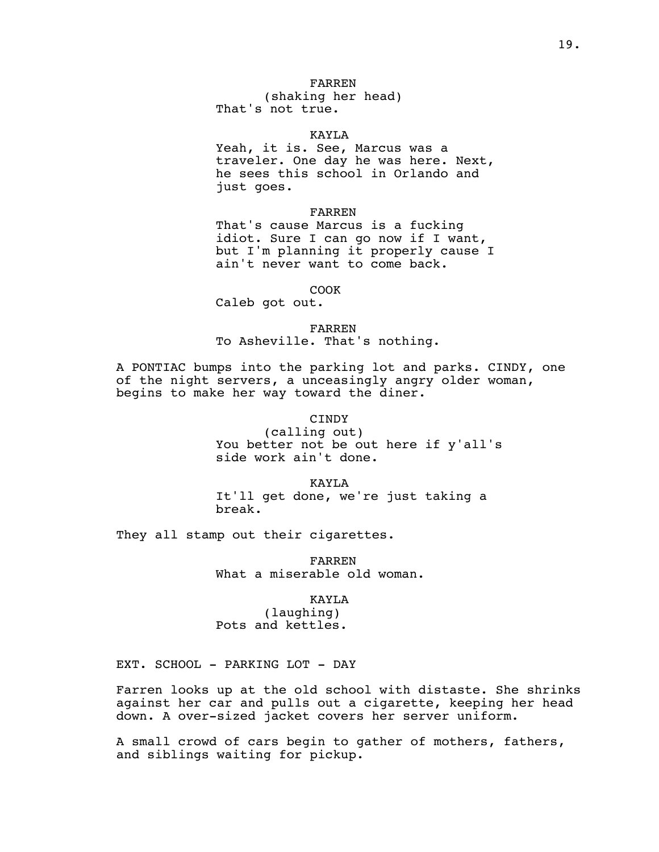# FARREN

(shaking her head) That's not true.

#### KAYLA

Yeah, it is. See, Marcus was a traveler. One day he was here. Next, he sees this school in Orlando and just goes.

#### FARREN

That's cause Marcus is a fucking idiot. Sure I can go now if I want, but I'm planning it properly cause I ain't never want to come back.

#### COOK

Caleb got out.

#### FARREN

To Asheville. That's nothing.

A PONTIAC bumps into the parking lot and parks. CINDY, one of the night servers, a unceasingly angry older woman, begins to make her way toward the diner.

#### CINDY

(calling out) You better not be out here if y'all's side work ain't done.

#### KAYLA

It'll get done, we're just taking a break.

They all stamp out their cigarettes.

FARREN What a miserable old woman.

#### KAYLA

(laughing) Pots and kettles.

EXT. SCHOOL - PARKING LOT - DAY

Farren looks up at the old school with distaste. She shrinks against her car and pulls out a cigarette, keeping her head down. A over-sized jacket covers her server uniform.

A small crowd of cars begin to gather of mothers, fathers, and siblings waiting for pickup.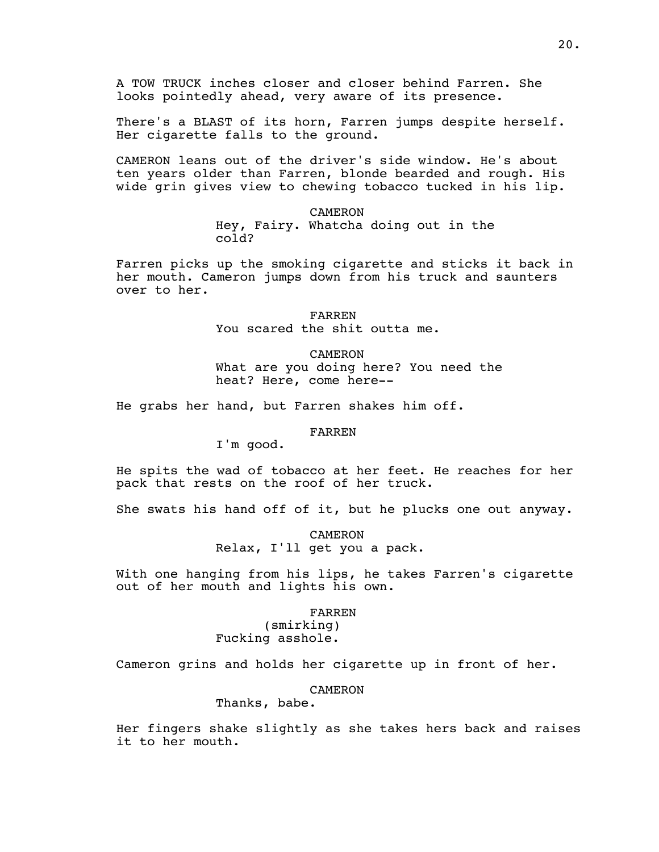A TOW TRUCK inches closer and closer behind Farren. She looks pointedly ahead, very aware of its presence.

There's a BLAST of its horn, Farren jumps despite herself. Her cigarette falls to the ground.

CAMERON leans out of the driver's side window. He's about ten years older than Farren, blonde bearded and rough. His wide grin gives view to chewing tobacco tucked in his lip.

#### CAMERON

Hey, Fairy. Whatcha doing out in the cold?

Farren picks up the smoking cigarette and sticks it back in her mouth. Cameron jumps down from his truck and saunters over to her.

FARREN

You scared the shit outta me.

CAMERON What are you doing here? You need the heat? Here, come here--

He grabs her hand, but Farren shakes him off.

#### FARREN

I'm good.

He spits the wad of tobacco at her feet. He reaches for her pack that rests on the roof of her truck.

She swats his hand off of it, but he plucks one out anyway.

CAMERON Relax, I'll get you a pack.

With one hanging from his lips, he takes Farren's cigarette out of her mouth and lights his own.

#### FARREN

(smirking) Fucking asshole.

Cameron grins and holds her cigarette up in front of her.

CAMERON

# Thanks, babe.

Her fingers shake slightly as she takes hers back and raises it to her mouth.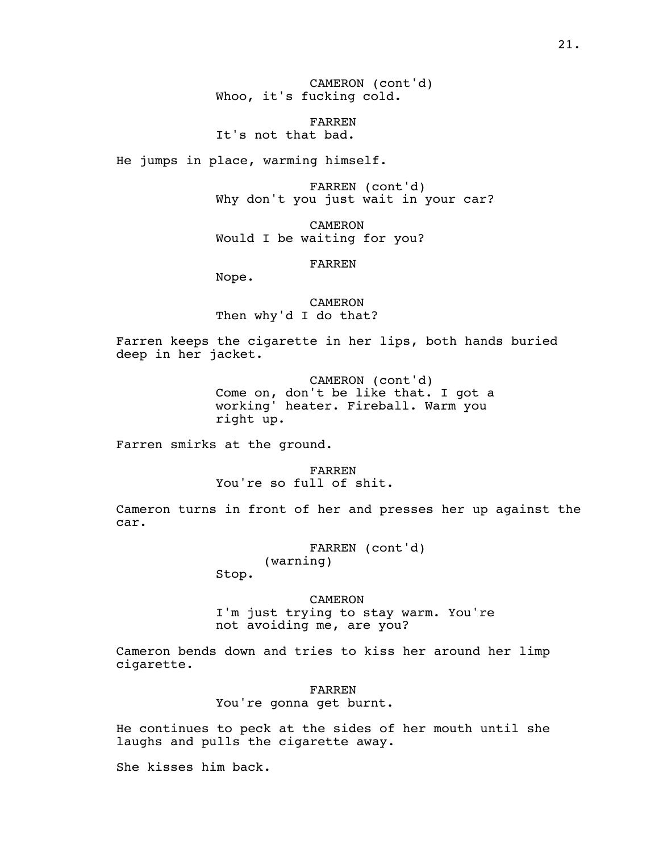CAMERON (cont'd) Whoo, it's fucking cold.

FARREN It's not that bad.

He jumps in place, warming himself.

FARREN (cont'd) Why don't you just wait in your car?

CAMERON Would I be waiting for you?

FARREN

Nope.

CAMERON Then why'd I do that?

Farren keeps the cigarette in her lips, both hands buried deep in her jacket.

> CAMERON (cont'd) Come on, don't be like that. I got a working' heater. Fireball. Warm you right up.

Farren smirks at the ground.

FARREN You're so full of shit.

Cameron turns in front of her and presses her up against the car.

> FARREN (cont'd) (warning)

Stop.

CAMERON

I'm just trying to stay warm. You're not avoiding me, are you?

Cameron bends down and tries to kiss her around her limp cigarette.

FARREN

You're gonna get burnt.

He continues to peck at the sides of her mouth until she laughs and pulls the cigarette away.

She kisses him back.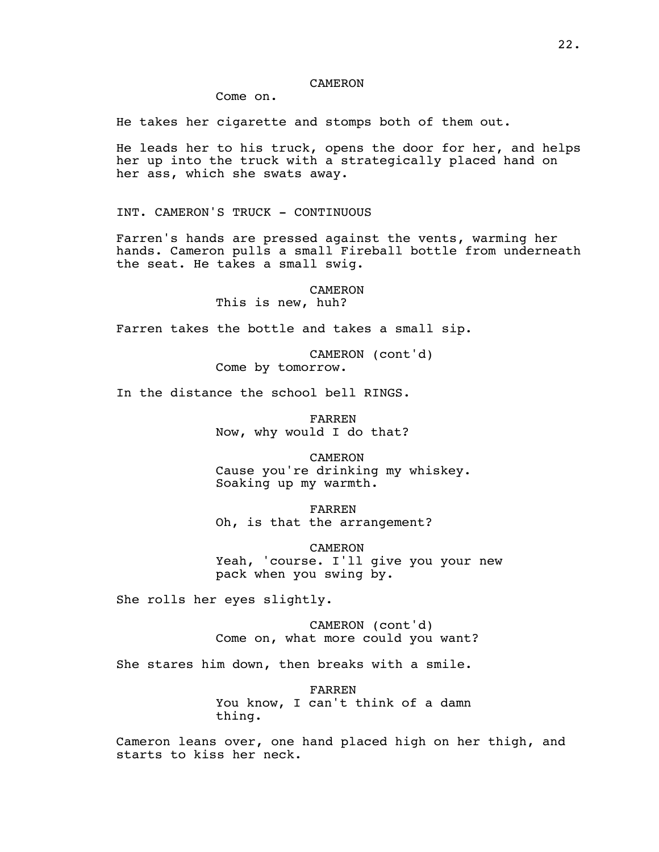#### CAMERON

Come on.

He takes her cigarette and stomps both of them out.

He leads her to his truck, opens the door for her, and helps her up into the truck with a strategically placed hand on her ass, which she swats away.

INT. CAMERON'S TRUCK - CONTINUOUS

Farren's hands are pressed against the vents, warming her hands. Cameron pulls a small Fireball bottle from underneath the seat. He takes a small swig.

> CAMERON This is new, huh?

Farren takes the bottle and takes a small sip.

CAMERON (cont'd) Come by tomorrow.

In the distance the school bell RINGS.

FARREN Now, why would I do that?

CAMERON Cause you're drinking my whiskey. Soaking up my warmth.

FARREN Oh, is that the arrangement?

CAMERON Yeah, 'course. I'll give you your new pack when you swing by.

She rolls her eyes slightly.

CAMERON (cont'd) Come on, what more could you want?

She stares him down, then breaks with a smile.

FARREN You know, I can't think of a damn thing.

Cameron leans over, one hand placed high on her thigh, and starts to kiss her neck.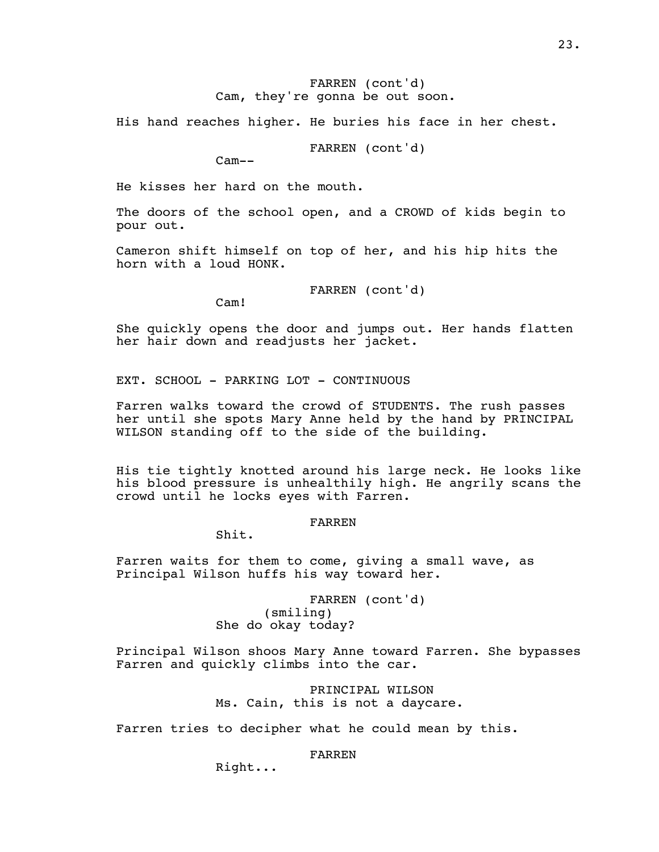#### FARREN (cont'd) Cam, they're gonna be out soon.

His hand reaches higher. He buries his face in her chest.

FARREN (cont'd)

Cam--

He kisses her hard on the mouth.

The doors of the school open, and a CROWD of kids begin to pour out.

Cameron shift himself on top of her, and his hip hits the horn with a loud HONK.

FARREN (cont'd)

Cam!

She quickly opens the door and jumps out. Her hands flatten her hair down and readjusts her jacket.

EXT. SCHOOL - PARKING LOT - CONTINUOUS

Farren walks toward the crowd of STUDENTS. The rush passes her until she spots Mary Anne held by the hand by PRINCIPAL WILSON standing off to the side of the building.

His tie tightly knotted around his large neck. He looks like his blood pressure is unhealthily high. He angrily scans the crowd until he locks eyes with Farren.

FARREN

Shit.

Farren waits for them to come, giving a small wave, as Principal Wilson huffs his way toward her.

> FARREN (cont'd) (smiling) She do okay today?

Principal Wilson shoos Mary Anne toward Farren. She bypasses Farren and quickly climbs into the car.

> PRINCIPAL WILSON Ms. Cain, this is not a daycare.

Farren tries to decipher what he could mean by this.

FARREN

Right...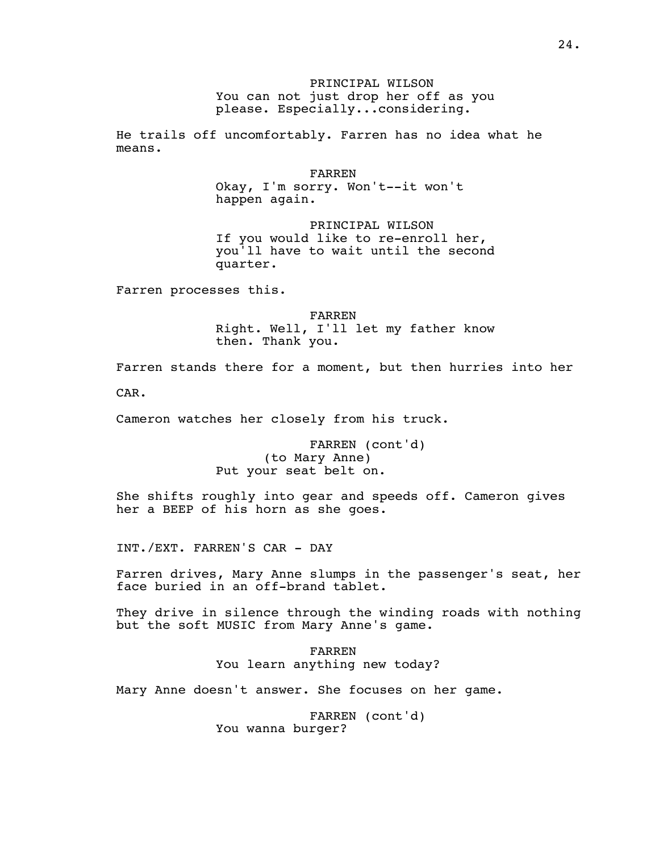## PRINCIPAL WILSON You can not just drop her off as you please. Especially...considering.

He trails off uncomfortably. Farren has no idea what he means.

FARREN

Okay, I'm sorry. Won't--it won't happen again.

PRINCIPAL WILSON If you would like to re-enroll her, you'll have to wait until the second quarter.

Farren processes this.

FARREN Right. Well, I'll let my father know then. Thank you.

Farren stands there for a moment, but then hurries into her CAR.

Cameron watches her closely from his truck.

FARREN (cont'd) (to Mary Anne) Put your seat belt on.

She shifts roughly into gear and speeds off. Cameron gives her a BEEP of his horn as she goes.

INT./EXT. FARREN'S CAR - DAY

Farren drives, Mary Anne slumps in the passenger's seat, her face buried in an off-brand tablet.

They drive in silence through the winding roads with nothing but the soft MUSIC from Mary Anne's game.

> FARREN You learn anything new today?

Mary Anne doesn't answer. She focuses on her game.

FARREN (cont'd) You wanna burger?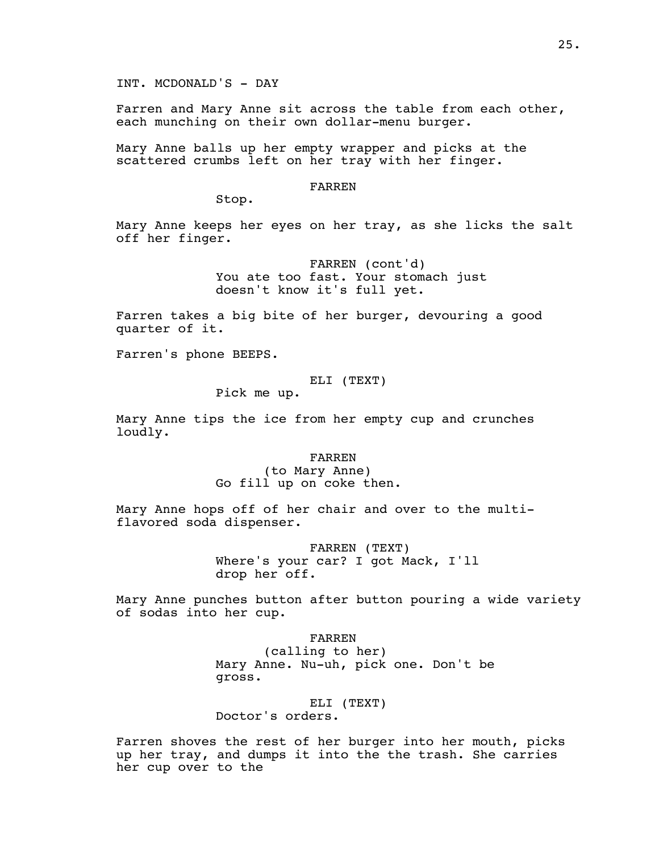INT. MCDONALD'S - DAY

Farren and Mary Anne sit across the table from each other, each munching on their own dollar-menu burger.

Mary Anne balls up her empty wrapper and picks at the scattered crumbs left on her tray with her finger.

#### FARREN

Stop.

Mary Anne keeps her eyes on her tray, as she licks the salt off her finger.

> FARREN (cont'd) You ate too fast. Your stomach just doesn't know it's full yet.

Farren takes a big bite of her burger, devouring a good quarter of it.

Farren's phone BEEPS.

#### ELI (TEXT)

Pick me up.

Mary Anne tips the ice from her empty cup and crunches loudly.

FARREN

(to Mary Anne) Go fill up on coke then.

Mary Anne hops off of her chair and over to the multiflavored soda dispenser.

> FARREN (TEXT) Where's your car? I got Mack, I'll drop her off.

Mary Anne punches button after button pouring a wide variety of sodas into her cup.

#### FARREN

(calling to her) Mary Anne. Nu-uh, pick one. Don't be gross.

# ELI (TEXT)

Doctor's orders.

Farren shoves the rest of her burger into her mouth, picks up her tray, and dumps it into the the trash. She carries her cup over to the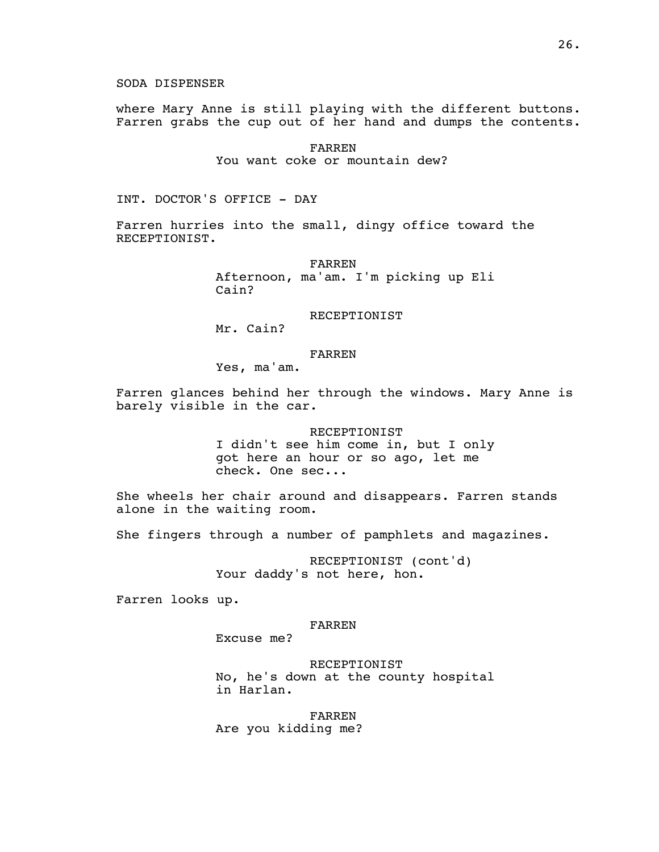SODA DISPENSER

where Mary Anne is still playing with the different buttons. Farren grabs the cup out of her hand and dumps the contents.

> FARREN You want coke or mountain dew?

INT. DOCTOR'S OFFICE - DAY

Farren hurries into the small, dingy office toward the RECEPTIONIST.

> FARREN Afternoon, ma'am. I'm picking up Eli Cain?

#### RECEPTIONIST

Mr. Cain?

#### FARREN

Yes, ma'am.

Farren glances behind her through the windows. Mary Anne is barely visible in the car.

> RECEPTIONIST I didn't see him come in, but I only got here an hour or so ago, let me check. One sec...

She wheels her chair around and disappears. Farren stands alone in the waiting room.

She fingers through a number of pamphlets and magazines.

RECEPTIONIST (cont'd) Your daddy's not here, hon.

Farren looks up.

#### FARREN

Excuse me?

RECEPTIONIST No, he's down at the county hospital in Harlan.

FARREN

Are you kidding me?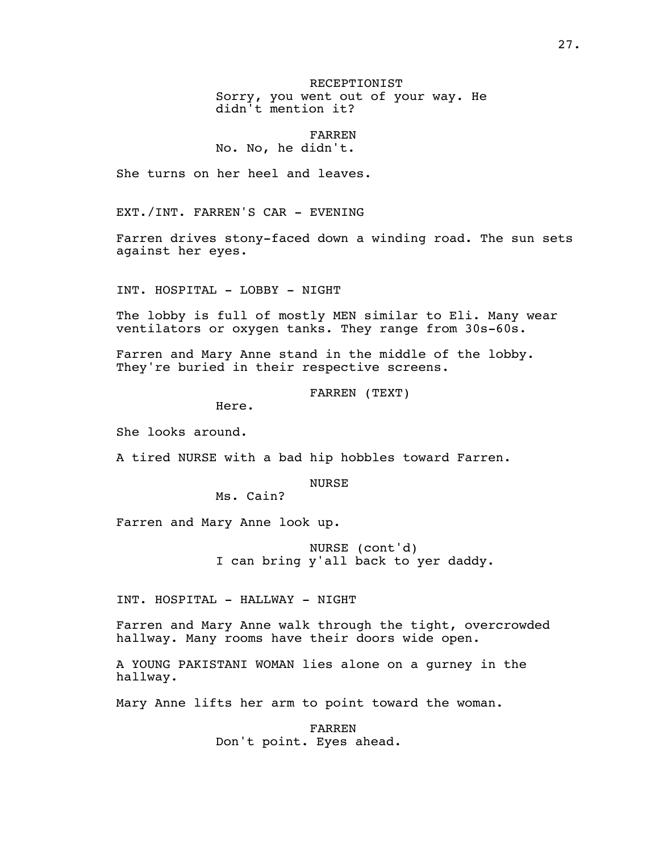RECEPTIONIST Sorry, you went out of your way. He didn't mention it?

## FARREN No. No, he didn't.

She turns on her heel and leaves.

EXT./INT. FARREN'S CAR - EVENING

Farren drives stony-faced down a winding road. The sun sets against her eyes.

INT. HOSPITAL - LOBBY - NIGHT

The lobby is full of mostly MEN similar to Eli. Many wear ventilators or oxygen tanks. They range from 30s-60s.

Farren and Mary Anne stand in the middle of the lobby. They're buried in their respective screens.

FARREN (TEXT)

Here.

She looks around.

A tired NURSE with a bad hip hobbles toward Farren.

**NURSE** 

Ms. Cain?

Farren and Mary Anne look up.

NURSE (cont'd) I can bring y'all back to yer daddy.

INT. HOSPITAL - HALLWAY - NIGHT

Farren and Mary Anne walk through the tight, overcrowded hallway. Many rooms have their doors wide open.

A YOUNG PAKISTANI WOMAN lies alone on a gurney in the hallway.

Mary Anne lifts her arm to point toward the woman.

FARREN Don't point. Eyes ahead.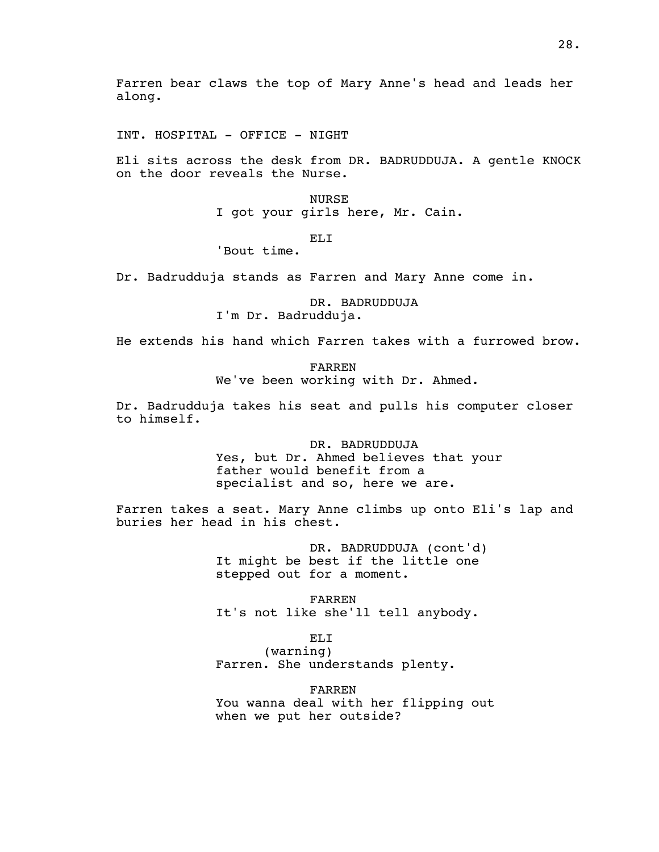INT. HOSPITAL - OFFICE - NIGHT

Eli sits across the desk from DR. BADRUDDUJA. A gentle KNOCK on the door reveals the Nurse.

> NURSE I got your girls here, Mr. Cain.

> > ELI

'Bout time.

Dr. Badrudduja stands as Farren and Mary Anne come in.

DR. BADRUDDUJA I'm Dr. Badrudduja.

He extends his hand which Farren takes with a furrowed brow.

FARREN We've been working with Dr. Ahmed.

Dr. Badrudduja takes his seat and pulls his computer closer to himself.

> DR. BADRUDDUJA Yes, but Dr. Ahmed believes that your father would benefit from a specialist and so, here we are.

Farren takes a seat. Mary Anne climbs up onto Eli's lap and buries her head in his chest.

> DR. BADRUDDUJA (cont'd) It might be best if the little one stepped out for a moment.

FARREN It's not like she'll tell anybody.

ELI

(warning) Farren. She understands plenty.

FARREN You wanna deal with her flipping out when we put her outside?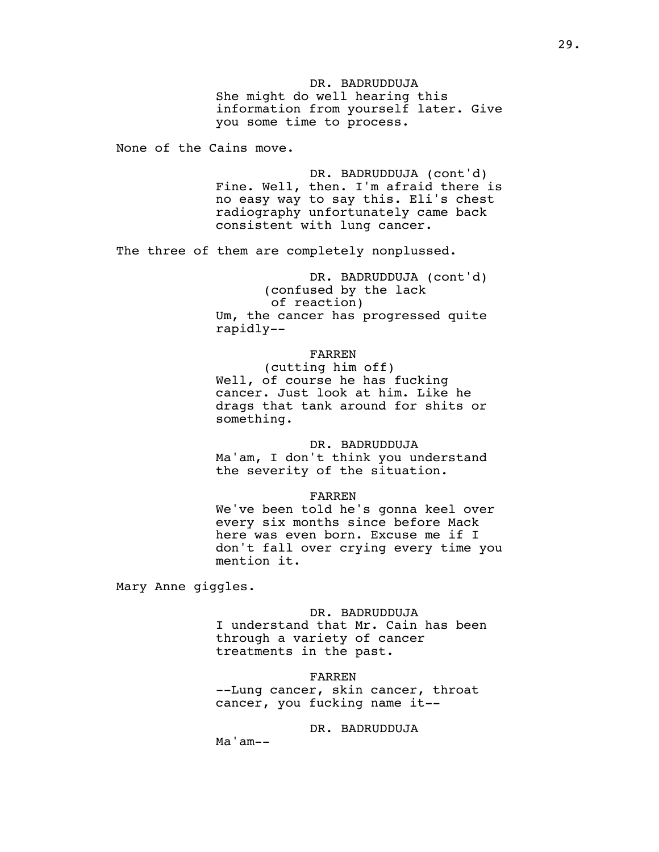DR. BADRUDDUJA She might do well hearing this information from yourself later. Give you some time to process.

None of the Cains move.

DR. BADRUDDUJA (cont'd) Fine. Well, then. I'm afraid there is no easy way to say this. Eli's chest radiography unfortunately came back consistent with lung cancer.

The three of them are completely nonplussed.

DR. BADRUDDUJA (cont'd) (confused by the lack of reaction) Um, the cancer has progressed quite rapidly--

# FARREN

(cutting him off) Well, of course he has fucking cancer. Just look at him. Like he drags that tank around for shits or something.

#### DR. BADRUDDUJA

Ma'am, I don't think you understand the severity of the situation.

#### FARREN

We've been told he's gonna keel over every six months since before Mack here was even born. Excuse me if I don't fall over crying every time you mention it.

Mary Anne giggles.

DR. BADRUDDUJA I understand that Mr. Cain has been through a variety of cancer treatments in the past.

FARREN --Lung cancer, skin cancer, throat cancer, you fucking name it--

# DR. BADRUDDUJA

Ma'am--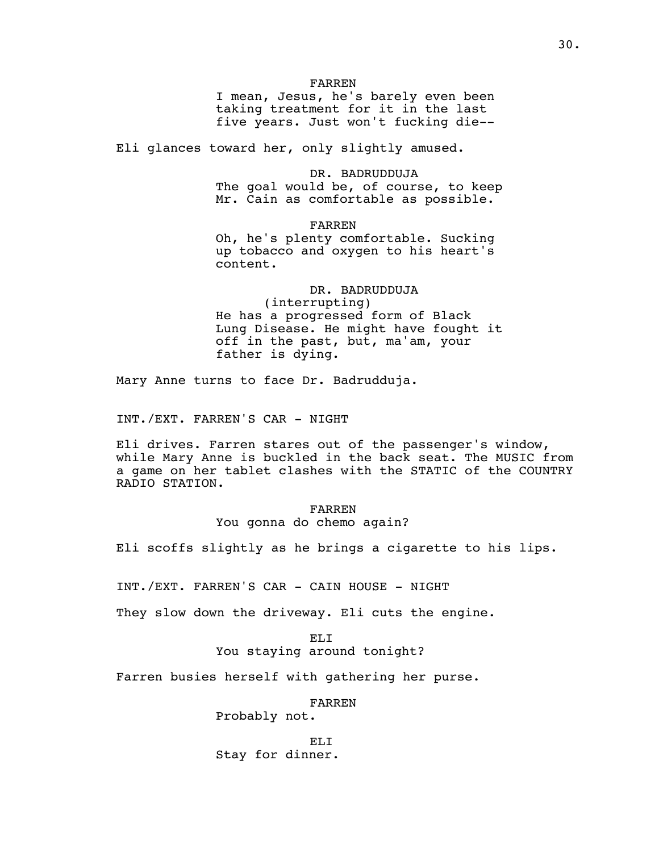#### FARREN

I mean, Jesus, he's barely even been taking treatment for it in the last five years. Just won't fucking die--

Eli glances toward her, only slightly amused.

DR. BADRUDDUJA The goal would be, of course, to keep Mr. Cain as comfortable as possible.

FARREN

Oh, he's plenty comfortable. Sucking up tobacco and oxygen to his heart's content.

DR. BADRUDDUJA (interrupting) He has a progressed form of Black Lung Disease. He might have fought it off in the past, but, ma'am, your father is dying.

Mary Anne turns to face Dr. Badrudduja.

INT./EXT. FARREN'S CAR - NIGHT

Eli drives. Farren stares out of the passenger's window, while Mary Anne is buckled in the back seat. The MUSIC from a game on her tablet clashes with the STATIC of the COUNTRY RADIO STATION.

## FARREN You gonna do chemo again?

Eli scoffs slightly as he brings a cigarette to his lips.

INT./EXT. FARREN'S CAR - CAIN HOUSE - NIGHT

They slow down the driveway. Eli cuts the engine.

ELI You staying around tonight?

Farren busies herself with gathering her purse.

FARREN

Probably not.

ELI Stay for dinner.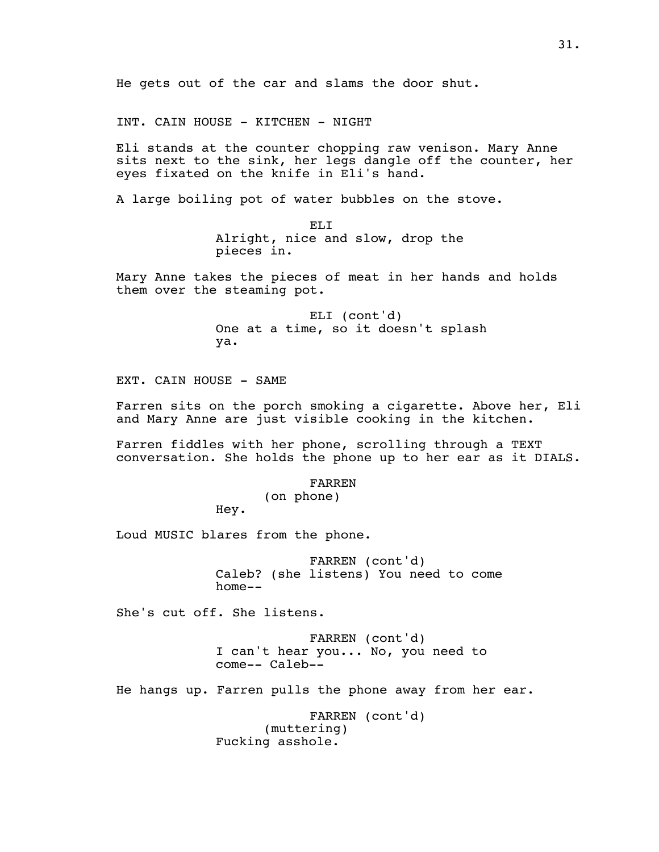INT. CAIN HOUSE - KITCHEN - NIGHT

Eli stands at the counter chopping raw venison. Mary Anne sits next to the sink, her legs dangle off the counter, her eyes fixated on the knife in Eli's hand.

A large boiling pot of water bubbles on the stove.

ELI Alright, nice and slow, drop the pieces in.

Mary Anne takes the pieces of meat in her hands and holds them over the steaming pot.

> ELI (cont'd) One at a time, so it doesn't splash ya.

EXT. CAIN HOUSE - SAME

Farren sits on the porch smoking a cigarette. Above her, Eli and Mary Anne are just visible cooking in the kitchen.

Farren fiddles with her phone, scrolling through a TEXT conversation. She holds the phone up to her ear as it DIALS.

#### FARREN

(on phone)

Hey.

Loud MUSIC blares from the phone.

FARREN (cont'd) Caleb? (she listens) You need to come home--

She's cut off. She listens.

FARREN (cont'd) I can't hear you... No, you need to come-- Caleb--

He hangs up. Farren pulls the phone away from her ear.

FARREN (cont'd) (muttering) Fucking asshole.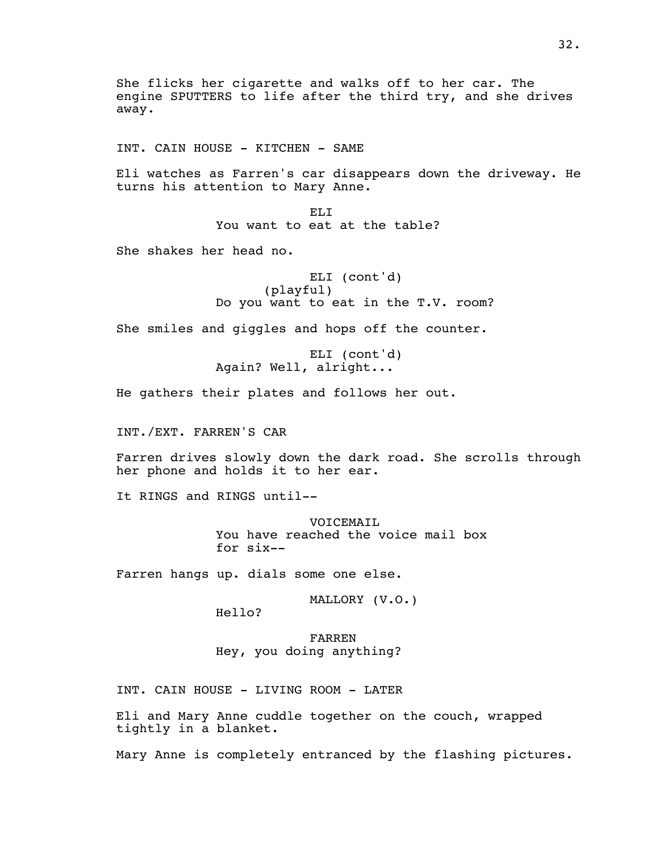She flicks her cigarette and walks off to her car. The engine SPUTTERS to life after the third try, and she drives away.

INT. CAIN HOUSE - KITCHEN - SAME

Eli watches as Farren's car disappears down the driveway. He turns his attention to Mary Anne.

> ELI You want to eat at the table?

She shakes her head no.

ELI (cont'd) (playful) Do you want to eat in the T.V. room?

She smiles and giggles and hops off the counter.

ELI (cont'd) Again? Well, alright...

He gathers their plates and follows her out.

INT./EXT. FARREN'S CAR

Farren drives slowly down the dark road. She scrolls through her phone and holds it to her ear.

It RINGS and RINGS until--

VOICEMAIL You have reached the voice mail box for six--

Farren hangs up. dials some one else.

MALLORY (V.O.)

Hello?

FARREN Hey, you doing anything?

INT. CAIN HOUSE - LIVING ROOM - LATER

Eli and Mary Anne cuddle together on the couch, wrapped tightly in a blanket.

Mary Anne is completely entranced by the flashing pictures.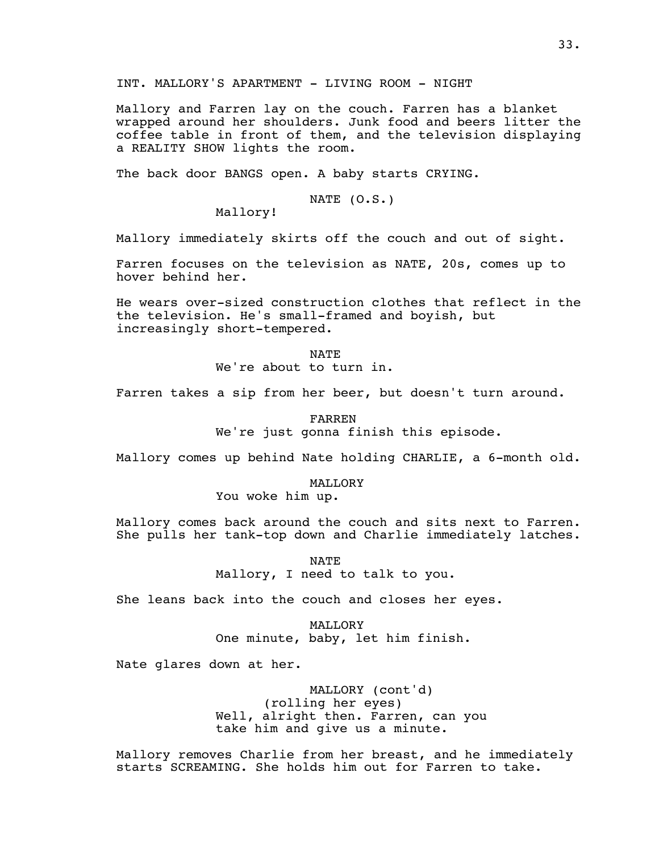INT. MALLORY'S APARTMENT - LIVING ROOM - NIGHT

Mallory and Farren lay on the couch. Farren has a blanket wrapped around her shoulders. Junk food and beers litter the coffee table in front of them, and the television displaying a REALITY SHOW lights the room.

The back door BANGS open. A baby starts CRYING.

NATE (O.S.)

Mallory!

Mallory immediately skirts off the couch and out of sight.

Farren focuses on the television as NATE, 20s, comes up to hover behind her.

He wears over-sized construction clothes that reflect in the the television. He's small-framed and boyish, but increasingly short-tempered.

> NATE We're about to turn in.

Farren takes a sip from her beer, but doesn't turn around.

FARREN We're just gonna finish this episode.

Mallory comes up behind Nate holding CHARLIE, a 6-month old.

**MALLORY** 

You woke him up.

Mallory comes back around the couch and sits next to Farren. She pulls her tank-top down and Charlie immediately latches.

> NATE Mallory, I need to talk to you.

She leans back into the couch and closes her eyes.

**MALLORY** One minute, baby, let him finish.

Nate glares down at her.

MALLORY (cont'd) (rolling her eyes) Well, alright then. Farren, can you take him and give us a minute.

Mallory removes Charlie from her breast, and he immediately starts SCREAMING. She holds him out for Farren to take.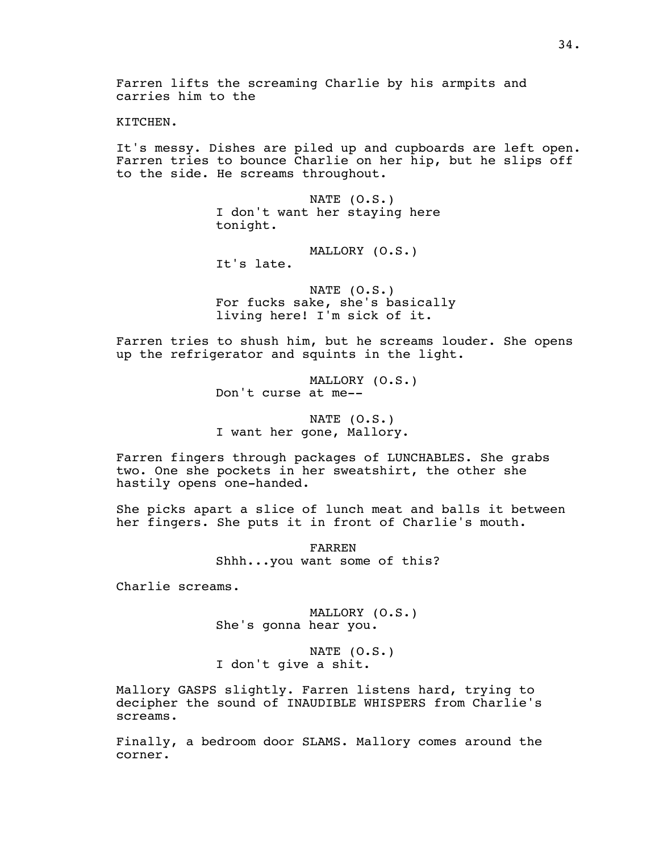KITCHEN.

It's messy. Dishes are piled up and cupboards are left open. Farren tries to bounce Charlie on her hip, but he slips off to the side. He screams throughout.

> NATE (O.S.) I don't want her staying here tonight.

> > MALLORY (O.S.)

It's late.

NATE (O.S.) For fucks sake, she's basically living here! I'm sick of it.

Farren tries to shush him, but he screams louder. She opens up the refrigerator and squints in the light.

> MALLORY (O.S.) Don't curse at me--

NATE (O.S.) I want her gone, Mallory.

Farren fingers through packages of LUNCHABLES. She grabs two. One she pockets in her sweatshirt, the other she hastily opens one-handed.

She picks apart a slice of lunch meat and balls it between her fingers. She puts it in front of Charlie's mouth.

> FARREN Shhh...you want some of this?

Charlie screams.

MALLORY (O.S.) She's gonna hear you.

NATE (O.S.) I don't give a shit.

Mallory GASPS slightly. Farren listens hard, trying to decipher the sound of INAUDIBLE WHISPERS from Charlie's screams.

Finally, a bedroom door SLAMS. Mallory comes around the corner.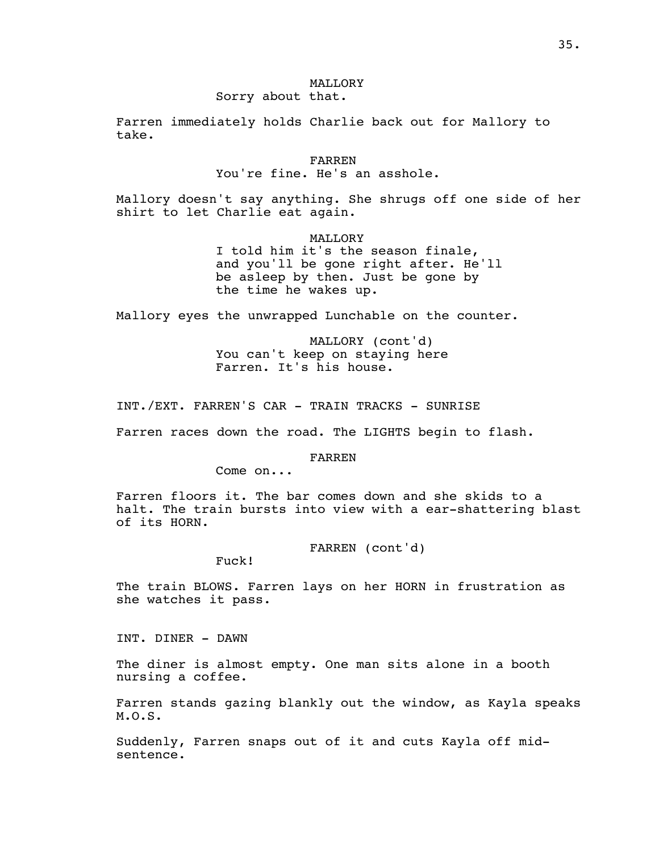# MALLORY

# Sorry about that.

Farren immediately holds Charlie back out for Mallory to take.

## FARREN You're fine. He's an asshole.

Mallory doesn't say anything. She shrugs off one side of her shirt to let Charlie eat again.

> MALLORY I told him it's the season finale, and you'll be gone right after. He'll be asleep by then. Just be gone by the time he wakes up.

Mallory eyes the unwrapped Lunchable on the counter.

MALLORY (cont'd) You can't keep on staying here Farren. It's his house.

INT./EXT. FARREN'S CAR - TRAIN TRACKS - SUNRISE

Farren races down the road. The LIGHTS begin to flash.

FARREN

Come on...

Farren floors it. The bar comes down and she skids to a halt. The train bursts into view with a ear-shattering blast of its HORN.

FARREN (cont'd)

Fuck!

The train BLOWS. Farren lays on her HORN in frustration as she watches it pass.

INT. DINER - DAWN

The diner is almost empty. One man sits alone in a booth nursing a coffee.

Farren stands gazing blankly out the window, as Kayla speaks M.O.S.

Suddenly, Farren snaps out of it and cuts Kayla off midsentence.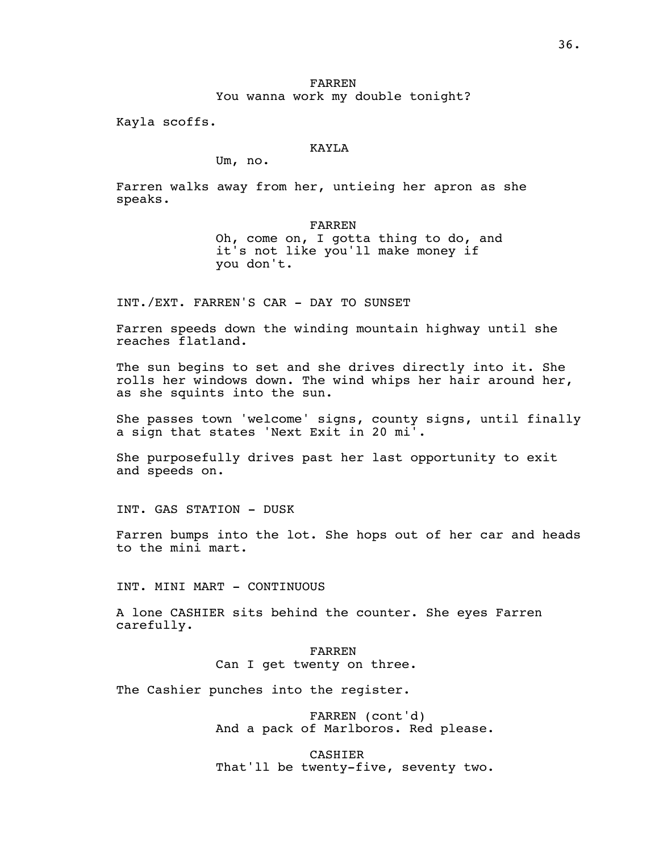## FARREN You wanna work my double tonight?

Kayla scoffs.

## KAYLA

Um, no.

Farren walks away from her, untieing her apron as she speaks.

FARREN

Oh, come on, I gotta thing to do, and it's not like you'll make money if you don't.

INT./EXT. FARREN'S CAR - DAY TO SUNSET

Farren speeds down the winding mountain highway until she reaches flatland.

The sun begins to set and she drives directly into it. She rolls her windows down. The wind whips her hair around her, as she squints into the sun.

She passes town 'welcome' signs, county signs, until finally a sign that states 'Next Exit in 20 mi'.

She purposefully drives past her last opportunity to exit and speeds on.

INT. GAS STATION - DUSK

Farren bumps into the lot. She hops out of her car and heads to the mini mart.

INT. MINI MART - CONTINUOUS

A lone CASHIER sits behind the counter. She eyes Farren carefully.

# FARREN Can I get twenty on three.

The Cashier punches into the register.

FARREN (cont'd) And a pack of Marlboros. Red please.

CASHIER That'll be twenty-five, seventy two.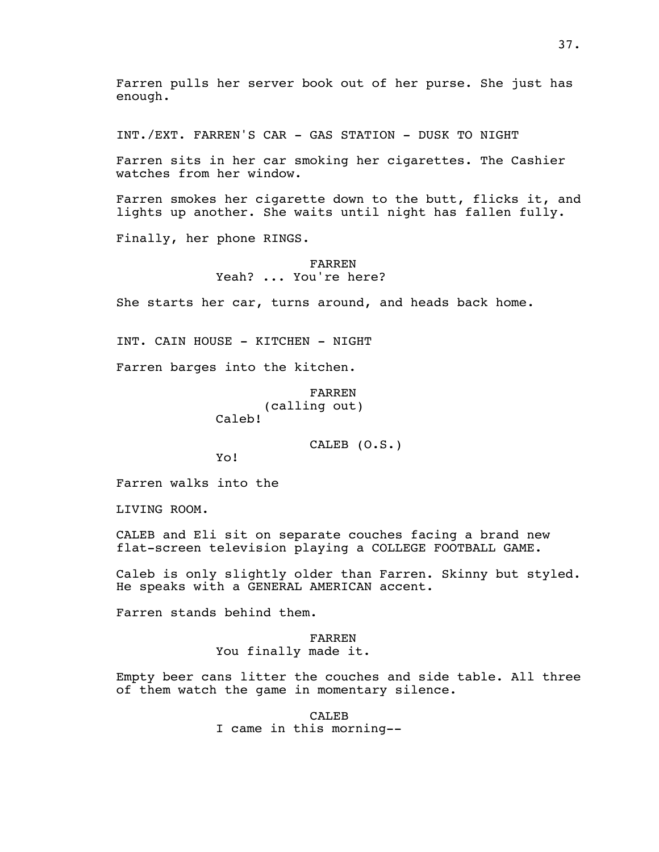Farren pulls her server book out of her purse. She just has enough.

INT./EXT. FARREN'S CAR - GAS STATION - DUSK TO NIGHT

Farren sits in her car smoking her cigarettes. The Cashier watches from her window.

Farren smokes her cigarette down to the butt, flicks it, and lights up another. She waits until night has fallen fully.

Finally, her phone RINGS.

## FARREN Yeah? ... You're here?

She starts her car, turns around, and heads back home.

INT. CAIN HOUSE - KITCHEN - NIGHT

Farren barges into the kitchen.

FARREN (calling out)

Caleb!

CALEB (O.S.)

Yo!

Farren walks into the

LIVING ROOM.

CALEB and Eli sit on separate couches facing a brand new flat-screen television playing a COLLEGE FOOTBALL GAME.

Caleb is only slightly older than Farren. Skinny but styled. He speaks with a GENERAL AMERICAN accent.

Farren stands behind them.

FARREN You finally made it.

Empty beer cans litter the couches and side table. All three of them watch the game in momentary silence.

> CALEB I came in this morning--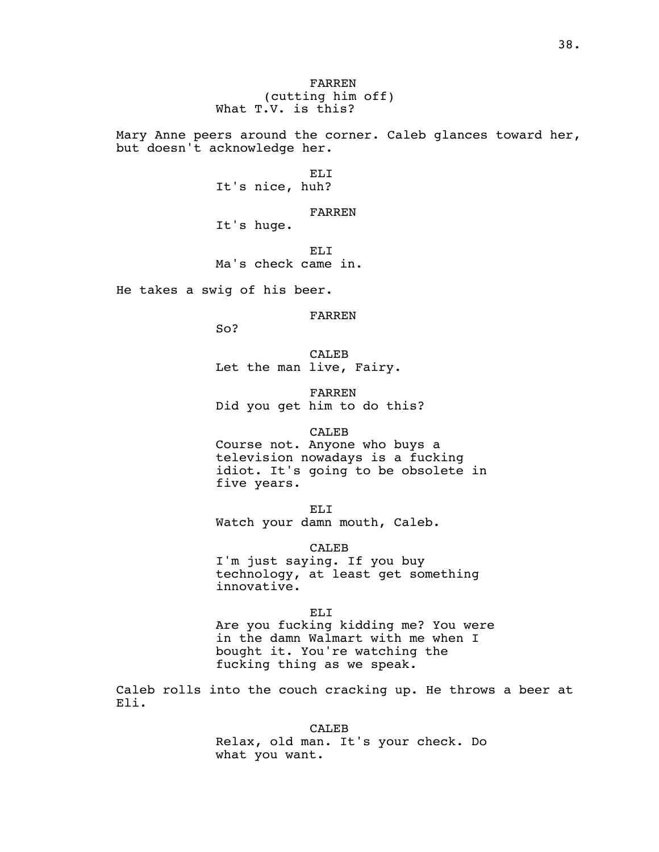FARREN (cutting him off) What T.V. is this?

Mary Anne peers around the corner. Caleb glances toward her, but doesn't acknowledge her.

> ELI It's nice, huh?

FARREN It's huge.

EL<sub>I</sub> Ma's check came in.

He takes a swig of his beer.

FARREN

So?

CALEB Let the man live, Fairy.

FARREN Did you get him to do this?

## CALEB

Course not. Anyone who buys a television nowadays is a fucking idiot. It's going to be obsolete in five years.

ELI

Watch your damn mouth, Caleb.

CALEB

I'm just saying. If you buy technology, at least get something innovative.

ELI Are you fucking kidding me? You were in the damn Walmart with me when I bought it. You're watching the fucking thing as we speak.

Caleb rolls into the couch cracking up. He throws a beer at Eli.

CALEB

Relax, old man. It's your check. Do what you want.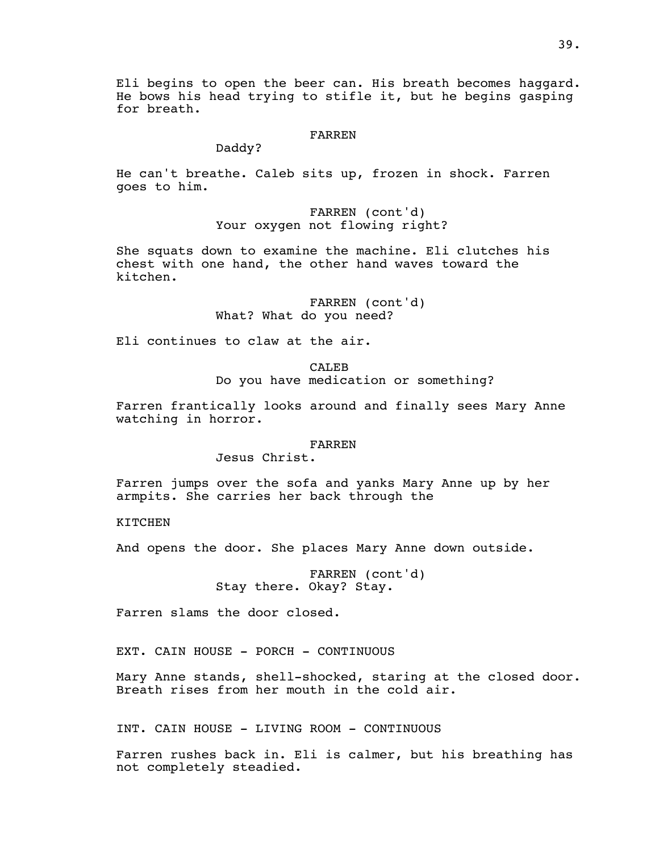Eli begins to open the beer can. His breath becomes haggard. He bows his head trying to stifle it, but he begins gasping for breath.

#### FARREN

Daddy?

He can't breathe. Caleb sits up, frozen in shock. Farren goes to him.

> FARREN (cont'd) Your oxygen not flowing right?

She squats down to examine the machine. Eli clutches his chest with one hand, the other hand waves toward the kitchen.

> FARREN (cont'd) What? What do you need?

Eli continues to claw at the air.

CALE<sub>B</sub> Do you have medication or something?

Farren frantically looks around and finally sees Mary Anne watching in horror.

#### FARREN

Jesus Christ.

Farren jumps over the sofa and yanks Mary Anne up by her armpits. She carries her back through the

KITCHEN

And opens the door. She places Mary Anne down outside.

FARREN (cont'd) Stay there. Okay? Stay.

Farren slams the door closed.

EXT. CAIN HOUSE - PORCH - CONTINUOUS

Mary Anne stands, shell-shocked, staring at the closed door. Breath rises from her mouth in the cold air.

INT. CAIN HOUSE - LIVING ROOM - CONTINUOUS

Farren rushes back in. Eli is calmer, but his breathing has not completely steadied.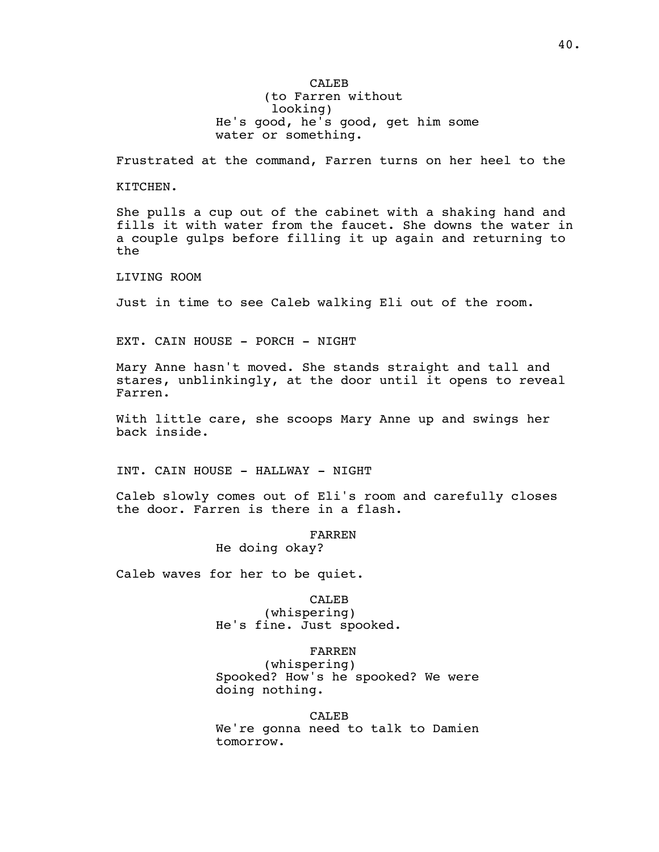CALE<sub>B</sub> (to Farren without looking) He's good, he's good, get him some water or something.

Frustrated at the command, Farren turns on her heel to the

KITCHEN.

She pulls a cup out of the cabinet with a shaking hand and fills it with water from the faucet. She downs the water in a couple gulps before filling it up again and returning to the

LIVING ROOM

Just in time to see Caleb walking Eli out of the room.

EXT. CAIN HOUSE - PORCH - NIGHT

Mary Anne hasn't moved. She stands straight and tall and stares, unblinkingly, at the door until it opens to reveal Farren.

With little care, she scoops Mary Anne up and swings her back inside.

INT. CAIN HOUSE - HALLWAY - NIGHT

Caleb slowly comes out of Eli's room and carefully closes the door. Farren is there in a flash.

> FARREN He doing okay?

Caleb waves for her to be quiet.

CALEB (whispering) He's fine. Just spooked.

FARREN

(whispering) Spooked? How's he spooked? We were doing nothing.

CALEB We're gonna need to talk to Damien tomorrow.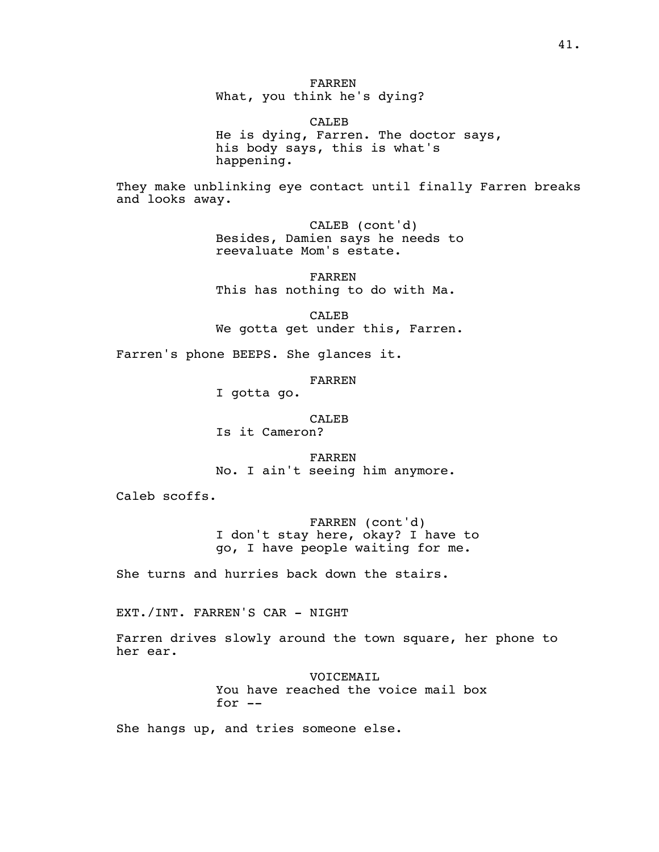FARREN What, you think he's dying?

CALEB He is dying, Farren. The doctor says, his body says, this is what's happening.

They make unblinking eye contact until finally Farren breaks and looks away.

> CALEB (cont'd) Besides, Damien says he needs to reevaluate Mom's estate.

FARREN This has nothing to do with Ma.

CALEB We gotta get under this, Farren.

Farren's phone BEEPS. She glances it.

FARREN

I gotta go.

CALEB

Is it Cameron?

FARREN No. I ain't seeing him anymore.

Caleb scoffs.

FARREN (cont'd) I don't stay here, okay? I have to go, I have people waiting for me.

She turns and hurries back down the stairs.

EXT./INT. FARREN'S CAR - NIGHT

Farren drives slowly around the town square, her phone to her ear.

> VOICEMAIL You have reached the voice mail box for --

She hangs up, and tries someone else.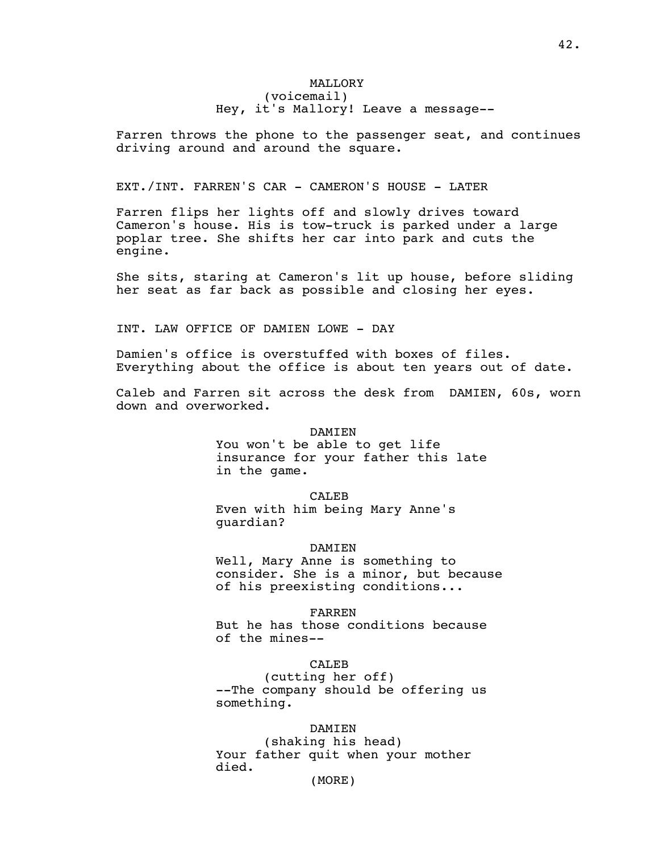## MALLORY (voicemail) Hey, it's Mallory! Leave a message--

Farren throws the phone to the passenger seat, and continues driving around and around the square.

## EXT./INT. FARREN'S CAR - CAMERON'S HOUSE - LATER

Farren flips her lights off and slowly drives toward Cameron's house. His is tow-truck is parked under a large poplar tree. She shifts her car into park and cuts the engine.

She sits, staring at Cameron's lit up house, before sliding her seat as far back as possible and closing her eyes.

INT. LAW OFFICE OF DAMIEN LOWE - DAY

Damien's office is overstuffed with boxes of files. Everything about the office is about ten years out of date.

Caleb and Farren sit across the desk from DAMIEN, 60s, worn down and overworked.

## DAMIEN

You won't be able to get life insurance for your father this late in the game.

CALEB

Even with him being Mary Anne's guardian?

#### DAMIEN

Well, Mary Anne is something to consider. She is a minor, but because of his preexisting conditions...

FARREN But he has those conditions because of the mines--

CALEB

(cutting her off) --The company should be offering us something.

## DAMIEN

(shaking his head) Your father quit when your mother died.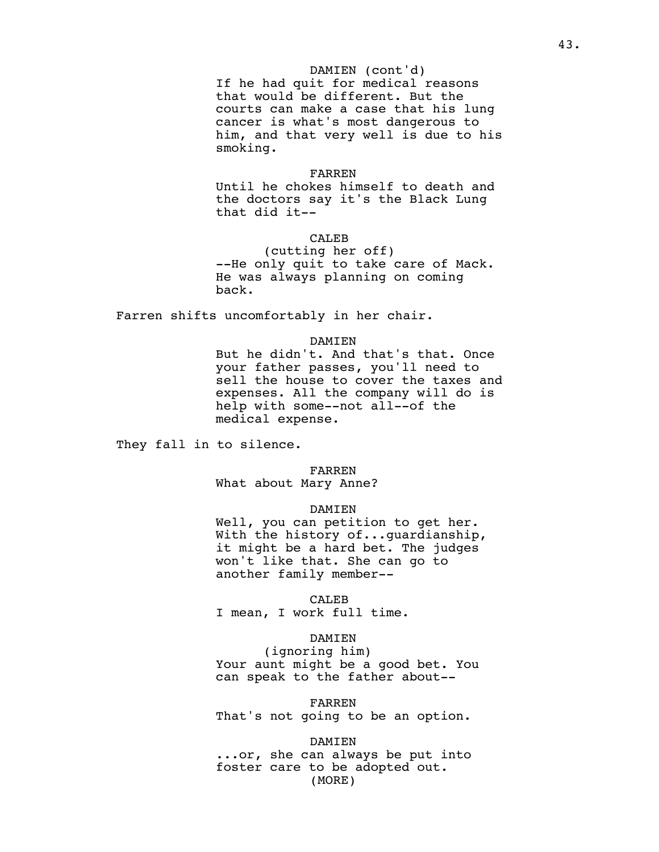#### DAMIEN (cont'd)

If he had quit for medical reasons that would be different. But the courts can make a case that his lung cancer is what's most dangerous to him, and that very well is due to his smoking.

#### FARREN

Until he chokes himself to death and the doctors say it's the Black Lung that did it--

## CALEB

(cutting her off) --He only quit to take care of Mack. He was always planning on coming back.

Farren shifts uncomfortably in her chair.

#### DAMIEN

But he didn't. And that's that. Once your father passes, you'll need to sell the house to cover the taxes and expenses. All the company will do is help with some--not all--of the medical expense.

They fall in to silence.

#### FARREN

What about Mary Anne?

#### DAMIEN

Well, you can petition to get her. With the history of...guardianship, it might be a hard bet. The judges won't like that. She can go to another family member--

CALEB

I mean, I work full time.

## DAMIEN

(ignoring him) Your aunt might be a good bet. You can speak to the father about--

FARREN

That's not going to be an option.

DAMIEN

...or, she can always be put into foster care to be adopted out. (MORE)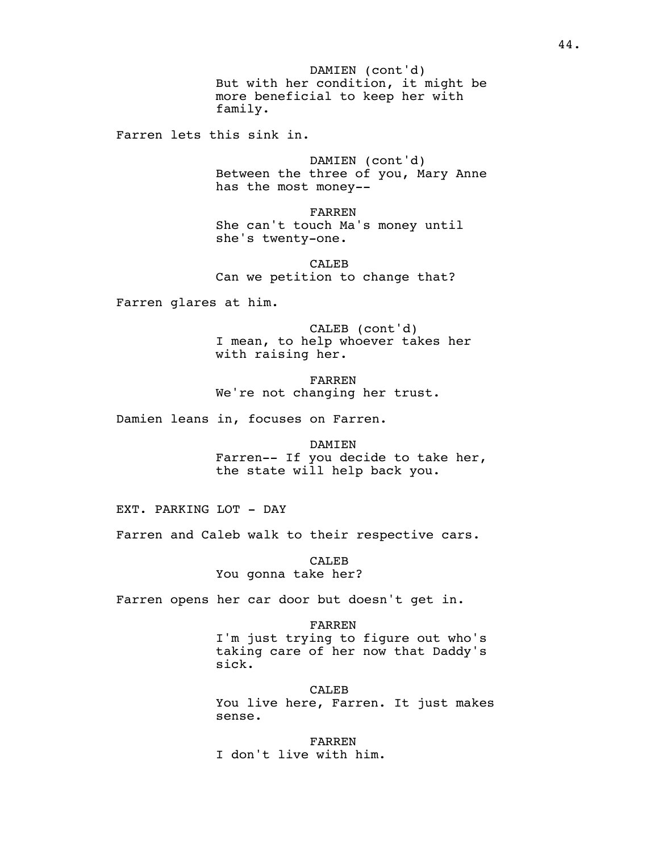But with her condition, it might be DAMIEN (cont'd) more beneficial to keep her with family.

Farren lets this sink in.

DAMIEN (cont'd) Between the three of you, Mary Anne has the most money--

FARREN She can't touch Ma's money until she's twenty-one.

CALEB Can we petition to change that?

Farren glares at him.

CALEB (cont'd) I mean, to help whoever takes her with raising her.

FARREN We're not changing her trust.

Damien leans in, focuses on Farren.

DAMIEN Farren-- If you decide to take her, the state will help back you.

EXT. PARKING LOT - DAY

Farren and Caleb walk to their respective cars.

CALEB You gonna take her?

Farren opens her car door but doesn't get in.

FARREN I'm just trying to figure out who's taking care of her now that Daddy's sick.

CALEB You live here, Farren. It just makes sense.

FARREN I don't live with him.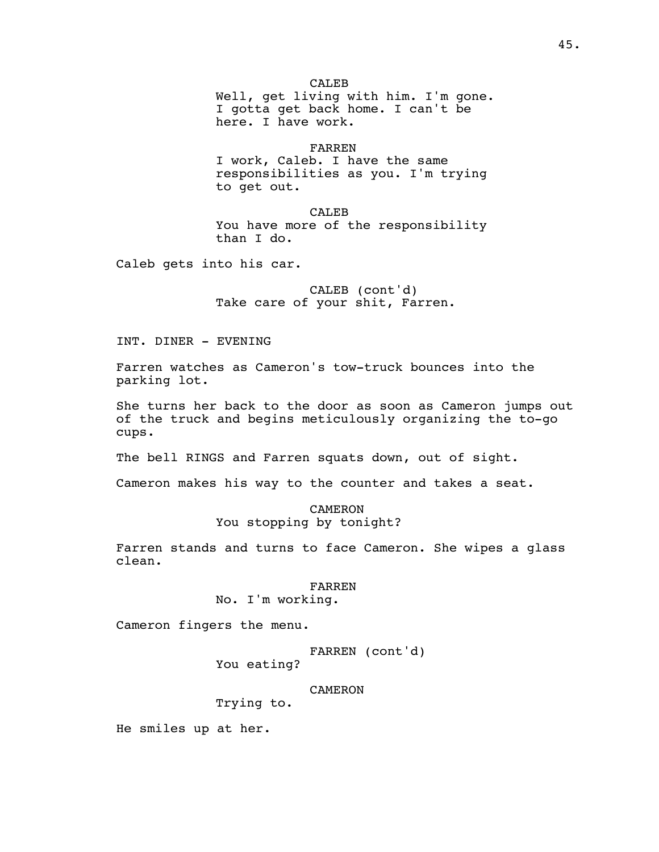CALEB Well, get living with him. I'm gone. I gotta get back home. I can't be here. I have work.

FARREN

I work, Caleb. I have the same responsibilities as you. I'm trying to get out.

CALEB You have more of the responsibility than I do.

Caleb gets into his car.

CALEB (cont'd) Take care of your shit, Farren.

INT. DINER - EVENING

Farren watches as Cameron's tow-truck bounces into the parking lot.

She turns her back to the door as soon as Cameron jumps out of the truck and begins meticulously organizing the to-go cups.

The bell RINGS and Farren squats down, out of sight.

Cameron makes his way to the counter and takes a seat.

CAMERON You stopping by tonight?

Farren stands and turns to face Cameron. She wipes a glass clean.

> FARREN No. I'm working.

Cameron fingers the menu.

FARREN (cont'd)

You eating?

CAMERON

Trying to.

He smiles up at her.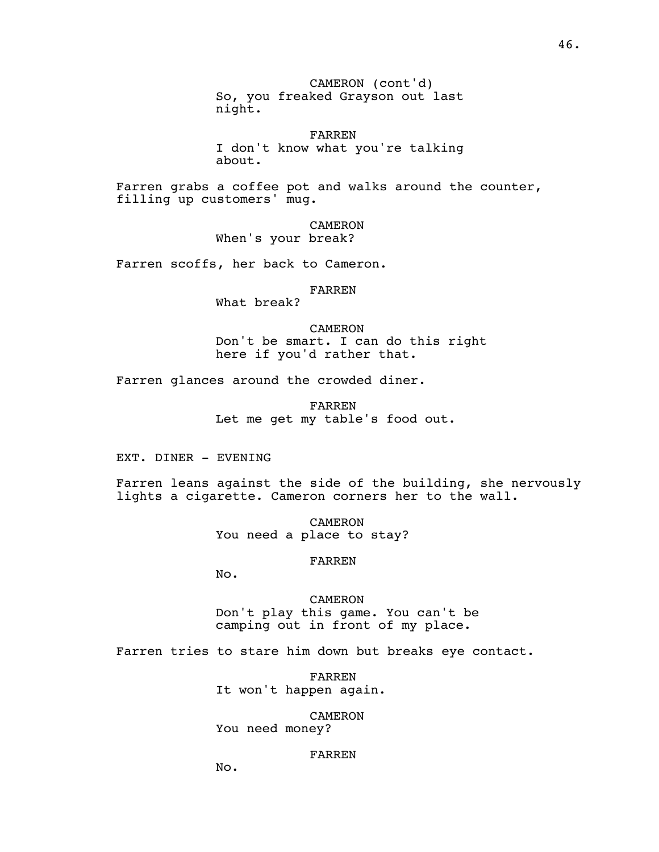CAMERON (cont'd) So, you freaked Grayson out last night.

FARREN I don't know what you're talking about.

Farren grabs a coffee pot and walks around the counter, filling up customers' mug.

> CAMERON When's your break?

Farren scoffs, her back to Cameron.

#### FARREN

What break?

CAMERON Don't be smart. I can do this right here if you'd rather that.

Farren glances around the crowded diner.

FARREN Let me get my table's food out.

EXT. DINER - EVENING

Farren leans against the side of the building, she nervously lights a cigarette. Cameron corners her to the wall.

> CAMERON You need a place to stay?

### FARREN

No.

CAMERON Don't play this game. You can't be camping out in front of my place.

Farren tries to stare him down but breaks eye contact.

FARREN It won't happen again.

CAMERON

You need money?

## FARREN

No.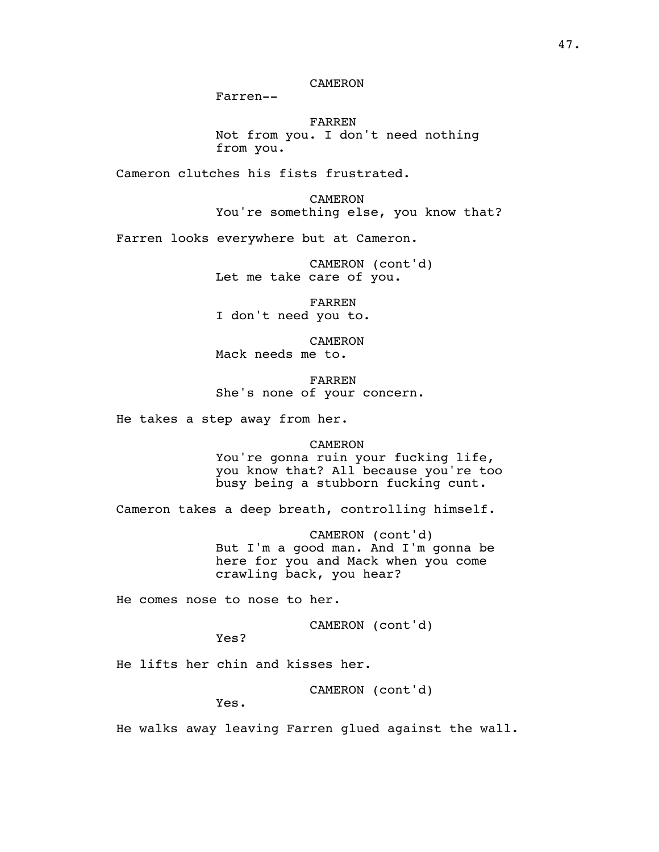# CAMERON

Farren--

FARREN Not from you. I don't need nothing from you.

Cameron clutches his fists frustrated.

CAMERON You're something else, you know that?

Farren looks everywhere but at Cameron.

CAMERON (cont'd) Let me take care of you.

FARREN I don't need you to.

CAMERON Mack needs me to.

FARREN She's none of your concern.

He takes a step away from her.

CAMERON You're gonna ruin your fucking life, you know that? All because you're too busy being a stubborn fucking cunt.

Cameron takes a deep breath, controlling himself.

CAMERON (cont'd) But I'm a good man. And I'm gonna be here for you and Mack when you come crawling back, you hear?

He comes nose to nose to her.

CAMERON (cont'd)

Yes?

He lifts her chin and kisses her.

CAMERON (cont'd)

Yes.

He walks away leaving Farren glued against the wall.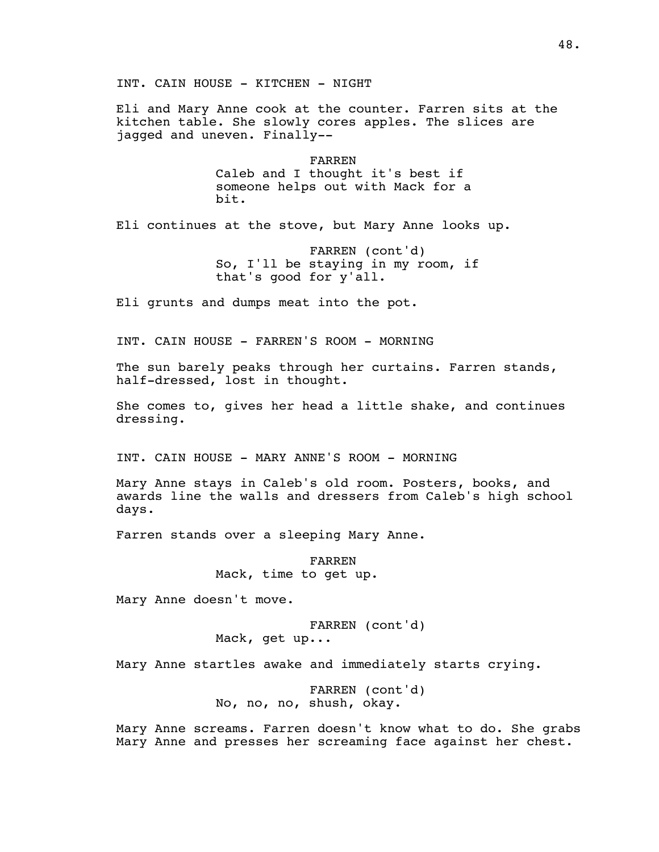INT. CAIN HOUSE - KITCHEN - NIGHT

Eli and Mary Anne cook at the counter. Farren sits at the kitchen table. She slowly cores apples. The slices are jagged and uneven. Finally--

> FARREN Caleb and I thought it's best if someone helps out with Mack for a bit.

Eli continues at the stove, but Mary Anne looks up.

FARREN (cont'd) So, I'll be staying in my room, if that's good for y'all.

Eli grunts and dumps meat into the pot.

INT. CAIN HOUSE - FARREN'S ROOM - MORNING

The sun barely peaks through her curtains. Farren stands, half-dressed, lost in thought.

She comes to, gives her head a little shake, and continues dressing.

INT. CAIN HOUSE - MARY ANNE'S ROOM - MORNING

Mary Anne stays in Caleb's old room. Posters, books, and awards line the walls and dressers from Caleb's high school days.

Farren stands over a sleeping Mary Anne.

FARREN Mack, time to get up.

Mary Anne doesn't move.

FARREN (cont'd) Mack, get up...

Mary Anne startles awake and immediately starts crying.

FARREN (cont'd) No, no, no, shush, okay.

Mary Anne screams. Farren doesn't know what to do. She grabs Mary Anne and presses her screaming face against her chest.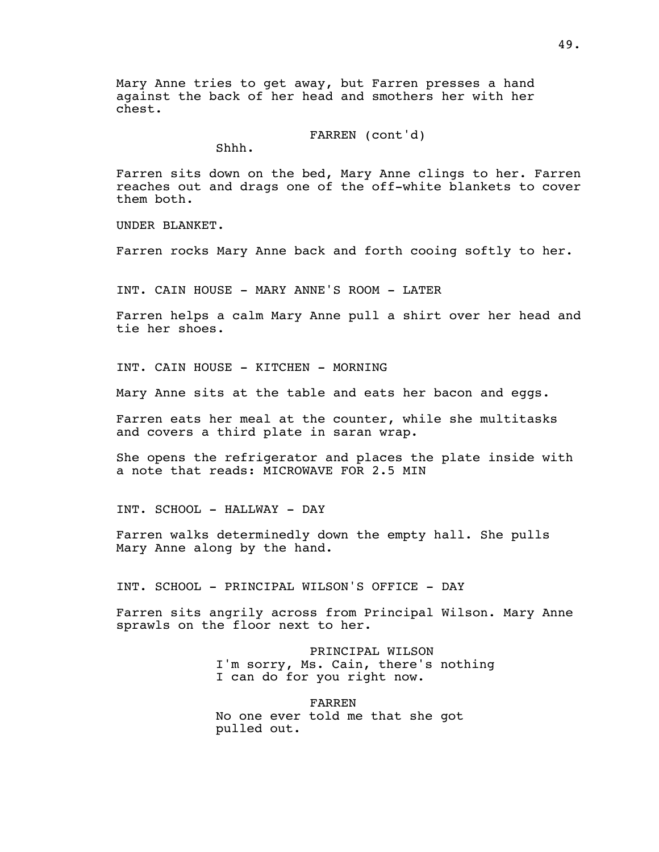Mary Anne tries to get away, but Farren presses a hand against the back of her head and smothers her with her chest.

FARREN (cont'd)

Shhh.

Farren sits down on the bed, Mary Anne clings to her. Farren reaches out and drags one of the off-white blankets to cover them both.

UNDER BLANKET.

Farren rocks Mary Anne back and forth cooing softly to her.

INT. CAIN HOUSE - MARY ANNE'S ROOM - LATER

Farren helps a calm Mary Anne pull a shirt over her head and tie her shoes.

INT. CAIN HOUSE - KITCHEN - MORNING

Mary Anne sits at the table and eats her bacon and eggs.

Farren eats her meal at the counter, while she multitasks and covers a third plate in saran wrap.

She opens the refrigerator and places the plate inside with a note that reads: MICROWAVE FOR 2.5 MIN

INT. SCHOOL - HALLWAY - DAY

Farren walks determinedly down the empty hall. She pulls Mary Anne along by the hand.

INT. SCHOOL - PRINCIPAL WILSON'S OFFICE - DAY

Farren sits angrily across from Principal Wilson. Mary Anne sprawls on the floor next to her.

> PRINCIPAL WILSON I'm sorry, Ms. Cain, there's nothing I can do for you right now.

FARREN No one ever told me that she got pulled out.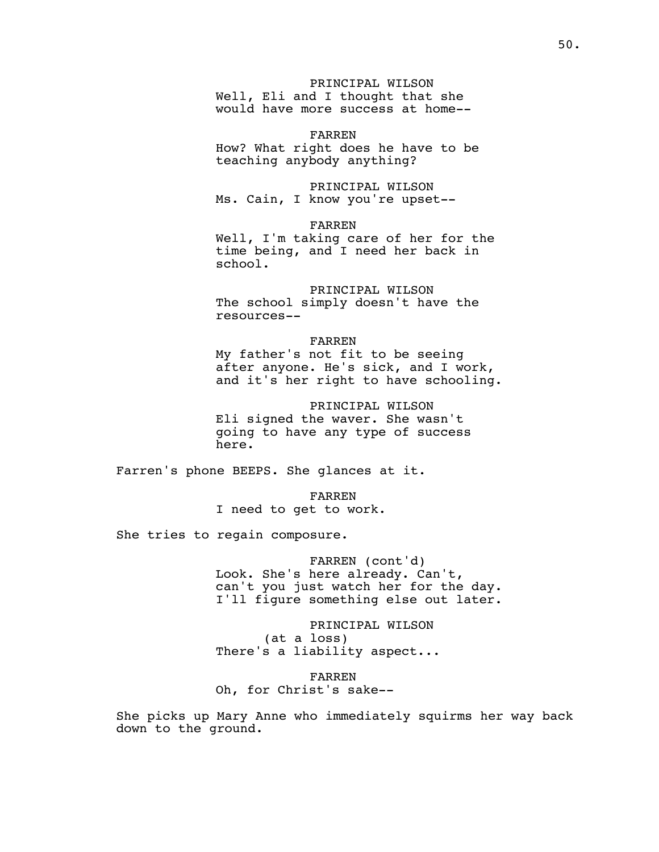PRINCIPAL WILSON Well, Eli and I thought that she would have more success at home--

FARREN How? What right does he have to be teaching anybody anything?

PRINCIPAL WILSON Ms. Cain, I know you're upset--

FARREN Well, I'm taking care of her for the time being, and I need her back in school.

PRINCIPAL WILSON The school simply doesn't have the resources--

FARREN My father's not fit to be seeing after anyone. He's sick, and I work, and it's her right to have schooling.

PRINCIPAL WILSON Eli signed the waver. She wasn't going to have any type of success here.

Farren's phone BEEPS. She glances at it.

FARREN I need to get to work.

She tries to regain composure.

FARREN (cont'd) Look. She's here already. Can't, can't you just watch her for the day. I'll figure something else out later.

PRINCIPAL WILSON (at a loss) There's a liability aspect...

FARREN Oh, for Christ's sake--

She picks up Mary Anne who immediately squirms her way back down to the ground.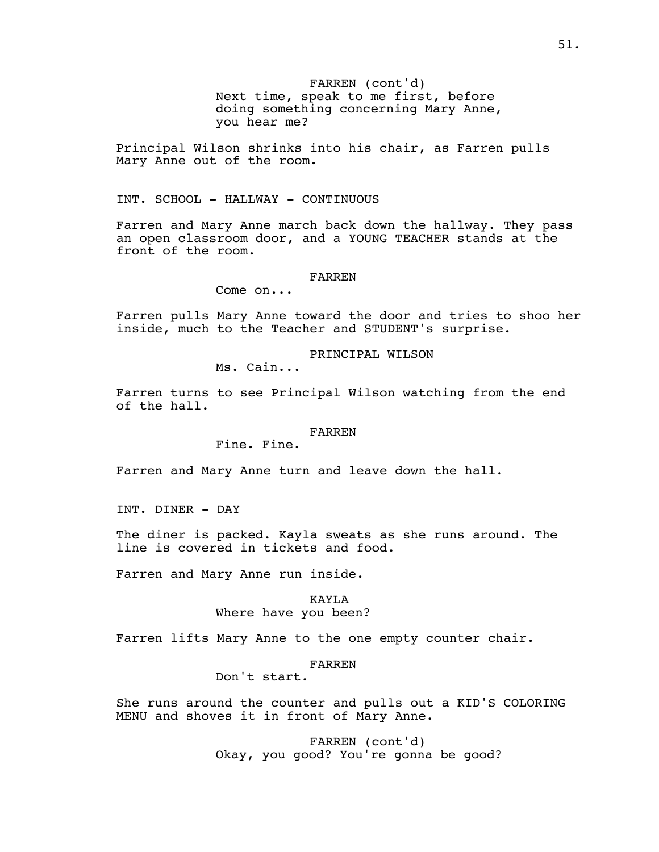FARREN (cont'd) Next time, speak to me first, before doing something concerning Mary Anne, you hear me?

Principal Wilson shrinks into his chair, as Farren pulls Mary Anne out of the room.

INT. SCHOOL - HALLWAY - CONTINUOUS

Farren and Mary Anne march back down the hallway. They pass an open classroom door, and a YOUNG TEACHER stands at the front of the room.

#### FARREN

Come on...

Farren pulls Mary Anne toward the door and tries to shoo her inside, much to the Teacher and STUDENT's surprise.

PRINCIPAL WILSON

Ms. Cain...

Farren turns to see Principal Wilson watching from the end of the hall.

## FARREN

Fine. Fine.

Farren and Mary Anne turn and leave down the hall.

INT. DINER - DAY

The diner is packed. Kayla sweats as she runs around. The line is covered in tickets and food.

Farren and Mary Anne run inside.

## KAYLA Where have you been?

Farren lifts Mary Anne to the one empty counter chair.

#### FARREN

Don't start.

She runs around the counter and pulls out a KID'S COLORING MENU and shoves it in front of Mary Anne.

> FARREN (cont'd) Okay, you good? You're gonna be good?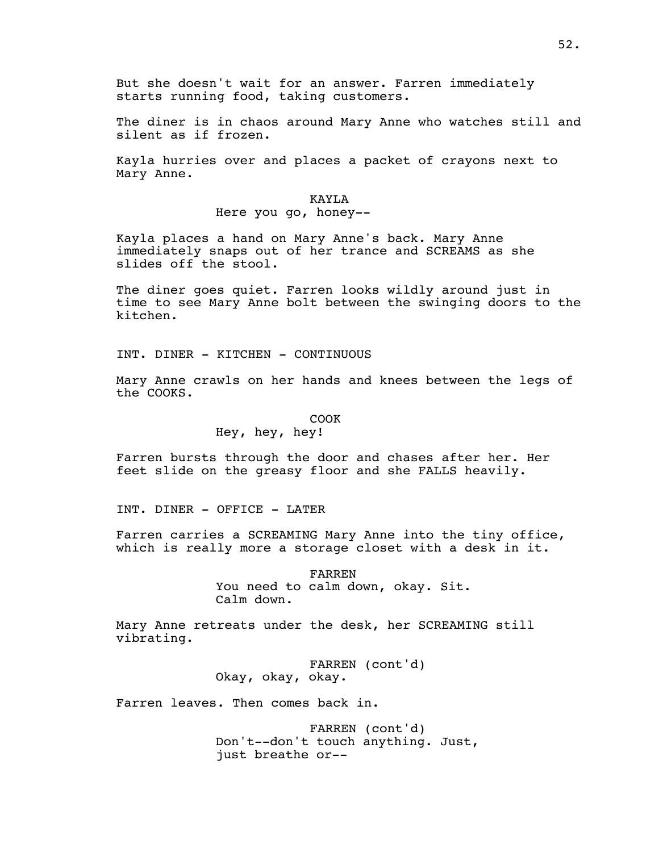But she doesn't wait for an answer. Farren immediately starts running food, taking customers.

The diner is in chaos around Mary Anne who watches still and silent as if frozen.

Kayla hurries over and places a packet of crayons next to Mary Anne.

#### KAYLA

Here you go, honey--

Kayla places a hand on Mary Anne's back. Mary Anne immediately snaps out of her trance and SCREAMS as she slides off the stool.

The diner goes quiet. Farren looks wildly around just in time to see Mary Anne bolt between the swinging doors to the kitchen.

INT. DINER - KITCHEN - CONTINUOUS

Mary Anne crawls on her hands and knees between the legs of the COOKS.

#### COOK

# Hey, hey, hey!

Farren bursts through the door and chases after her. Her feet slide on the greasy floor and she FALLS heavily.

INT. DINER - OFFICE - LATER

Farren carries a SCREAMING Mary Anne into the tiny office, which is really more a storage closet with a desk in it.

> FARREN You need to calm down, okay. Sit. Calm down.

Mary Anne retreats under the desk, her SCREAMING still vibrating.

> FARREN (cont'd) Okay, okay, okay.

Farren leaves. Then comes back in.

FARREN (cont'd) Don't--don't touch anything. Just, just breathe or--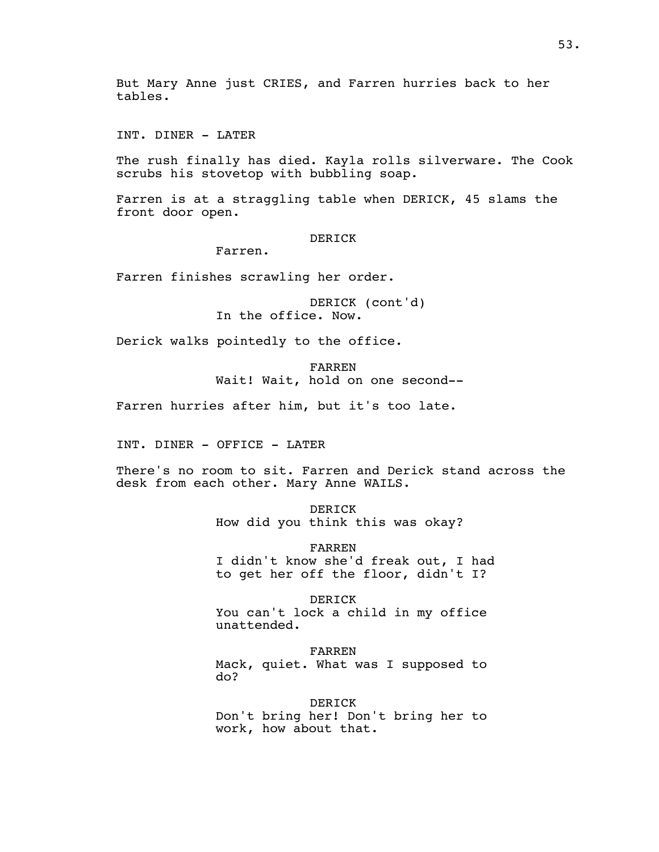INT. DINER - LATER

The rush finally has died. Kayla rolls silverware. The Cook scrubs his stovetop with bubbling soap.

Farren is at a straggling table when DERICK, 45 slams the front door open.

DERICK

Farren.

Farren finishes scrawling her order.

DERICK (cont'd) In the office. Now.

Derick walks pointedly to the office.

FARREN Wait! Wait, hold on one second--

Farren hurries after him, but it's too late.

INT. DINER - OFFICE - LATER

There's no room to sit. Farren and Derick stand across the desk from each other. Mary Anne WAILS.

> DERICK How did you think this was okay?

FARREN I didn't know she'd freak out, I had to get her off the floor, didn't I?

DERICK You can't lock a child in my office unattended.

FARREN Mack, quiet. What was I supposed to do?

DERICK Don't bring her! Don't bring her to work, how about that.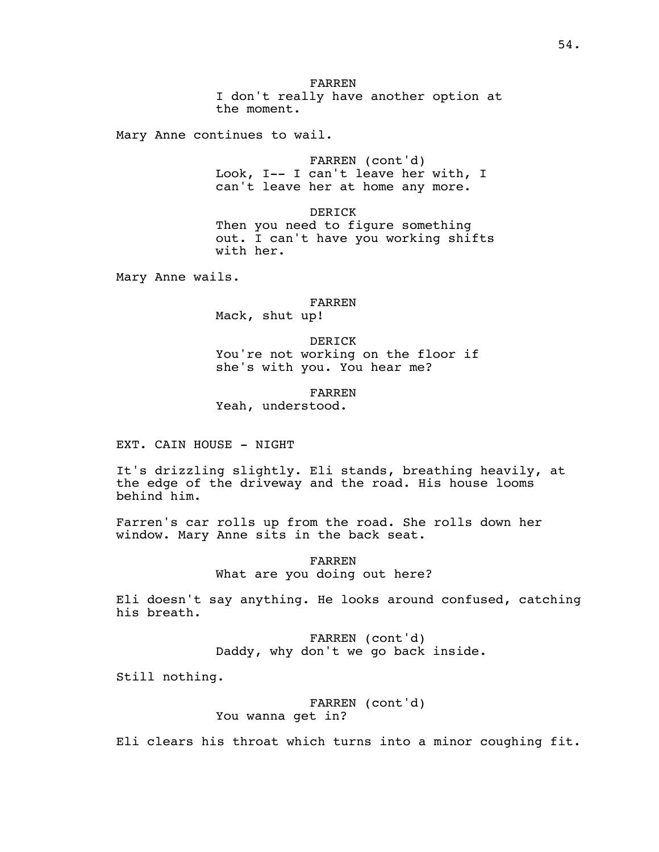Mary Anne continues to wail.

FARREN (cont'd) Look, I-- I can't leave her with, I can't leave her at home any more.

DERICK Then you need to figure something out. I can't have you working shifts with her.

Mary Anne wails.

FARREN Mack, shut up!

DERICK You're not working on the floor if she's with you. You hear me?

FARREN

Yeah, understood.

EXT. CAIN HOUSE - NIGHT

It's drizzling slightly. Eli stands, breathing heavily, at the edge of the driveway and the road. His house looms behind him.

Farren's car rolls up from the road. She rolls down her window. Mary Anne sits in the back seat.

> FARREN What are you doing out here?

Eli doesn't say anything. He looks around confused, catching his breath.

> FARREN (cont'd) Daddy, why don't we go back inside.

Still nothing.

FARREN (cont'd) You wanna get in?

Eli clears his throat which turns into a minor coughing fit.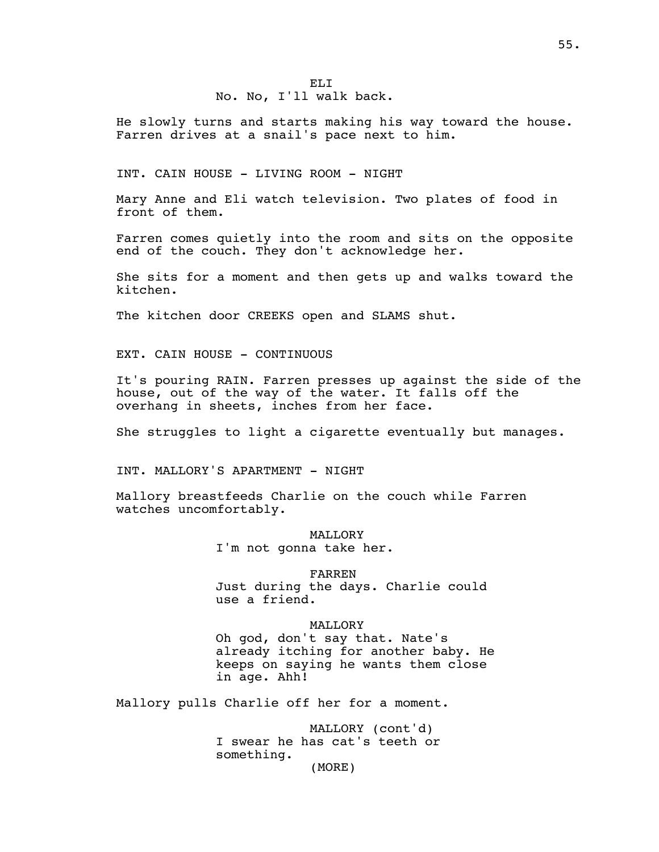## EL<sub>I</sub> No. No, I'll walk back.

He slowly turns and starts making his way toward the house. Farren drives at a snail's pace next to him.

INT. CAIN HOUSE - LIVING ROOM - NIGHT

Mary Anne and Eli watch television. Two plates of food in front of them.

Farren comes quietly into the room and sits on the opposite end of the couch. They don't acknowledge her.

She sits for a moment and then gets up and walks toward the kitchen.

The kitchen door CREEKS open and SLAMS shut.

EXT. CAIN HOUSE - CONTINUOUS

It's pouring RAIN. Farren presses up against the side of the house, out of the way of the water. It falls off the overhang in sheets, inches from her face.

She struggles to light a cigarette eventually but manages.

INT. MALLORY'S APARTMENT - NIGHT

Mallory breastfeeds Charlie on the couch while Farren watches uncomfortably.

> MALLORY I'm not gonna take her.

FARREN Just during the days. Charlie could use a friend.

**MALLORY** Oh god, don't say that. Nate's already itching for another baby. He keeps on saying he wants them close in age. Ahh!

Mallory pulls Charlie off her for a moment.

MALLORY (cont'd) I swear he has cat's teeth or something.

(MORE)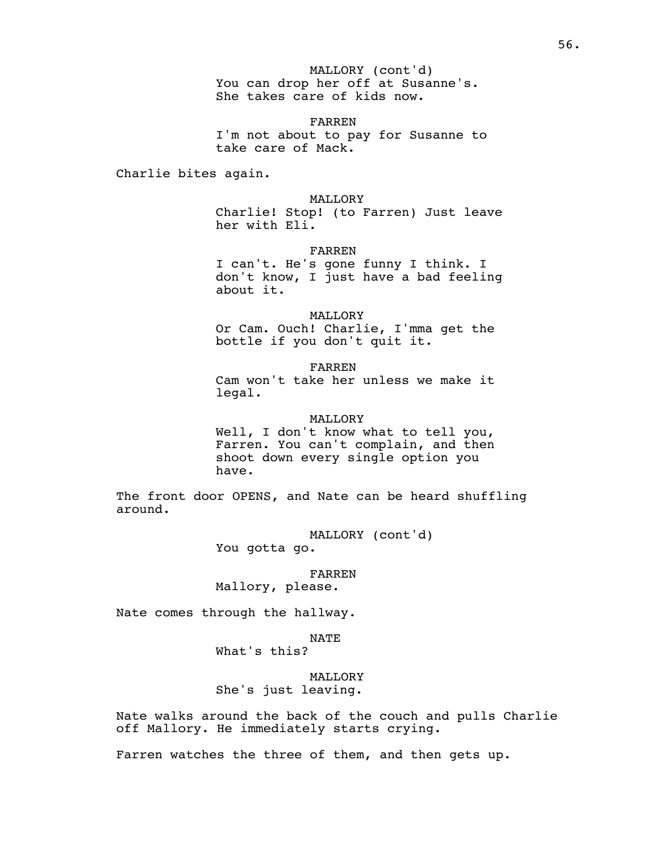You can drop her off at Susanne's. MALLORY (cont'd) She takes care of kids now.

FARREN I'm not about to pay for Susanne to take care of Mack.

Charlie bites again.

### MALLORY

Charlie! Stop! (to Farren) Just leave her with Eli.

FARREN

I can't. He's gone funny I think. I don't know, I just have a bad feeling about it.

MALLORY

Or Cam. Ouch! Charlie, I'mma get the bottle if you don't quit it.

FARREN Cam won't take her unless we make it legal.

#### MALLORY

Well, I don't know what to tell you, Farren. You can't complain, and then shoot down every single option you have.

The front door OPENS, and Nate can be heard shuffling around.

> MALLORY (cont'd) You gotta go.

> > FARREN

Mallory, please.

Nate comes through the hallway.

NATE What's this?

MALLORY She's just leaving.

Nate walks around the back of the couch and pulls Charlie off Mallory. He immediately starts crying.

Farren watches the three of them, and then gets up.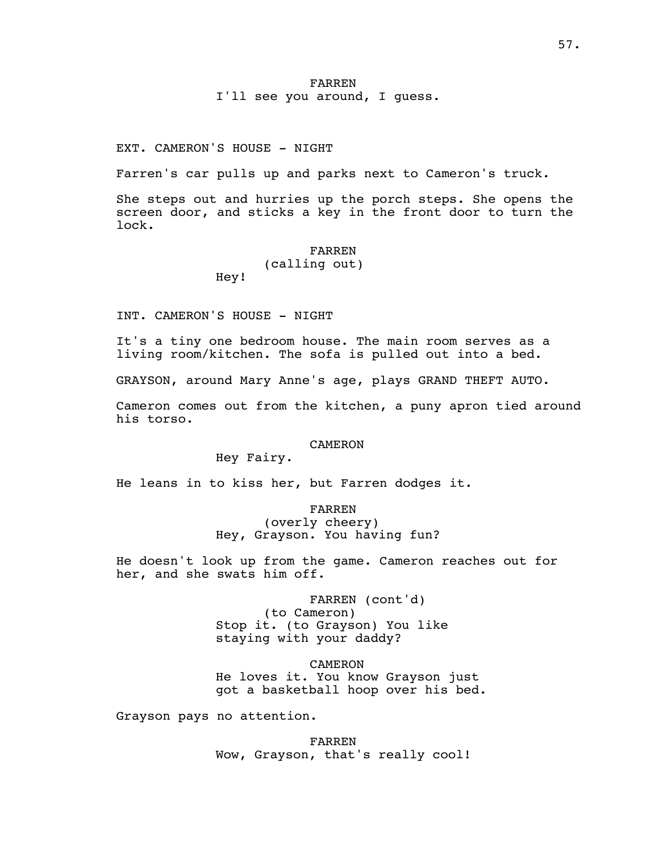## FARREN I'll see you around, I guess.

EXT. CAMERON'S HOUSE - NIGHT

Farren's car pulls up and parks next to Cameron's truck.

She steps out and hurries up the porch steps. She opens the screen door, and sticks a key in the front door to turn the lock.

### FARREN

(calling out) Hey!

INT. CAMERON'S HOUSE - NIGHT

It's a tiny one bedroom house. The main room serves as a living room/kitchen. The sofa is pulled out into a bed.

GRAYSON, around Mary Anne's age, plays GRAND THEFT AUTO.

Cameron comes out from the kitchen, a puny apron tied around his torso.

#### CAMERON

Hey Fairy.

He leans in to kiss her, but Farren dodges it.

FARREN

(overly cheery) Hey, Grayson. You having fun?

He doesn't look up from the game. Cameron reaches out for her, and she swats him off.

> FARREN (cont'd) (to Cameron) Stop it. (to Grayson) You like staying with your daddy?

CAMERON He loves it. You know Grayson just got a basketball hoop over his bed.

Grayson pays no attention.

FARREN Wow, Grayson, that's really cool!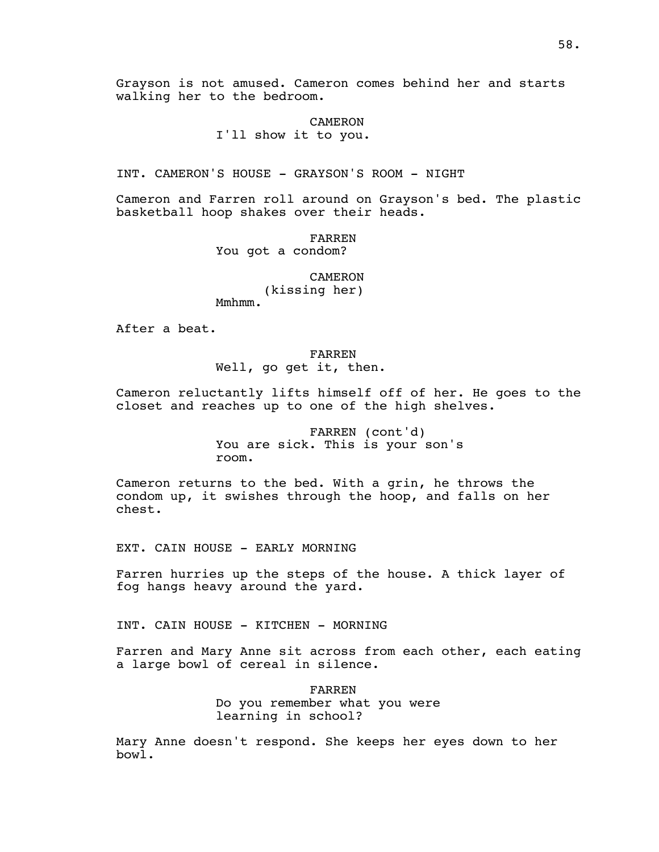Grayson is not amused. Cameron comes behind her and starts walking her to the bedroom.

> CAMERON I'll show it to you.

INT. CAMERON'S HOUSE - GRAYSON'S ROOM - NIGHT

Cameron and Farren roll around on Grayson's bed. The plastic basketball hoop shakes over their heads.

> FARREN You got a condom?

> > **CAMERON** (kissing her)

Mmhmm.

After a beat.

FARREN Well, go get it, then.

Cameron reluctantly lifts himself off of her. He goes to the closet and reaches up to one of the high shelves.

> FARREN (cont'd) You are sick. This is your son's room.

Cameron returns to the bed. With a grin, he throws the condom up, it swishes through the hoop, and falls on her chest.

EXT. CAIN HOUSE - EARLY MORNING

Farren hurries up the steps of the house. A thick layer of fog hangs heavy around the yard.

INT. CAIN HOUSE - KITCHEN - MORNING

Farren and Mary Anne sit across from each other, each eating a large bowl of cereal in silence.

> FARREN Do you remember what you were learning in school?

Mary Anne doesn't respond. She keeps her eyes down to her bowl.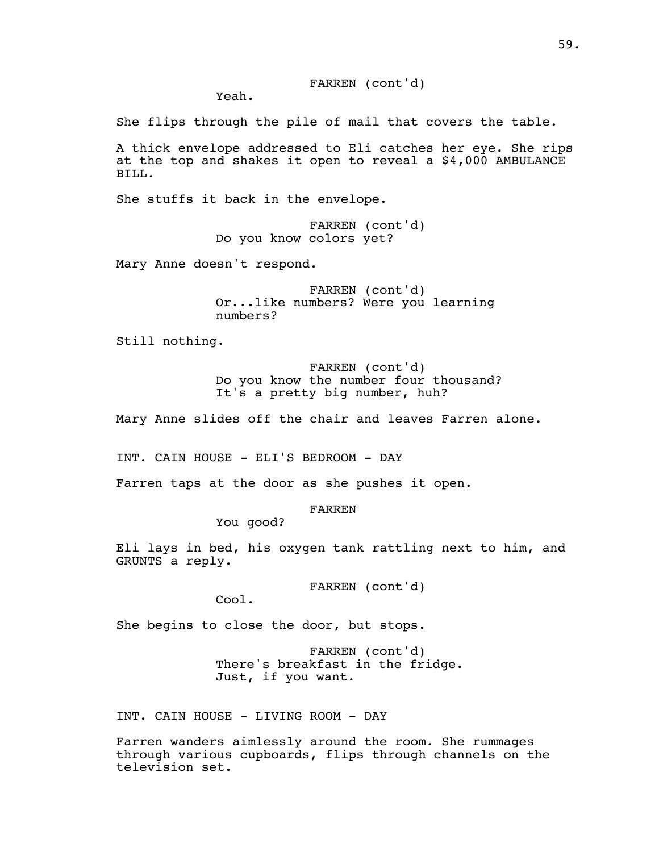Yeah.

She flips through the pile of mail that covers the table.

A thick envelope addressed to Eli catches her eye. She rips at the top and shakes it open to reveal a \$4,000 AMBULANCE BILL.

She stuffs it back in the envelope.

FARREN (cont'd) Do you know colors yet?

Mary Anne doesn't respond.

FARREN (cont'd) Or...like numbers? Were you learning numbers?

Still nothing.

FARREN (cont'd) Do you know the number four thousand? It's a pretty big number, huh?

Mary Anne slides off the chair and leaves Farren alone.

INT. CAIN HOUSE - ELI'S BEDROOM - DAY

Farren taps at the door as she pushes it open.

FARREN

You good?

Eli lays in bed, his oxygen tank rattling next to him, and GRUNTS a reply.

FARREN (cont'd)

Cool.

She begins to close the door, but stops.

FARREN (cont'd) There's breakfast in the fridge. Just, if you want.

INT. CAIN HOUSE - LIVING ROOM - DAY

Farren wanders aimlessly around the room. She rummages through various cupboards, flips through channels on the television set.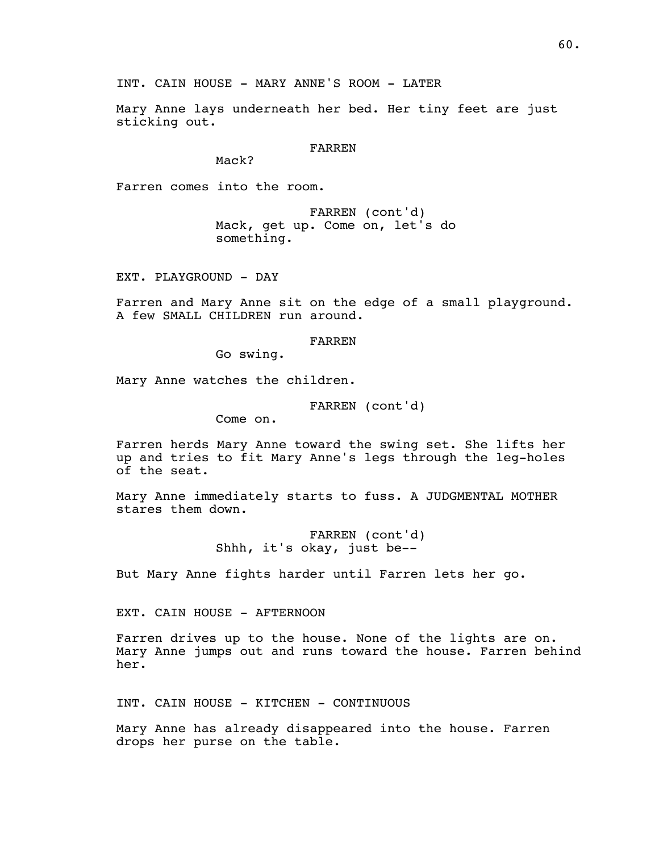Mary Anne lays underneath her bed. Her tiny feet are just sticking out.

#### FARREN

Mack?

Farren comes into the room.

FARREN (cont'd) Mack, get up. Come on, let's do something.

EXT. PLAYGROUND - DAY

Farren and Mary Anne sit on the edge of a small playground. A few SMALL CHILDREN run around.

FARREN

Go swing.

Mary Anne watches the children.

FARREN (cont'd)

Come on.

Farren herds Mary Anne toward the swing set. She lifts her up and tries to fit Mary Anne's legs through the leg-holes of the seat.

Mary Anne immediately starts to fuss. A JUDGMENTAL MOTHER stares them down.

> FARREN (cont'd) Shhh, it's okay, just be--

But Mary Anne fights harder until Farren lets her go.

EXT. CAIN HOUSE - AFTERNOON

Farren drives up to the house. None of the lights are on. Mary Anne jumps out and runs toward the house. Farren behind her.

INT. CAIN HOUSE - KITCHEN - CONTINUOUS

Mary Anne has already disappeared into the house. Farren drops her purse on the table.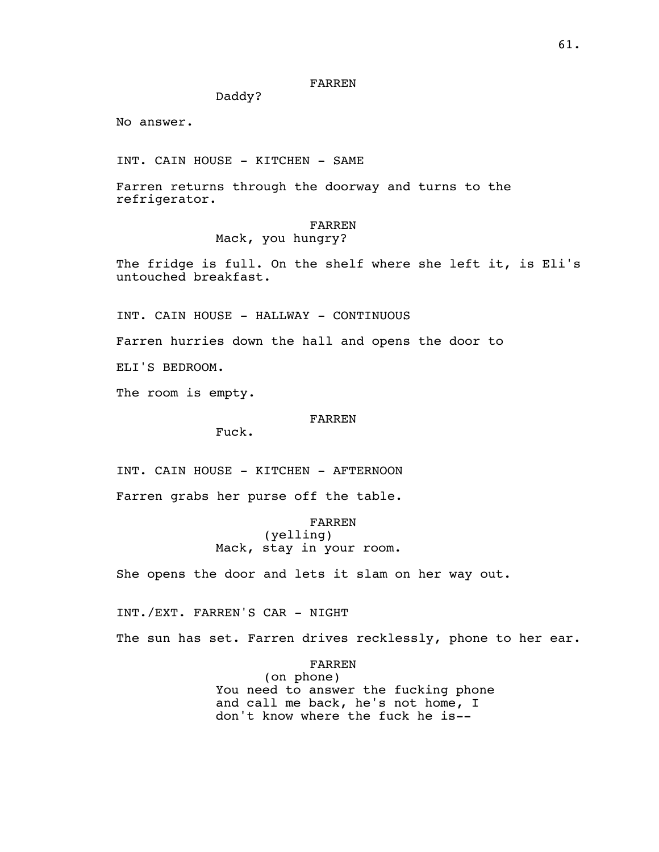## FARREN

Daddy?

No answer.

INT. CAIN HOUSE - KITCHEN - SAME

Farren returns through the doorway and turns to the refrigerator.

## FARREN

# Mack, you hungry?

The fridge is full. On the shelf where she left it, is Eli's untouched breakfast.

INT. CAIN HOUSE - HALLWAY - CONTINUOUS

Farren hurries down the hall and opens the door to

ELI'S BEDROOM.

The room is empty.

## FARREN

Fuck.

INT. CAIN HOUSE - KITCHEN - AFTERNOON

Farren grabs her purse off the table.

FARREN (yelling) Mack, stay in your room.

She opens the door and lets it slam on her way out.

INT./EXT. FARREN'S CAR - NIGHT

The sun has set. Farren drives recklessly, phone to her ear.

FARREN (on phone) You need to answer the fucking phone and call me back, he's not home, I don't know where the fuck he is--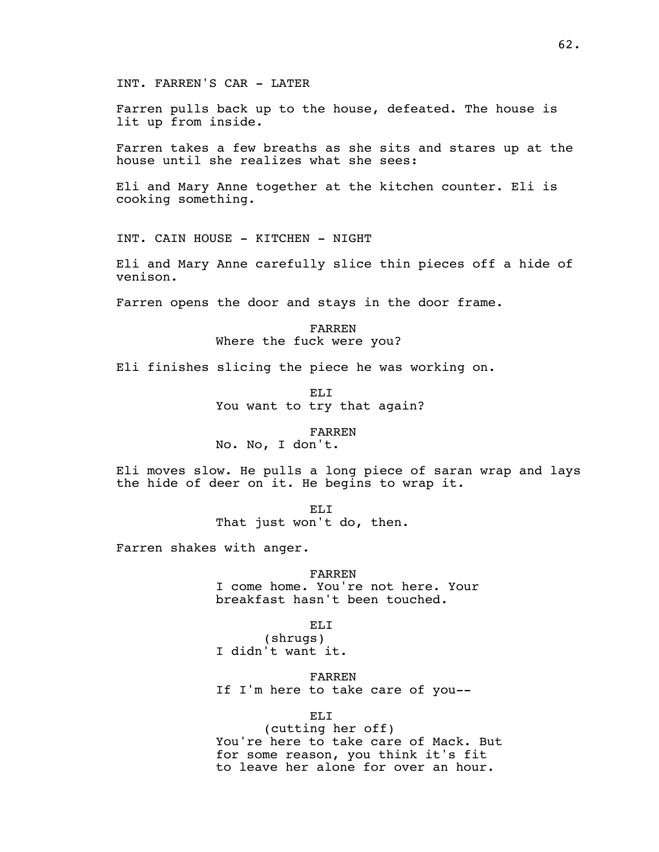INT. FARREN'S CAR - LATER

Farren pulls back up to the house, defeated. The house is lit up from inside.

Farren takes a few breaths as she sits and stares up at the house until she realizes what she sees:

Eli and Mary Anne together at the kitchen counter. Eli is cooking something.

INT. CAIN HOUSE - KITCHEN - NIGHT

Eli and Mary Anne carefully slice thin pieces off a hide of venison.

Farren opens the door and stays in the door frame.

FARREN Where the fuck were you?

Eli finishes slicing the piece he was working on.

EL<sub>I</sub> You want to try that again?

FARREN

No. No, I don't.

Eli moves slow. He pulls a long piece of saran wrap and lays the hide of deer on it. He begins to wrap it.

> ELI That just won't do, then.

Farren shakes with anger.

FARREN I come home. You're not here. Your breakfast hasn't been touched.

EL<sub>I</sub>

(shrugs) I didn't want it.

FARREN If I'm here to take care of you--

ELI

(cutting her off) You're here to take care of Mack. But for some reason, you think it's fit to leave her alone for over an hour.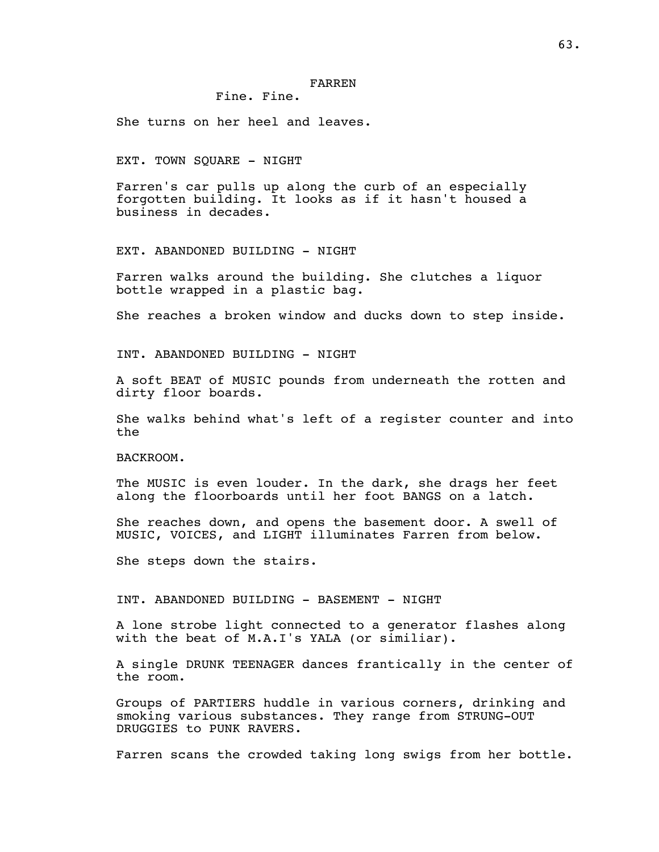# Fine. Fine.

She turns on her heel and leaves.

#### EXT. TOWN SQUARE - NIGHT

Farren's car pulls up along the curb of an especially forgotten building. It looks as if it hasn't housed a business in decades.

EXT. ABANDONED BUILDING - NIGHT

Farren walks around the building. She clutches a liquor bottle wrapped in a plastic bag.

She reaches a broken window and ducks down to step inside.

INT. ABANDONED BUILDING - NIGHT

A soft BEAT of MUSIC pounds from underneath the rotten and dirty floor boards.

She walks behind what's left of a register counter and into the

BACKROOM.

The MUSIC is even louder. In the dark, she drags her feet along the floorboards until her foot BANGS on a latch.

She reaches down, and opens the basement door. A swell of MUSIC, VOICES, and LIGHT illuminates Farren from below.

She steps down the stairs.

INT. ABANDONED BUILDING - BASEMENT - NIGHT

A lone strobe light connected to a generator flashes along with the beat of M.A.I's YALA (or similiar).

A single DRUNK TEENAGER dances frantically in the center of the room.

Groups of PARTIERS huddle in various corners, drinking and smoking various substances. They range from STRUNG-OUT DRUGGIES to PUNK RAVERS.

Farren scans the crowded taking long swigs from her bottle.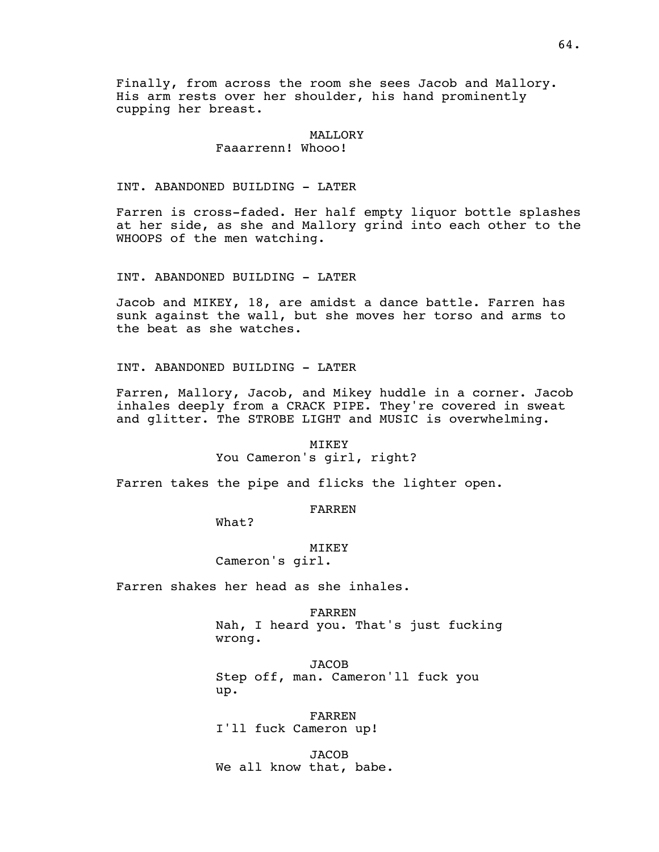Finally, from across the room she sees Jacob and Mallory. His arm rests over her shoulder, his hand prominently cupping her breast.

# MALLORY

# Faaarrenn! Whooo!

INT. ABANDONED BUILDING - LATER

Farren is cross-faded. Her half empty liquor bottle splashes at her side, as she and Mallory grind into each other to the WHOOPS of the men watching.

INT. ABANDONED BUILDING - LATER

Jacob and MIKEY, 18, are amidst a dance battle. Farren has sunk against the wall, but she moves her torso and arms to the beat as she watches.

INT. ABANDONED BUILDING - LATER

Farren, Mallory, Jacob, and Mikey huddle in a corner. Jacob inhales deeply from a CRACK PIPE. They're covered in sweat and glitter. The STROBE LIGHT and MUSIC is overwhelming.

> MIKEY You Cameron's girl, right?

Farren takes the pipe and flicks the lighter open.

FARREN

What?

MIKEY Cameron's girl.

Farren shakes her head as she inhales.

FARREN Nah, I heard you. That's just fucking wrong.

**JACOB** Step off, man. Cameron'll fuck you up.

FARREN I'll fuck Cameron up!

JACOB We all know that, babe.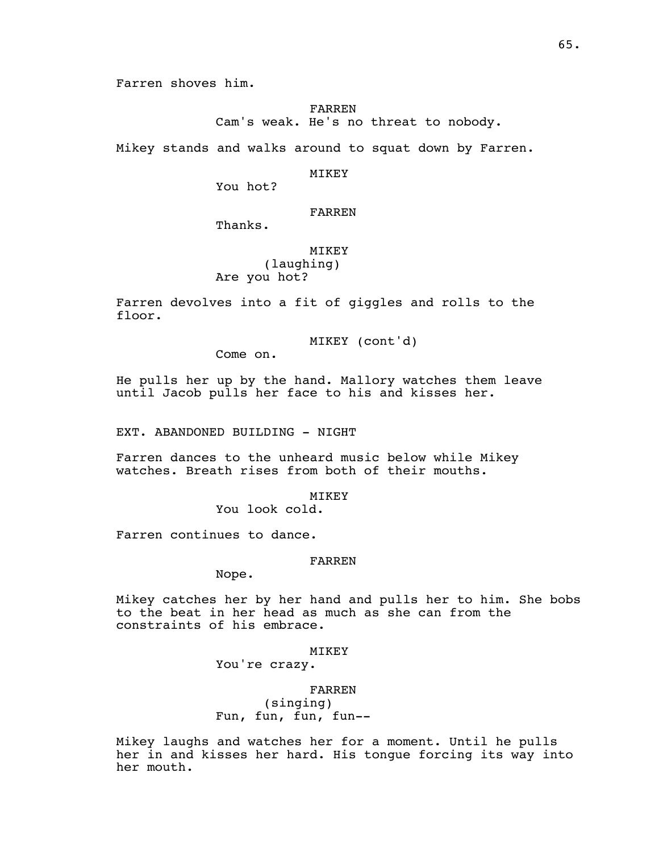FARREN Cam's weak. He's no threat to nobody.

Mikey stands and walks around to squat down by Farren.

MIKEY

You hot?

# FARREN

Thanks.

## MIKEY

(laughing) Are you hot?

Farren devolves into a fit of giggles and rolls to the floor.

MIKEY (cont'd)

Come on.

He pulls her up by the hand. Mallory watches them leave until Jacob pulls her face to his and kisses her.

EXT. ABANDONED BUILDING - NIGHT

Farren dances to the unheard music below while Mikey watches. Breath rises from both of their mouths.

MIKEY

You look cold.

Farren continues to dance.

#### FARREN

Nope.

Mikey catches her by her hand and pulls her to him. She bobs to the beat in her head as much as she can from the constraints of his embrace.

MIKEY

You're crazy.

FARREN (singing) Fun, fun, fun, fun--

Mikey laughs and watches her for a moment. Until he pulls her in and kisses her hard. His tongue forcing its way into her mouth.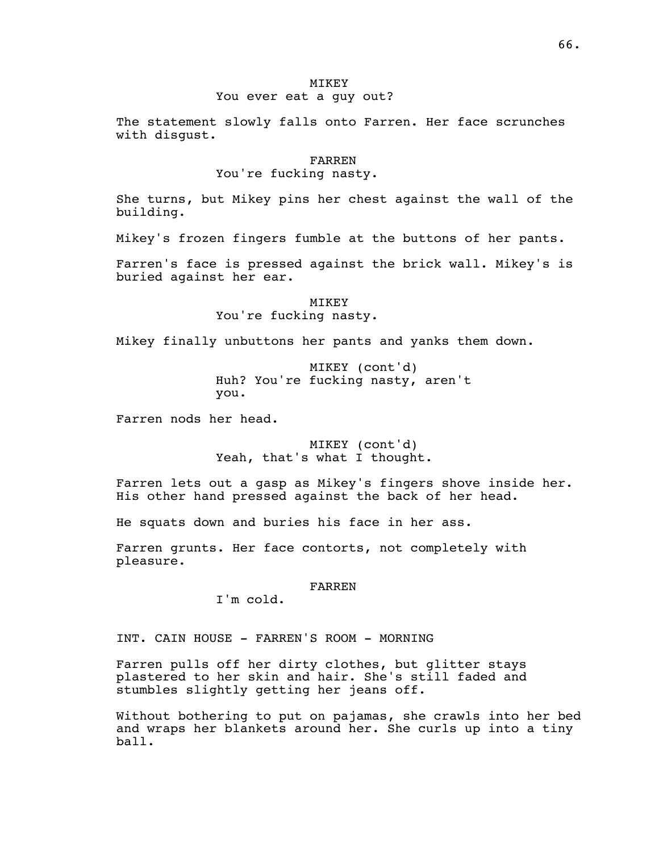## **MTKEY** You ever eat a guy out?

The statement slowly falls onto Farren. Her face scrunches with disgust.

#### FARREN

## You're fucking nasty.

She turns, but Mikey pins her chest against the wall of the building.

Mikey's frozen fingers fumble at the buttons of her pants.

Farren's face is pressed against the brick wall. Mikey's is buried against her ear.

> MIKEY You're fucking nasty.

Mikey finally unbuttons her pants and yanks them down.

MIKEY (cont'd) Huh? You're fucking nasty, aren't you.

Farren nods her head.

MIKEY (cont'd) Yeah, that's what I thought.

Farren lets out a gasp as Mikey's fingers shove inside her. His other hand pressed against the back of her head.

He squats down and buries his face in her ass.

Farren grunts. Her face contorts, not completely with pleasure.

## FARREN

I'm cold.

INT. CAIN HOUSE - FARREN'S ROOM - MORNING

Farren pulls off her dirty clothes, but glitter stays plastered to her skin and hair. She's still faded and stumbles slightly getting her jeans off.

Without bothering to put on pajamas, she crawls into her bed and wraps her blankets around her. She curls up into a tiny ball.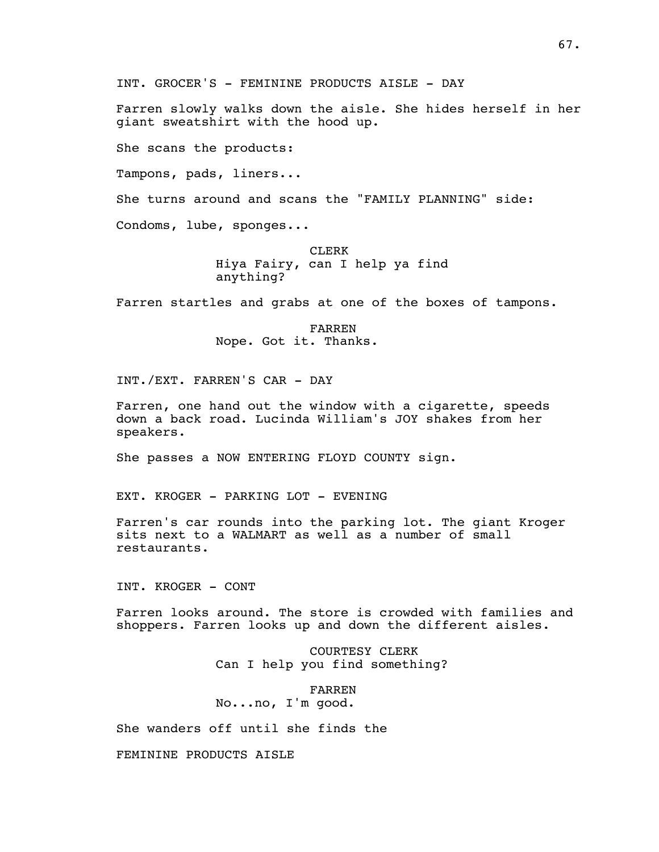INT. GROCER'S - FEMININE PRODUCTS AISLE - DAY

Farren slowly walks down the aisle. She hides herself in her giant sweatshirt with the hood up.

She scans the products:

Tampons, pads, liners...

She turns around and scans the "FAMILY PLANNING" side:

Condoms, lube, sponges...

CLERK Hiya Fairy, can I help ya find anything?

Farren startles and grabs at one of the boxes of tampons.

FARREN Nope. Got it. Thanks.

INT./EXT. FARREN'S CAR - DAY

Farren, one hand out the window with a cigarette, speeds down a back road. Lucinda William's JOY shakes from her speakers.

She passes a NOW ENTERING FLOYD COUNTY sign.

EXT. KROGER - PARKING LOT - EVENING

Farren's car rounds into the parking lot. The giant Kroger sits next to a WALMART as well as a number of small restaurants.

INT. KROGER - CONT

Farren looks around. The store is crowded with families and shoppers. Farren looks up and down the different aisles.

> COURTESY CLERK Can I help you find something?

FARREN No...no, I'm good.

She wanders off until she finds the

FEMININE PRODUCTS AISLE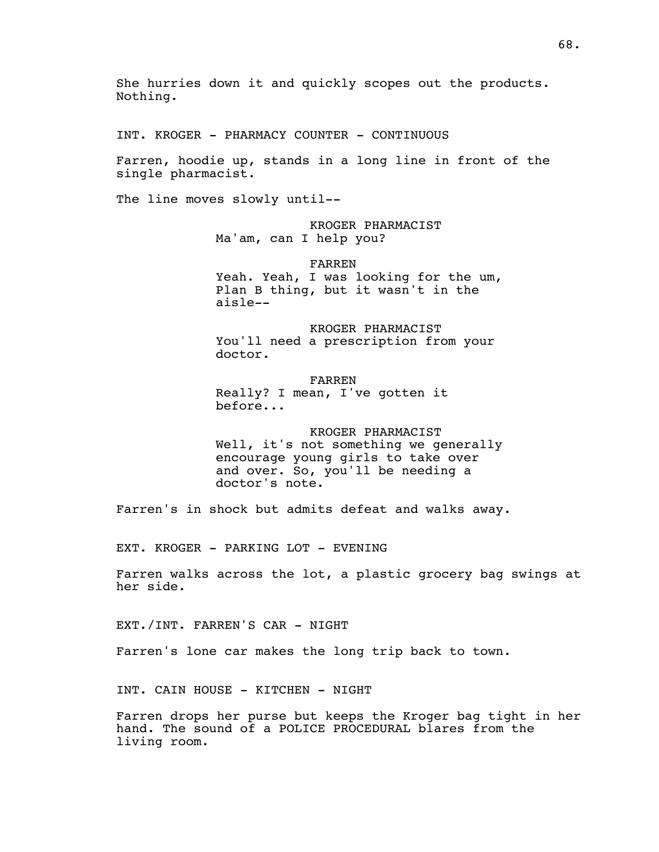She hurries down it and quickly scopes out the products. Nothing.

INT. KROGER - PHARMACY COUNTER - CONTINUOUS

Farren, hoodie up, stands in a long line in front of the single pharmacist.

The line moves slowly until--

KROGER PHARMACIST Ma'am, can I help you?

FARREN Yeah. Yeah, I was looking for the um, Plan B thing, but it wasn't in the aisle--

KROGER PHARMACIST You'll need a prescription from your doctor.

FARREN Really? I mean, I've gotten it before...

KROGER PHARMACIST Well, it's not something we generally encourage young girls to take over and over. So, you'll be needing a doctor's note.

Farren's in shock but admits defeat and walks away.

EXT. KROGER - PARKING LOT - EVENING

Farren walks across the lot, a plastic grocery bag swings at her side.

EXT./INT. FARREN'S CAR - NIGHT

Farren's lone car makes the long trip back to town.

INT. CAIN HOUSE - KITCHEN - NIGHT

Farren drops her purse but keeps the Kroger bag tight in her hand. The sound of a POLICE PROCEDURAL blares from the living room.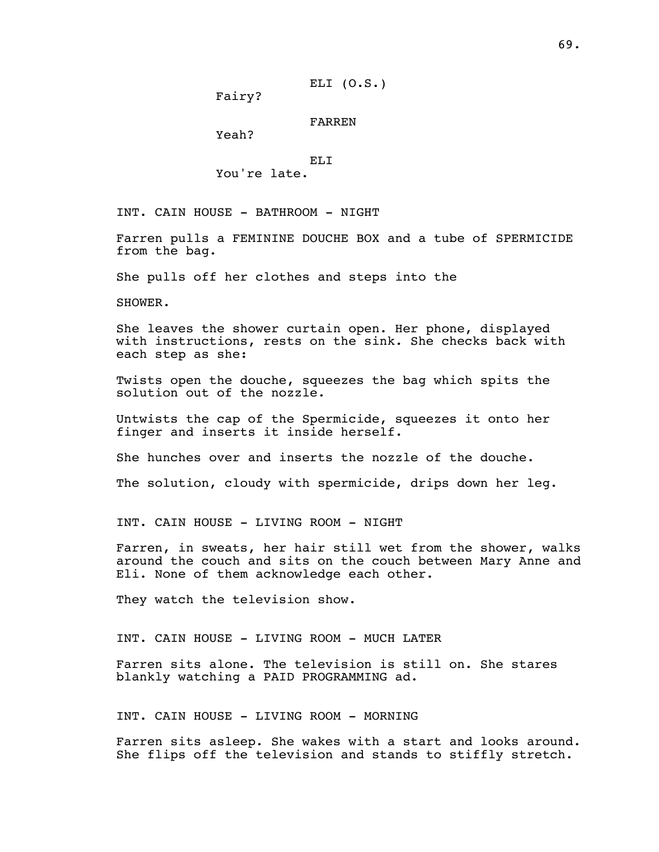Fairy?

### FARREN

Yeah?

ELI

You're late.

INT. CAIN HOUSE - BATHROOM - NIGHT

Farren pulls a FEMININE DOUCHE BOX and a tube of SPERMICIDE from the bag.

She pulls off her clothes and steps into the

SHOWER.

She leaves the shower curtain open. Her phone, displayed with instructions, rests on the sink. She checks back with each step as she:

Twists open the douche, squeezes the bag which spits the solution out of the nozzle.

Untwists the cap of the Spermicide, squeezes it onto her finger and inserts it inside herself.

She hunches over and inserts the nozzle of the douche.

The solution, cloudy with spermicide, drips down her leg.

INT. CAIN HOUSE - LIVING ROOM - NIGHT

Farren, in sweats, her hair still wet from the shower, walks around the couch and sits on the couch between Mary Anne and Eli. None of them acknowledge each other.

They watch the television show.

INT. CAIN HOUSE - LIVING ROOM - MUCH LATER

Farren sits alone. The television is still on. She stares blankly watching a PAID PROGRAMMING ad.

INT. CAIN HOUSE - LIVING ROOM - MORNING

Farren sits asleep. She wakes with a start and looks around. She flips off the television and stands to stiffly stretch.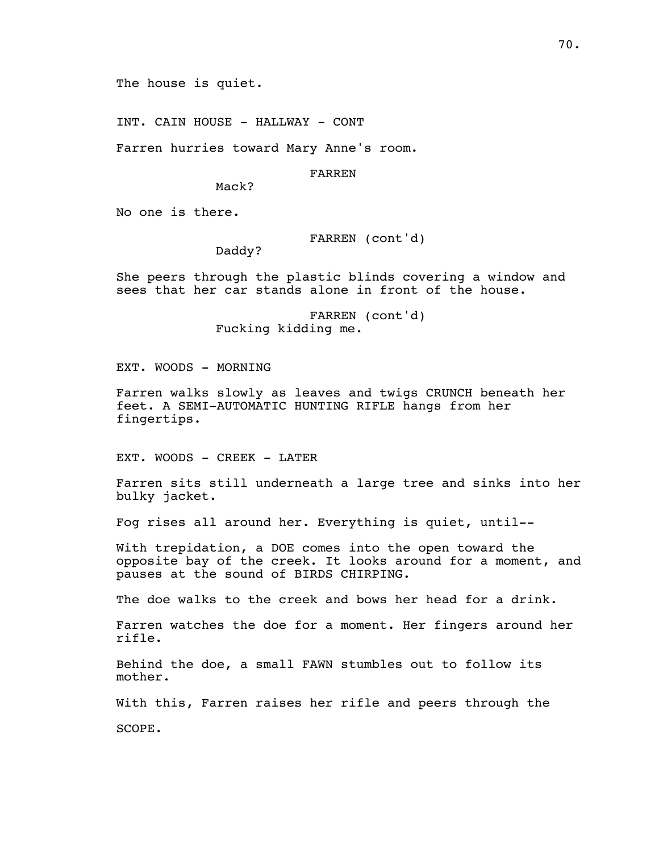The house is quiet.

INT. CAIN HOUSE - HALLWAY - CONT

Farren hurries toward Mary Anne's room.

FARREN

Mack?

No one is there.

FARREN (cont'd)

Daddy?

She peers through the plastic blinds covering a window and sees that her car stands alone in front of the house.

> FARREN (cont'd) Fucking kidding me.

EXT. WOODS - MORNING

Farren walks slowly as leaves and twigs CRUNCH beneath her feet. A SEMI-AUTOMATIC HUNTING RIFLE hangs from her fingertips.

EXT. WOODS - CREEK - LATER

Farren sits still underneath a large tree and sinks into her bulky jacket.

Fog rises all around her. Everything is quiet, until--

With trepidation, a DOE comes into the open toward the opposite bay of the creek. It looks around for a moment, and pauses at the sound of BIRDS CHIRPING.

The doe walks to the creek and bows her head for a drink.

Farren watches the doe for a moment. Her fingers around her rifle.

Behind the doe, a small FAWN stumbles out to follow its mother.

With this, Farren raises her rifle and peers through the

SCOPE.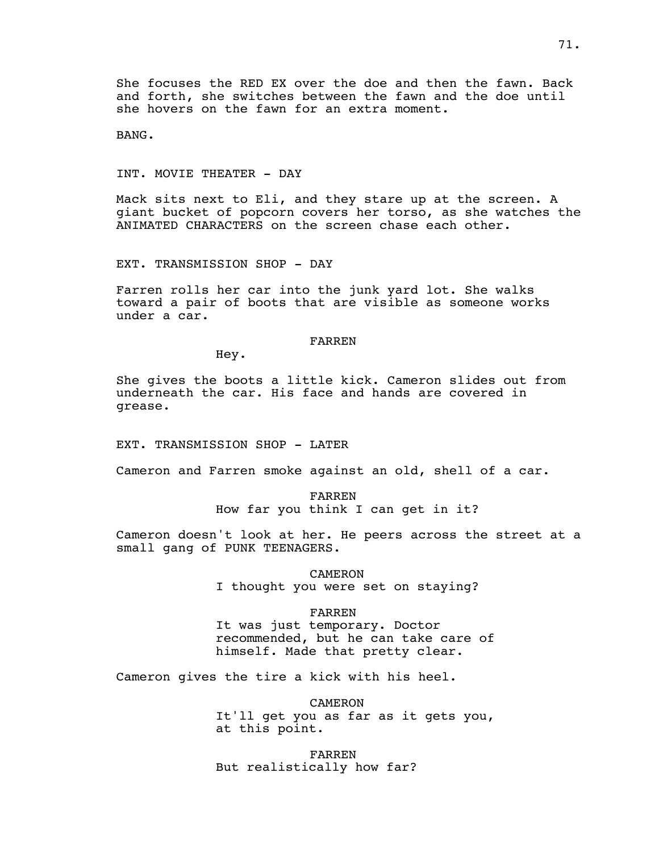She focuses the RED EX over the doe and then the fawn. Back and forth, she switches between the fawn and the doe until she hovers on the fawn for an extra moment.

BANG.

INT. MOVIE THEATER - DAY

Mack sits next to Eli, and they stare up at the screen. A giant bucket of popcorn covers her torso, as she watches the ANIMATED CHARACTERS on the screen chase each other.

EXT. TRANSMISSION SHOP - DAY

Farren rolls her car into the junk yard lot. She walks toward a pair of boots that are visible as someone works under a car.

#### FARREN

Hey.

She gives the boots a little kick. Cameron slides out from underneath the car. His face and hands are covered in grease.

EXT. TRANSMISSION SHOP - LATER

Cameron and Farren smoke against an old, shell of a car.

FARREN How far you think I can get in it?

Cameron doesn't look at her. He peers across the street at a small gang of PUNK TEENAGERS.

> CAMERON I thought you were set on staying?

#### FARREN

It was just temporary. Doctor recommended, but he can take care of himself. Made that pretty clear.

Cameron gives the tire a kick with his heel.

CAMERON It'll get you as far as it gets you, at this point.

FARREN But realistically how far?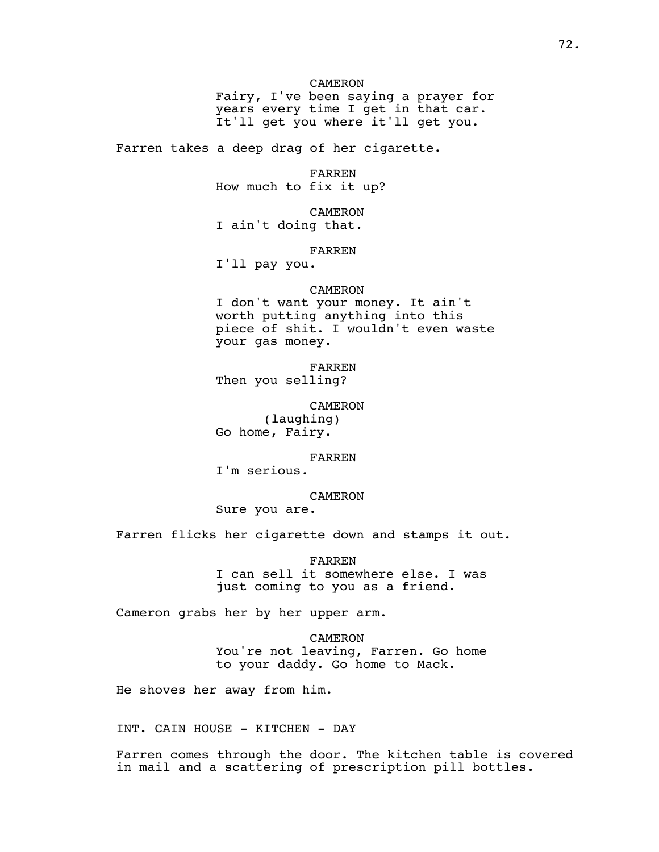Fairy, I've been saying a prayer for years every time I get in that car. It'll get you where it'll get you.

Farren takes a deep drag of her cigarette.

FARREN How much to fix it up?

CAMERON I ain't doing that.

FARREN

I'll pay you.

### CAMERON

I don't want your money. It ain't worth putting anything into this piece of shit. I wouldn't even waste your gas money.

FARREN Then you selling?

CAMERON (laughing) Go home, Fairy.

### FARREN

I'm serious.

# CAMERON

Sure you are.

Farren flicks her cigarette down and stamps it out.

FARREN I can sell it somewhere else. I was just coming to you as a friend.

Cameron grabs her by her upper arm.

CAMERON You're not leaving, Farren. Go home to your daddy. Go home to Mack.

He shoves her away from him.

INT. CAIN HOUSE - KITCHEN - DAY

Farren comes through the door. The kitchen table is covered in mail and a scattering of prescription pill bottles.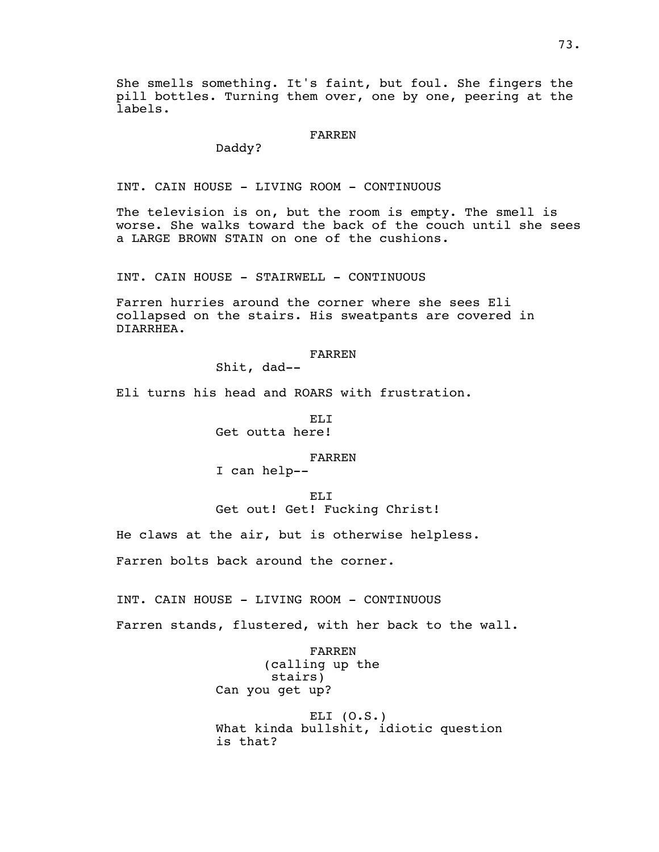She smells something. It's faint, but foul. She fingers the pill bottles. Turning them over, one by one, peering at the labels.

### FARREN

Daddy?

INT. CAIN HOUSE - LIVING ROOM - CONTINUOUS

The television is on, but the room is empty. The smell is worse. She walks toward the back of the couch until she sees a LARGE BROWN STAIN on one of the cushions.

INT. CAIN HOUSE - STAIRWELL - CONTINUOUS

Farren hurries around the corner where she sees Eli collapsed on the stairs. His sweatpants are covered in DIARRHEA.

#### FARREN

Shit, dad--

Eli turns his head and ROARS with frustration.

EL<sub>I</sub> Get outta here!

#### FARREN

I can help--

ELI Get out! Get! Fucking Christ!

He claws at the air, but is otherwise helpless.

Farren bolts back around the corner.

INT. CAIN HOUSE - LIVING ROOM - CONTINUOUS

Farren stands, flustered, with her back to the wall.

FARREN (calling up the stairs) Can you get up?

ELI  $(0.S.)$ What kinda bullshit, idiotic question is that?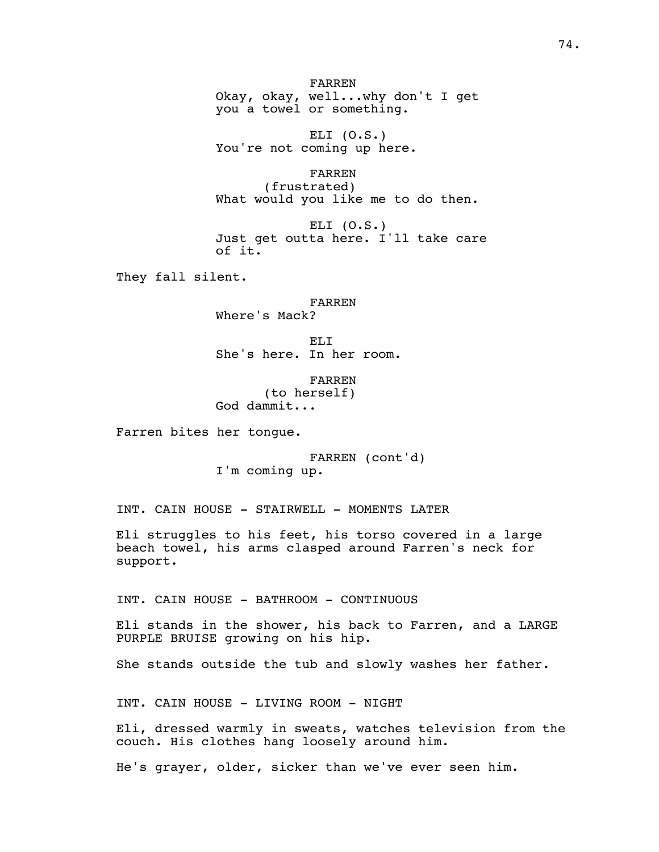FARREN Okay, okay, well...why don't I get you a towel or something.

ELI (O.S.) You're not coming up here.

FARREN (frustrated) What would you like me to do then.

ELI  $(0.S.)$ Just get outta here. I'll take care of it.

They fall silent.

FARREN Where's Mack?

EL<sub>I</sub> She's here. In her room.

FARREN (to herself) God dammit...

Farren bites her tongue.

FARREN (cont'd) I'm coming up.

INT. CAIN HOUSE - STAIRWELL - MOMENTS LATER

Eli struggles to his feet, his torso covered in a large beach towel, his arms clasped around Farren's neck for support.

INT. CAIN HOUSE - BATHROOM - CONTINUOUS

Eli stands in the shower, his back to Farren, and a LARGE PURPLE BRUISE growing on his hip.

She stands outside the tub and slowly washes her father.

INT. CAIN HOUSE - LIVING ROOM - NIGHT

Eli, dressed warmly in sweats, watches television from the couch. His clothes hang loosely around him.

He's grayer, older, sicker than we've ever seen him.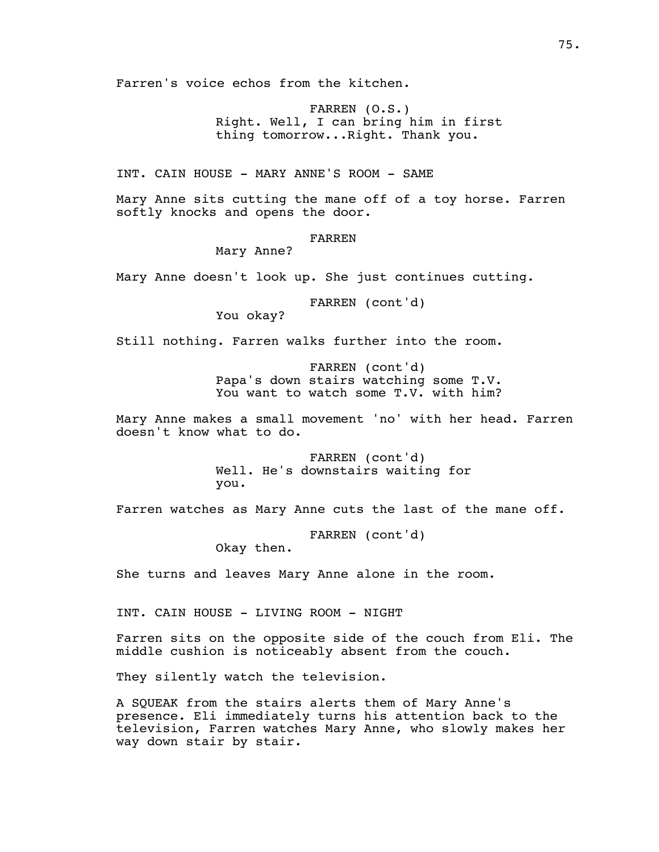Farren's voice echos from the kitchen.

FARREN (O.S.) Right. Well, I can bring him in first thing tomorrow...Right. Thank you.

INT. CAIN HOUSE - MARY ANNE'S ROOM - SAME

Mary Anne sits cutting the mane off of a toy horse. Farren softly knocks and opens the door.

FARREN

Mary Anne?

Mary Anne doesn't look up. She just continues cutting.

FARREN (cont'd)

You okay?

Still nothing. Farren walks further into the room.

FARREN (cont'd) Papa's down stairs watching some T.V. You want to watch some T.V. with him?

Mary Anne makes a small movement 'no' with her head. Farren doesn't know what to do.

> FARREN (cont'd) Well. He's downstairs waiting for you.

Farren watches as Mary Anne cuts the last of the mane off.

FARREN (cont'd) Okay then.

She turns and leaves Mary Anne alone in the room.

INT. CAIN HOUSE - LIVING ROOM - NIGHT

Farren sits on the opposite side of the couch from Eli. The middle cushion is noticeably absent from the couch.

They silently watch the television.

A SQUEAK from the stairs alerts them of Mary Anne's presence. Eli immediately turns his attention back to the television, Farren watches Mary Anne, who slowly makes her way down stair by stair.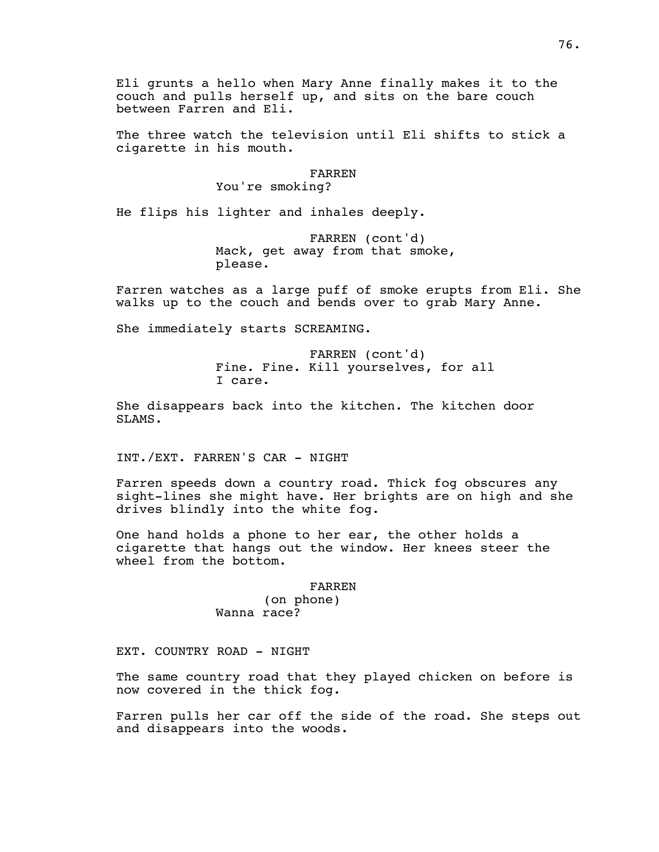Eli grunts a hello when Mary Anne finally makes it to the couch and pulls herself up, and sits on the bare couch between Farren and Eli.

The three watch the television until Eli shifts to stick a cigarette in his mouth.

#### FARREN

You're smoking?

He flips his lighter and inhales deeply.

FARREN (cont'd) Mack, get away from that smoke, please.

Farren watches as a large puff of smoke erupts from Eli. She walks up to the couch and bends over to grab Mary Anne.

She immediately starts SCREAMING.

FARREN (cont'd) Fine. Fine. Kill yourselves, for all I care.

She disappears back into the kitchen. The kitchen door SLAMS.

INT./EXT. FARREN'S CAR - NIGHT

Farren speeds down a country road. Thick fog obscures any sight-lines she might have. Her brights are on high and she drives blindly into the white fog.

One hand holds a phone to her ear, the other holds a cigarette that hangs out the window. Her knees steer the wheel from the bottom.

#### FARREN

(on phone) Wanna race?

EXT. COUNTRY ROAD - NIGHT

The same country road that they played chicken on before is now covered in the thick fog.

Farren pulls her car off the side of the road. She steps out and disappears into the woods.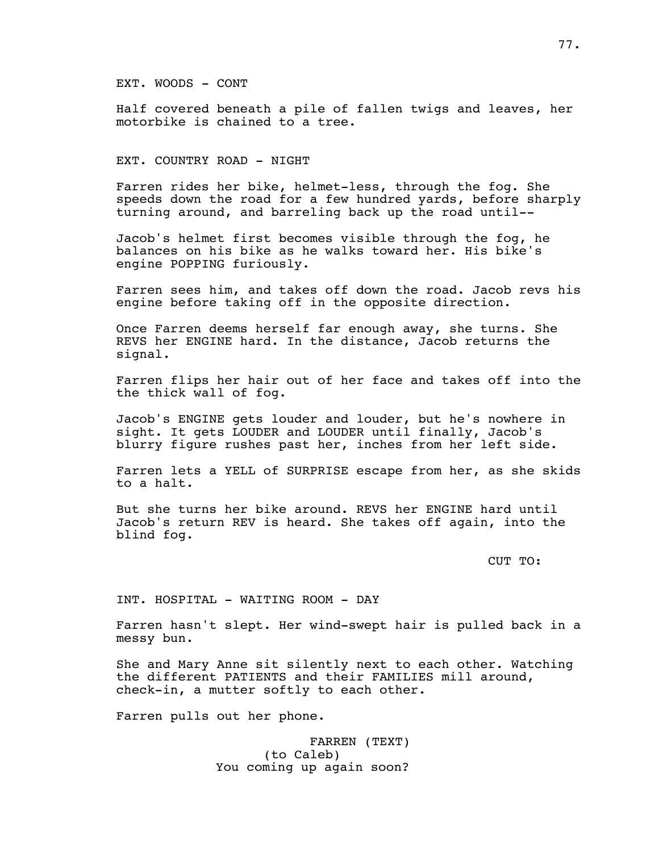EXT. WOODS - CONT

Half covered beneath a pile of fallen twigs and leaves, her motorbike is chained to a tree.

EXT. COUNTRY ROAD - NIGHT

Farren rides her bike, helmet-less, through the fog. She speeds down the road for a few hundred yards, before sharply turning around, and barreling back up the road until--

Jacob's helmet first becomes visible through the fog, he balances on his bike as he walks toward her. His bike's engine POPPING furiously.

Farren sees him, and takes off down the road. Jacob revs his engine before taking off in the opposite direction.

Once Farren deems herself far enough away, she turns. She REVS her ENGINE hard. In the distance, Jacob returns the signal.

Farren flips her hair out of her face and takes off into the the thick wall of fog.

Jacob's ENGINE gets louder and louder, but he's nowhere in sight. It gets LOUDER and LOUDER until finally, Jacob's blurry figure rushes past her, inches from her left side.

Farren lets a YELL of SURPRISE escape from her, as she skids to a halt.

But she turns her bike around. REVS her ENGINE hard until Jacob's return REV is heard. She takes off again, into the blind fog.

CUT TO:

INT. HOSPITAL - WAITING ROOM - DAY

Farren hasn't slept. Her wind-swept hair is pulled back in a messy bun.

She and Mary Anne sit silently next to each other. Watching the different PATIENTS and their FAMILIES mill around, check-in, a mutter softly to each other.

Farren pulls out her phone.

FARREN (TEXT) (to Caleb) You coming up again soon?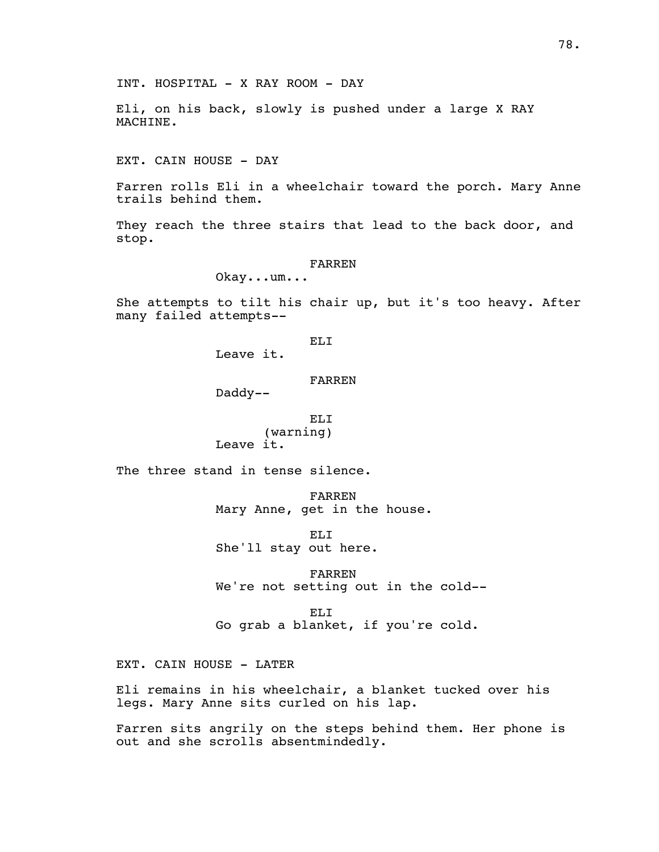Eli, on his back, slowly is pushed under a large X RAY MACHINE.

EXT. CAIN HOUSE - DAY

Farren rolls Eli in a wheelchair toward the porch. Mary Anne trails behind them.

They reach the three stairs that lead to the back door, and stop.

#### FARREN

Okay...um...

She attempts to tilt his chair up, but it's too heavy. After many failed attempts--

# EL<sub>I</sub>

Leave it.

### FARREN

Daddy--

# ELI (warning)

Leave it.

The three stand in tense silence.

FARREN Mary Anne, get in the house.

ELI She'll stay out here.

FARREN We're not setting out in the cold--

EL<sub>I</sub> Go grab a blanket, if you're cold.

EXT. CAIN HOUSE - LATER

Eli remains in his wheelchair, a blanket tucked over his legs. Mary Anne sits curled on his lap.

Farren sits angrily on the steps behind them. Her phone is out and she scrolls absentmindedly.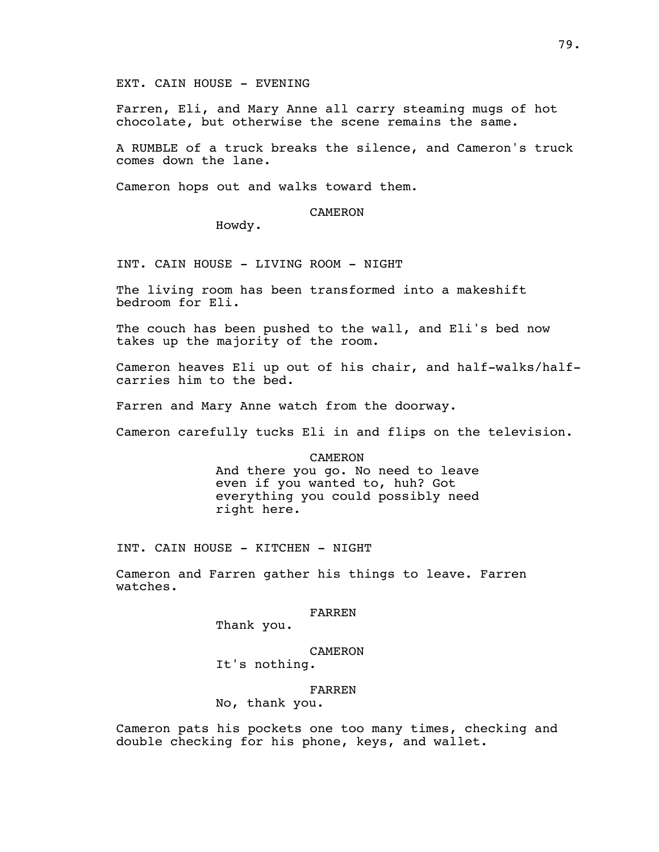EXT. CAIN HOUSE - EVENING

Farren, Eli, and Mary Anne all carry steaming mugs of hot chocolate, but otherwise the scene remains the same.

A RUMBLE of a truck breaks the silence, and Cameron's truck comes down the lane.

Cameron hops out and walks toward them.

### CAMERON

Howdy.

INT. CAIN HOUSE - LIVING ROOM - NIGHT

The living room has been transformed into a makeshift bedroom for Eli.

The couch has been pushed to the wall, and Eli's bed now takes up the majority of the room.

Cameron heaves Eli up out of his chair, and half-walks/halfcarries him to the bed.

Farren and Mary Anne watch from the doorway.

Cameron carefully tucks Eli in and flips on the television.

CAMERON And there you go. No need to leave even if you wanted to, huh? Got everything you could possibly need right here.

INT. CAIN HOUSE - KITCHEN - NIGHT

Cameron and Farren gather his things to leave. Farren watches.

#### FARREN

Thank you.

### CAMERON

It's nothing.

#### FARREN

No, thank you.

Cameron pats his pockets one too many times, checking and double checking for his phone, keys, and wallet.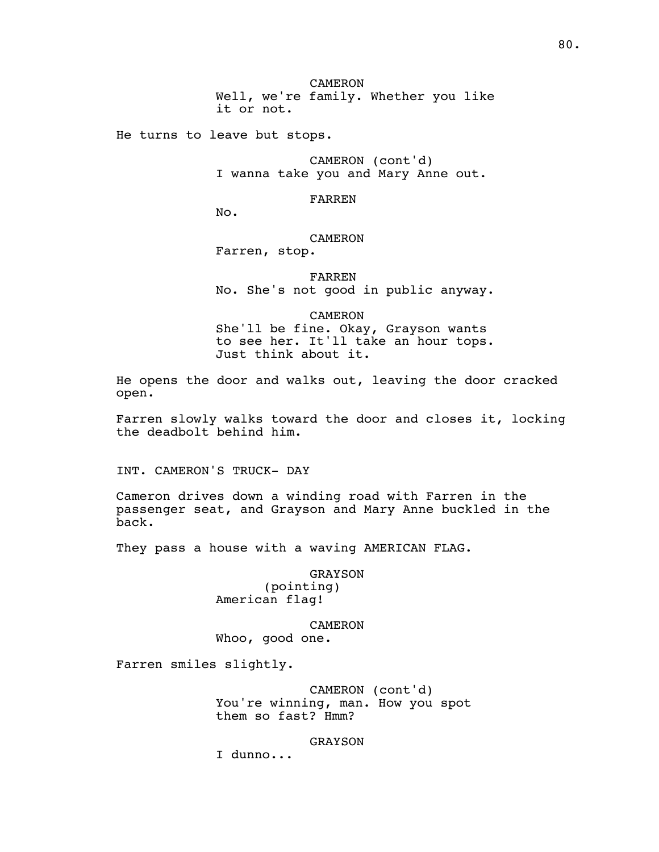CAMERON Well, we're family. Whether you like it or not.

He turns to leave but stops.

CAMERON (cont'd) I wanna take you and Mary Anne out.

FARREN

No.

# CAMERON

Farren, stop.

FARREN No. She's not good in public anyway.

CAMERON

She'll be fine. Okay, Grayson wants to see her. It'll take an hour tops. Just think about it.

He opens the door and walks out, leaving the door cracked open.

Farren slowly walks toward the door and closes it, locking the deadbolt behind him.

INT. CAMERON'S TRUCK- DAY

Cameron drives down a winding road with Farren in the passenger seat, and Grayson and Mary Anne buckled in the back.

They pass a house with a waving AMERICAN FLAG.

GRAYSON (pointing) American flag!

CAMERON Whoo, good one.

Farren smiles slightly.

CAMERON (cont'd) You're winning, man. How you spot them so fast? Hmm?

### GRAYSON

I dunno...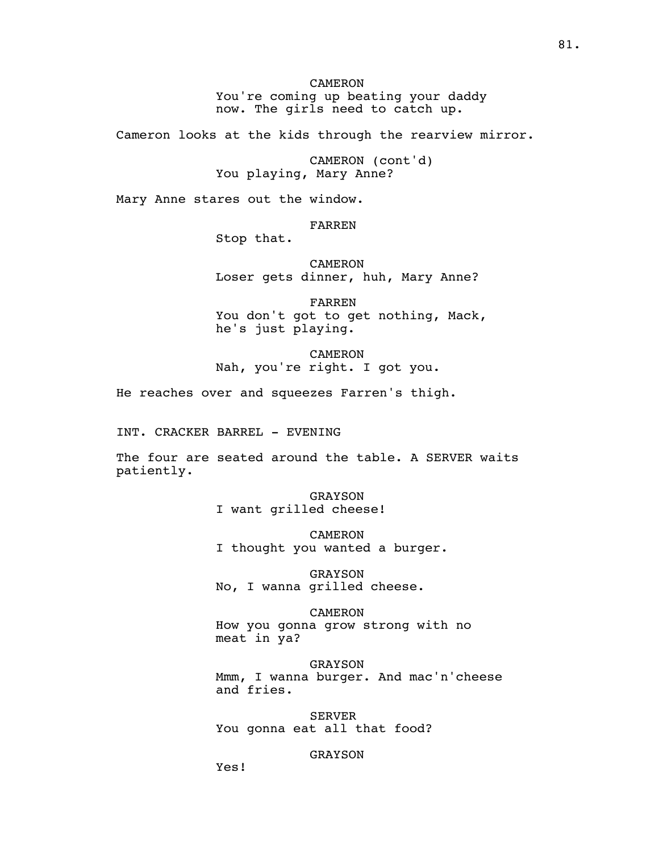CAMERON You're coming up beating your daddy now. The girls need to catch up.

Cameron looks at the kids through the rearview mirror.

CAMERON (cont'd) You playing, Mary Anne?

Mary Anne stares out the window.

FARREN

Stop that.

CAMERON Loser gets dinner, huh, Mary Anne?

FARREN You don't got to get nothing, Mack, he's just playing.

CAMERON Nah, you're right. I got you.

He reaches over and squeezes Farren's thigh.

INT. CRACKER BARREL - EVENING

The four are seated around the table. A SERVER waits patiently.

> GRAYSON I want grilled cheese!

CAMERON I thought you wanted a burger.

GRAYSON No, I wanna grilled cheese.

CAMERON How you gonna grow strong with no meat in ya?

GRAYSON Mmm, I wanna burger. And mac'n'cheese and fries.

SERVER You gonna eat all that food?

GRAYSON

Yes!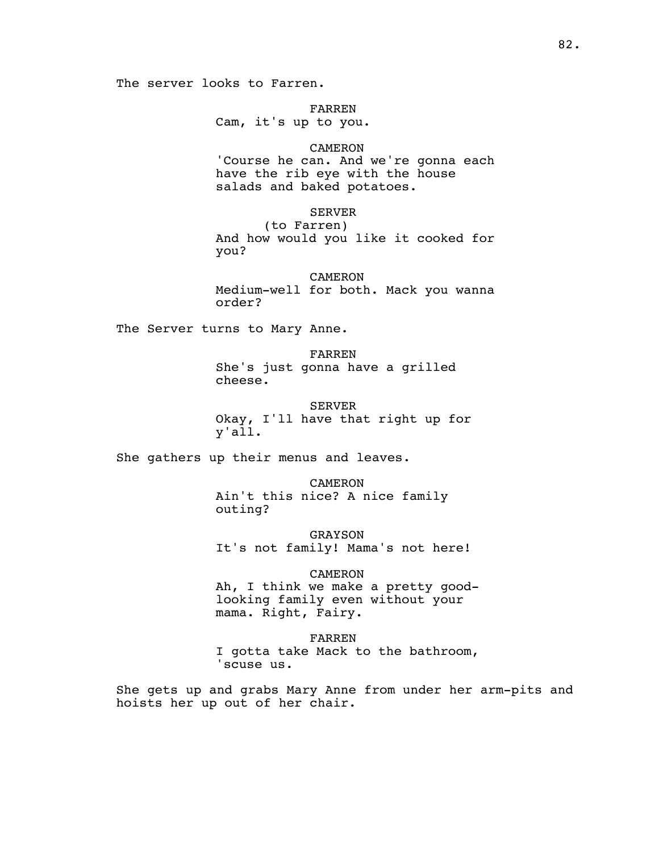FARREN

Cam, it's up to you.

# CAMERON

'Course he can. And we're gonna each have the rib eye with the house salads and baked potatoes.

### SERVER

(to Farren) And how would you like it cooked for you?

CAMERON Medium-well for both. Mack you wanna order?

The Server turns to Mary Anne.

FARREN She's just gonna have a grilled cheese.

SERVER Okay, I'll have that right up for y'all.

She gathers up their menus and leaves.

CAMERON Ain't this nice? A nice family outing?

GRAYSON It's not family! Mama's not here!

# CAMERON

Ah, I think we make a pretty goodlooking family even without your mama. Right, Fairy.

FARREN I gotta take Mack to the bathroom, 'scuse us.

She gets up and grabs Mary Anne from under her arm-pits and hoists her up out of her chair.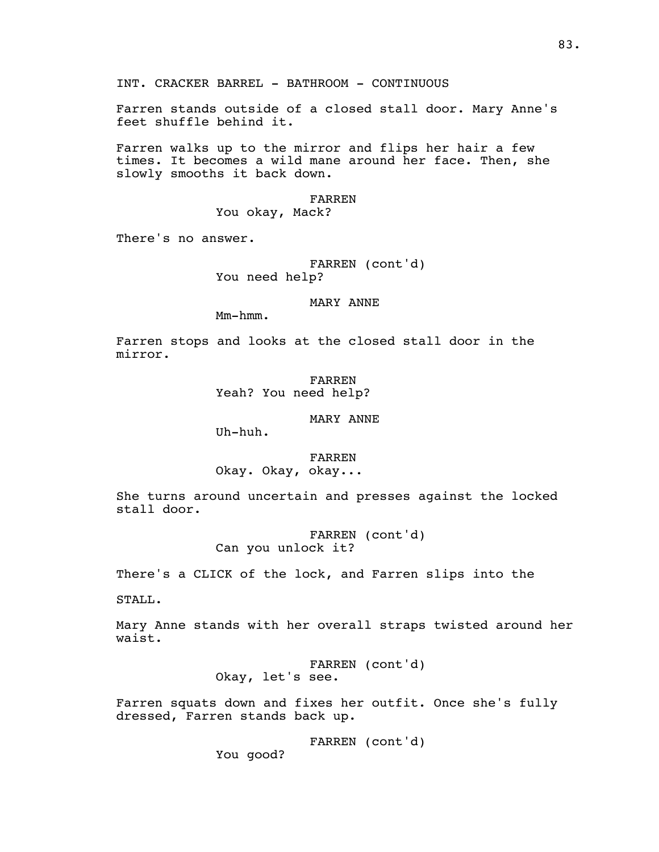INT. CRACKER BARREL - BATHROOM - CONTINUOUS

Farren stands outside of a closed stall door. Mary Anne's feet shuffle behind it.

Farren walks up to the mirror and flips her hair a few times. It becomes a wild mane around her face. Then, she slowly smooths it back down.

### FARREN You okay, Mack?

There's no answer.

# FARREN (cont'd) You need help?

# MARY ANNE

Mm-hmm.

Farren stops and looks at the closed stall door in the mirror.

> FARREN Yeah? You need help?

> > MARY ANNE

Uh-huh.

FARREN

Okay. Okay, okay...

She turns around uncertain and presses against the locked stall door.

> FARREN (cont'd) Can you unlock it?

There's a CLICK of the lock, and Farren slips into the

STALL.

Mary Anne stands with her overall straps twisted around her waist.

> FARREN (cont'd) Okay, let's see.

Farren squats down and fixes her outfit. Once she's fully dressed, Farren stands back up.

FARREN (cont'd)

You good?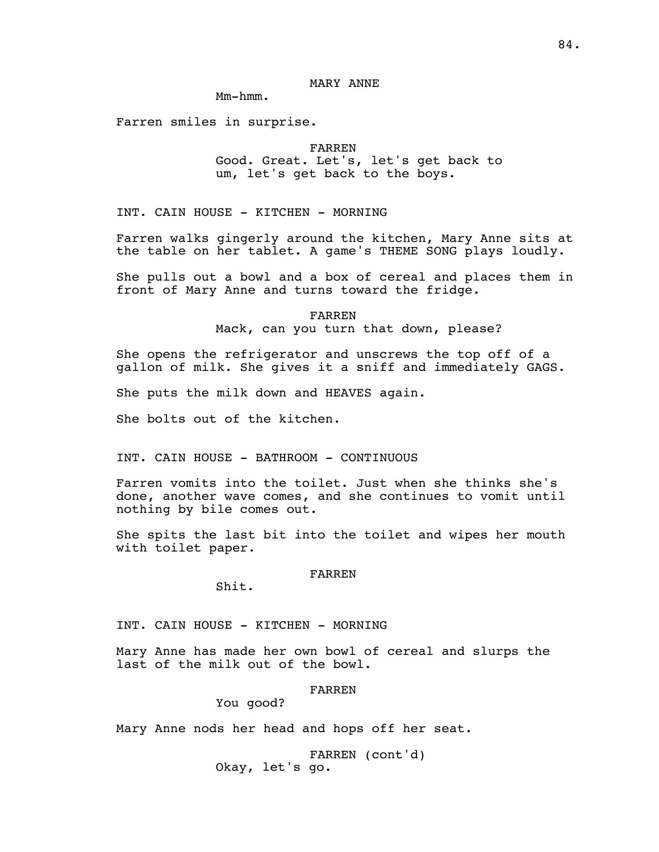# MARY ANNE

Mm-hmm.

Farren smiles in surprise.

FARREN

Good. Great. Let's, let's get back to um, let's get back to the boys.

INT. CAIN HOUSE - KITCHEN - MORNING

Farren walks gingerly around the kitchen, Mary Anne sits at the table on her tablet. A game's THEME SONG plays loudly.

She pulls out a bowl and a box of cereal and places them in front of Mary Anne and turns toward the fridge.

> FARREN Mack, can you turn that down, please?

She opens the refrigerator and unscrews the top off of a gallon of milk. She gives it a sniff and immediately GAGS.

She puts the milk down and HEAVES again.

She bolts out of the kitchen.

INT. CAIN HOUSE - BATHROOM - CONTINUOUS

Farren vomits into the toilet. Just when she thinks she's done, another wave comes, and she continues to vomit until nothing by bile comes out.

She spits the last bit into the toilet and wipes her mouth with toilet paper.

### FARREN

Shit.

INT. CAIN HOUSE - KITCHEN - MORNING

Mary Anne has made her own bowl of cereal and slurps the last of the milk out of the bowl.

#### FARREN

You good?

Mary Anne nods her head and hops off her seat.

FARREN (cont'd) Okay, let's go.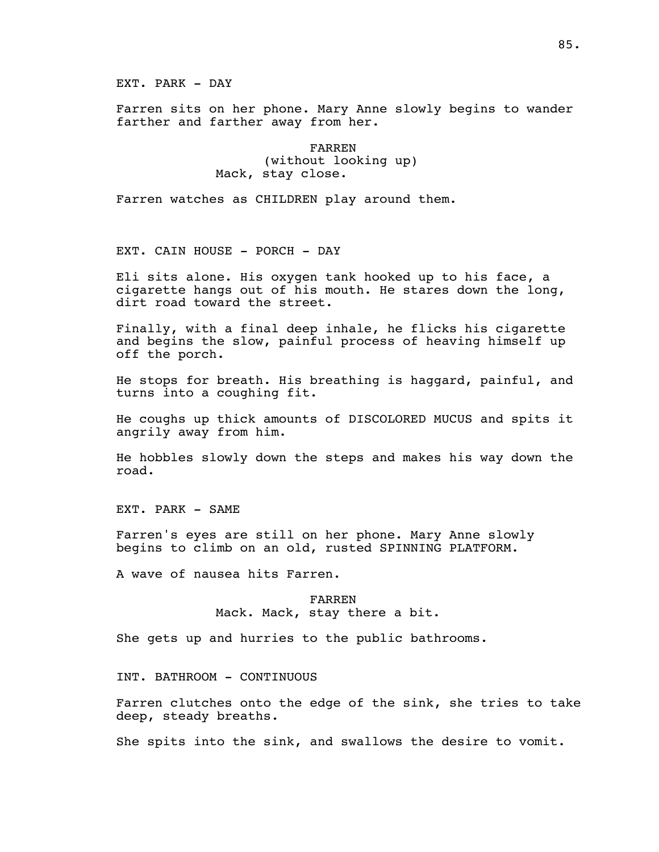EXT. PARK - DAY

Farren sits on her phone. Mary Anne slowly begins to wander farther and farther away from her.

> FARREN (without looking up) Mack, stay close.

Farren watches as CHILDREN play around them.

EXT. CAIN HOUSE - PORCH - DAY

Eli sits alone. His oxygen tank hooked up to his face, a cigarette hangs out of his mouth. He stares down the long, dirt road toward the street.

Finally, with a final deep inhale, he flicks his cigarette and begins the slow, painful process of heaving himself up off the porch.

He stops for breath. His breathing is haggard, painful, and turns into a coughing fit.

He coughs up thick amounts of DISCOLORED MUCUS and spits it angrily away from him.

He hobbles slowly down the steps and makes his way down the road.

EXT. PARK - SAME

Farren's eyes are still on her phone. Mary Anne slowly begins to climb on an old, rusted SPINNING PLATFORM.

A wave of nausea hits Farren.

FARREN Mack. Mack, stay there a bit.

She gets up and hurries to the public bathrooms.

INT. BATHROOM - CONTINUOUS

Farren clutches onto the edge of the sink, she tries to take deep, steady breaths.

She spits into the sink, and swallows the desire to vomit.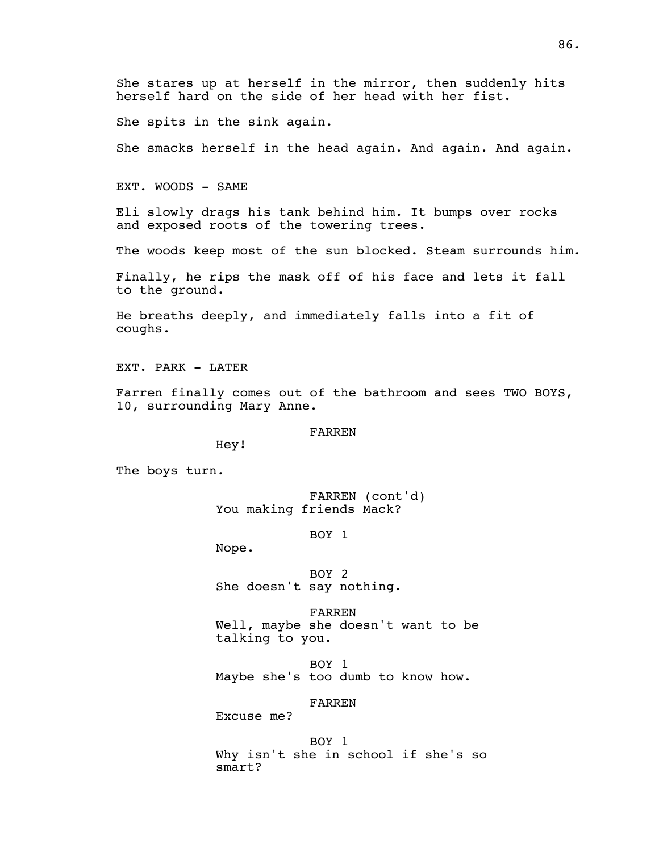She stares up at herself in the mirror, then suddenly hits herself hard on the side of her head with her fist.

She spits in the sink again.

She smacks herself in the head again. And again. And again.

EXT. WOODS - SAME

Eli slowly drags his tank behind him. It bumps over rocks and exposed roots of the towering trees.

The woods keep most of the sun blocked. Steam surrounds him.

Finally, he rips the mask off of his face and lets it fall to the ground.

He breaths deeply, and immediately falls into a fit of coughs.

EXT. PARK - LATER

Farren finally comes out of the bathroom and sees TWO BOYS, 10, surrounding Mary Anne.

FARREN

Hey!

The boys turn.

FARREN (cont'd) You making friends Mack?

BOY 1

Nope.

BOY 2 She doesn't say nothing.

FARREN Well, maybe she doesn't want to be talking to you.

BOY 1 Maybe she's too dumb to know how.

FARREN

Excuse me?

BOY 1 Why isn't she in school if she's so smart?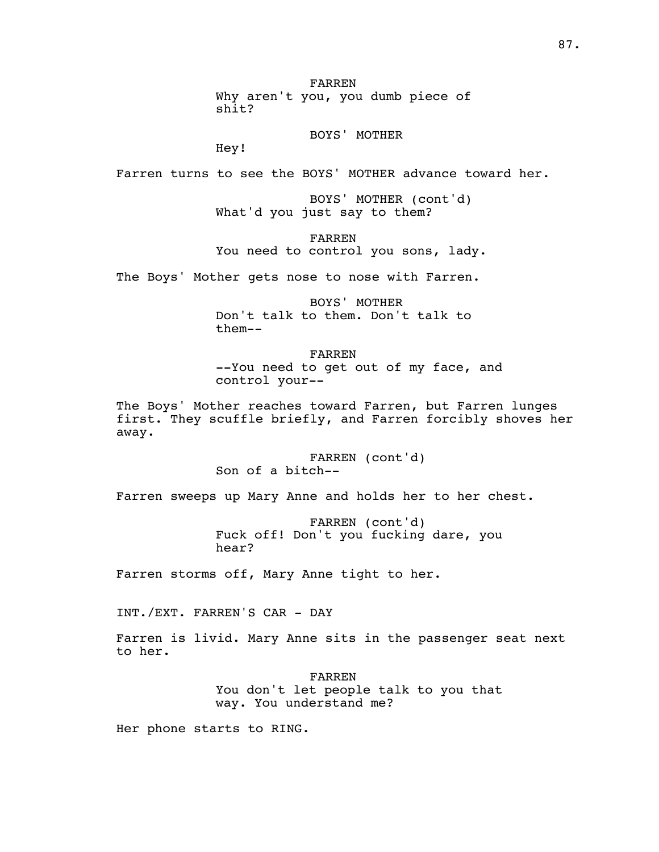FARREN

Why aren't you, you dumb piece of shit?

BOYS' MOTHER

Hey!

Farren turns to see the BOYS' MOTHER advance toward her.

BOYS' MOTHER (cont'd) What'd you just say to them?

FARREN You need to control you sons, lady.

The Boys' Mother gets nose to nose with Farren.

BOYS' MOTHER Don't talk to them. Don't talk to them--

FARREN --You need to get out of my face, and control your--

The Boys' Mother reaches toward Farren, but Farren lunges first. They scuffle briefly, and Farren forcibly shoves her away.

> FARREN (cont'd) Son of a bitch--

Farren sweeps up Mary Anne and holds her to her chest.

FARREN (cont'd) Fuck off! Don't you fucking dare, you hear?

Farren storms off, Mary Anne tight to her.

INT./EXT. FARREN'S CAR - DAY

Farren is livid. Mary Anne sits in the passenger seat next to her.

> FARREN You don't let people talk to you that way. You understand me?

Her phone starts to RING.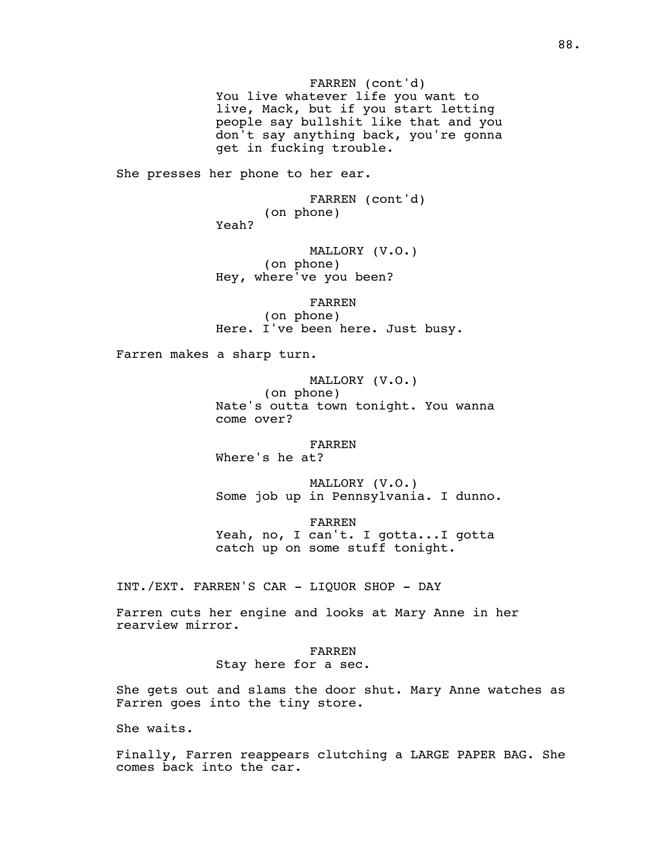FARREN (cont'd) You live whatever life you want to live, Mack, but if you start letting people say bullshit like that and you don't say anything back, you're gonna get in fucking trouble.

She presses her phone to her ear.

FARREN (cont'd) (on phone) Yeah?

MALLORY (V.O.) (on phone) Hey, where've you been?

FARREN (on phone) Here. I've been here. Just busy.

Farren makes a sharp turn.

MALLORY (V.O.) (on phone) Nate's outta town tonight. You wanna come over?

FARREN Where's he at?

MALLORY (V.O.) Some job up in Pennsylvania. I dunno.

FARREN Yeah, no, I can't. I gotta...I gotta catch up on some stuff tonight.

INT./EXT. FARREN'S CAR - LIQUOR SHOP - DAY

Farren cuts her engine and looks at Mary Anne in her rearview mirror.

> FARREN Stay here for a sec.

She gets out and slams the door shut. Mary Anne watches as Farren goes into the tiny store.

She waits.

Finally, Farren reappears clutching a LARGE PAPER BAG. She comes back into the car.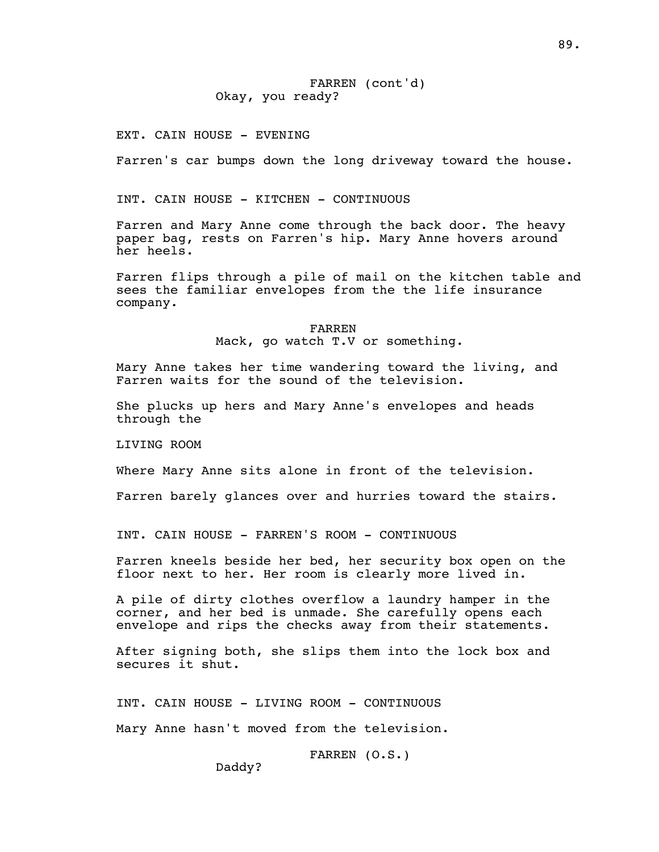# FARREN (cont'd) Okay, you ready?

EXT. CAIN HOUSE - EVENING

Farren's car bumps down the long driveway toward the house.

INT. CAIN HOUSE - KITCHEN - CONTINUOUS

Farren and Mary Anne come through the back door. The heavy paper bag, rests on Farren's hip. Mary Anne hovers around her heels.

Farren flips through a pile of mail on the kitchen table and sees the familiar envelopes from the the life insurance company.

FARREN

Mack, go watch T.V or something.

Mary Anne takes her time wandering toward the living, and Farren waits for the sound of the television.

She plucks up hers and Mary Anne's envelopes and heads through the

LIVING ROOM

Where Mary Anne sits alone in front of the television.

Farren barely glances over and hurries toward the stairs.

INT. CAIN HOUSE - FARREN'S ROOM - CONTINUOUS

Farren kneels beside her bed, her security box open on the floor next to her. Her room is clearly more lived in.

A pile of dirty clothes overflow a laundry hamper in the corner, and her bed is unmade. She carefully opens each envelope and rips the checks away from their statements.

After signing both, she slips them into the lock box and secures it shut.

INT. CAIN HOUSE - LIVING ROOM - CONTINUOUS

Mary Anne hasn't moved from the television.

FARREN (O.S.)

Daddy?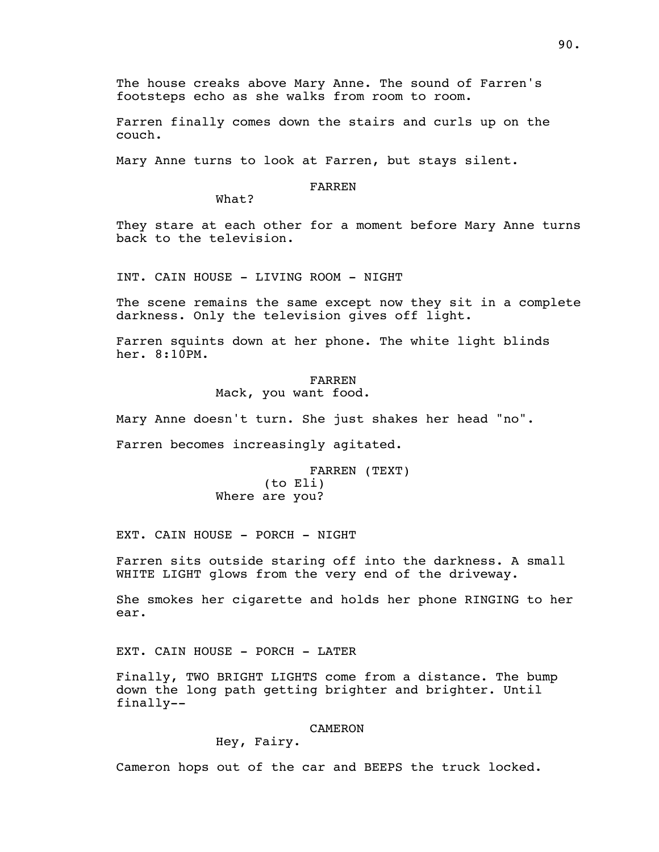The house creaks above Mary Anne. The sound of Farren's footsteps echo as she walks from room to room.

Farren finally comes down the stairs and curls up on the couch.

Mary Anne turns to look at Farren, but stays silent.

### FARREN

What?

They stare at each other for a moment before Mary Anne turns back to the television.

INT. CAIN HOUSE - LIVING ROOM - NIGHT

The scene remains the same except now they sit in a complete darkness. Only the television gives off light.

Farren squints down at her phone. The white light blinds her. 8:10PM.

> FARREN Mack, you want food.

Mary Anne doesn't turn. She just shakes her head "no".

Farren becomes increasingly agitated.

FARREN (TEXT) (to Eli) Where are you?

EXT. CAIN HOUSE - PORCH - NIGHT

Farren sits outside staring off into the darkness. A small WHITE LIGHT glows from the very end of the driveway.

She smokes her cigarette and holds her phone RINGING to her ear.

EXT. CAIN HOUSE - PORCH - LATER

Finally, TWO BRIGHT LIGHTS come from a distance. The bump down the long path getting brighter and brighter. Until finally--

### CAMERON

# Hey, Fairy.

Cameron hops out of the car and BEEPS the truck locked.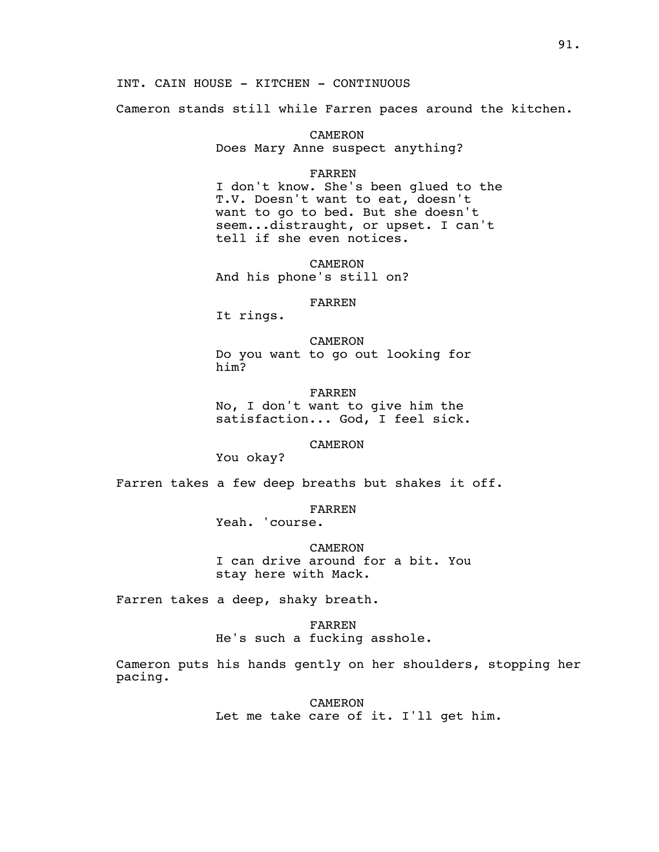INT. CAIN HOUSE - KITCHEN - CONTINUOUS

Cameron stands still while Farren paces around the kitchen.

CAMERON Does Mary Anne suspect anything?

#### FARREN

I don't know. She's been glued to the T.V. Doesn't want to eat, doesn't want to go to bed. But she doesn't seem...distraught, or upset. I can't tell if she even notices.

CAMERON And his phone's still on?

### FARREN

It rings.

CAMERON Do you want to go out looking for him?

FARREN No, I don't want to give him the satisfaction... God, I feel sick.

CAMERON

You okay?

Farren takes a few deep breaths but shakes it off.

FARREN

Yeah. 'course.

CAMERON I can drive around for a bit. You stay here with Mack.

Farren takes a deep, shaky breath.

FARREN He's such a fucking asshole.

Cameron puts his hands gently on her shoulders, stopping her pacing.

> CAMERON Let me take care of it. I'll get him.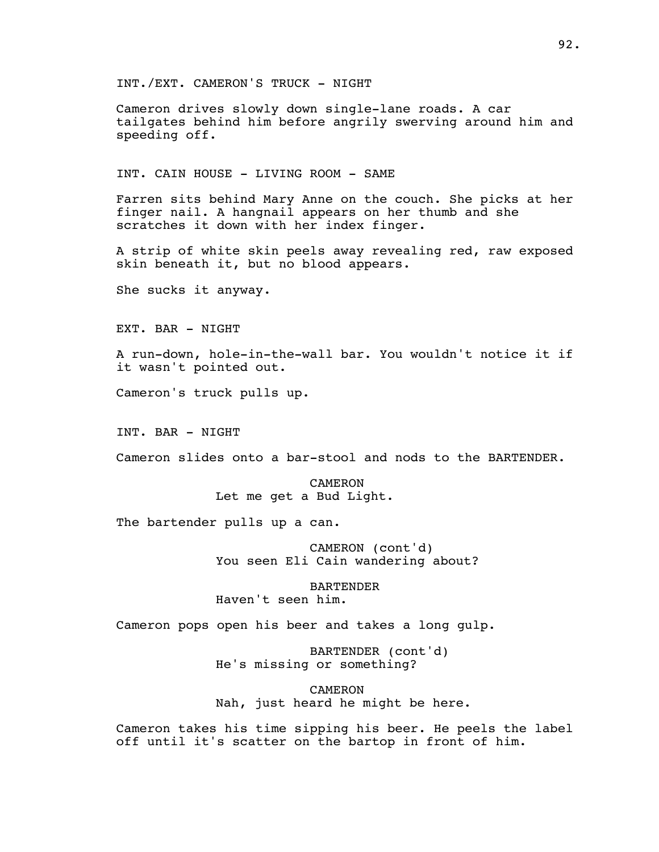INT./EXT. CAMERON'S TRUCK - NIGHT

Cameron drives slowly down single-lane roads. A car tailgates behind him before angrily swerving around him and speeding off.

INT. CAIN HOUSE - LIVING ROOM - SAME

Farren sits behind Mary Anne on the couch. She picks at her finger nail. A hangnail appears on her thumb and she scratches it down with her index finger.

A strip of white skin peels away revealing red, raw exposed skin beneath it, but no blood appears.

She sucks it anyway.

EXT. BAR - NIGHT

A run-down, hole-in-the-wall bar. You wouldn't notice it if it wasn't pointed out.

Cameron's truck pulls up.

INT. BAR - NIGHT

Cameron slides onto a bar-stool and nods to the BARTENDER.

**CAMERON** Let me get a Bud Light.

The bartender pulls up a can.

CAMERON (cont'd) You seen Eli Cain wandering about?

BARTENDER Haven't seen him.

Cameron pops open his beer and takes a long gulp.

BARTENDER (cont'd) He's missing or something?

CAMERON Nah, just heard he might be here.

Cameron takes his time sipping his beer. He peels the label off until it's scatter on the bartop in front of him.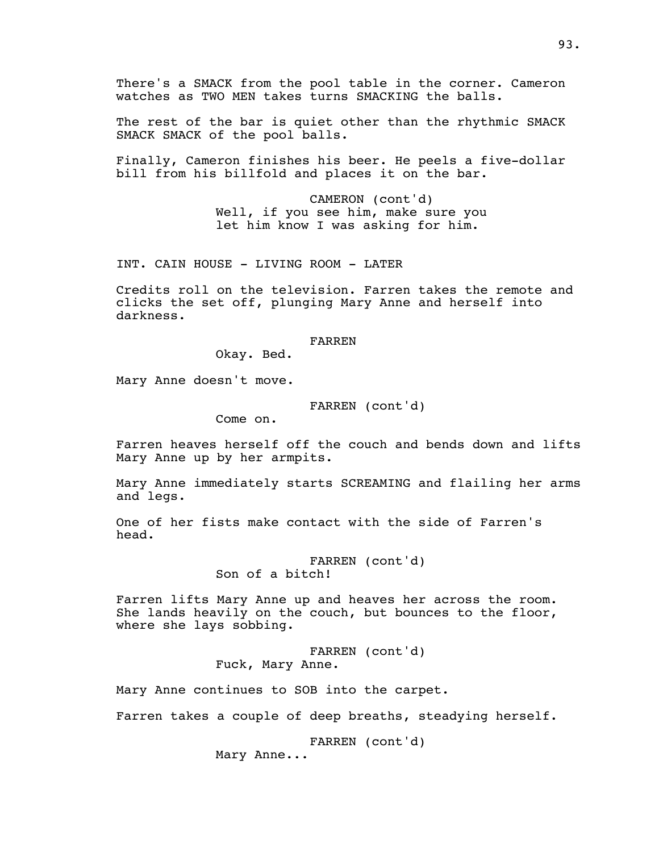There's a SMACK from the pool table in the corner. Cameron watches as TWO MEN takes turns SMACKING the balls.

The rest of the bar is quiet other than the rhythmic SMACK SMACK SMACK of the pool balls.

Finally, Cameron finishes his beer. He peels a five-dollar bill from his billfold and places it on the bar.

> CAMERON (cont'd) Well, if you see him, make sure you let him know I was asking for him.

INT. CAIN HOUSE - LIVING ROOM - LATER

Credits roll on the television. Farren takes the remote and clicks the set off, plunging Mary Anne and herself into darkness.

#### FARREN

Okay. Bed.

Mary Anne doesn't move.

# FARREN (cont'd)

Come on.

Farren heaves herself off the couch and bends down and lifts Mary Anne up by her armpits.

Mary Anne immediately starts SCREAMING and flailing her arms and legs.

One of her fists make contact with the side of Farren's head.

> FARREN (cont'd) Son of a bitch!

Farren lifts Mary Anne up and heaves her across the room. She lands heavily on the couch, but bounces to the floor, where she lays sobbing.

> FARREN (cont'd) Fuck, Mary Anne.

Mary Anne continues to SOB into the carpet.

Farren takes a couple of deep breaths, steadying herself.

FARREN (cont'd)

Mary Anne...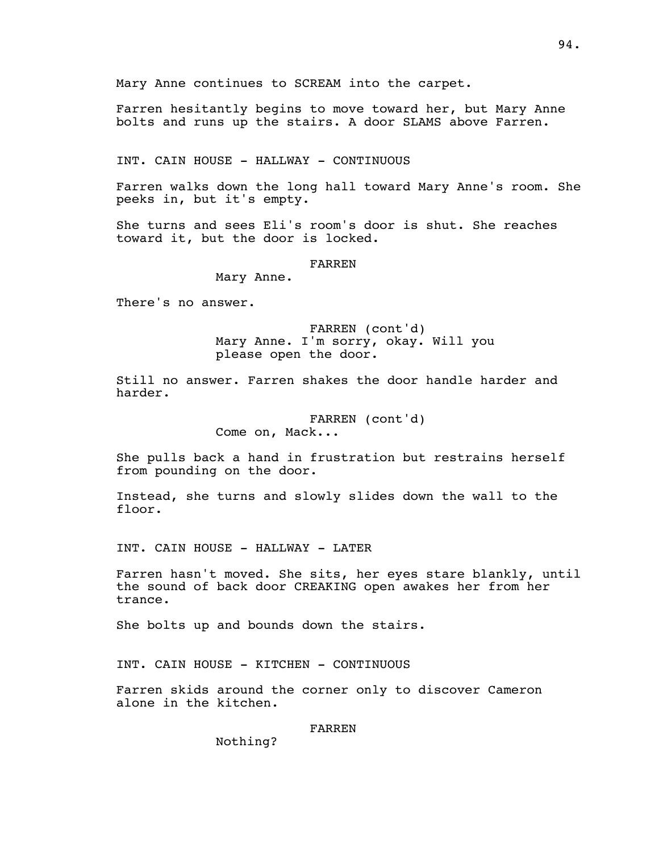Farren hesitantly begins to move toward her, but Mary Anne bolts and runs up the stairs. A door SLAMS above Farren.

INT. CAIN HOUSE - HALLWAY - CONTINUOUS

Farren walks down the long hall toward Mary Anne's room. She peeks in, but it's empty.

She turns and sees Eli's room's door is shut. She reaches toward it, but the door is locked.

FARREN

Mary Anne.

There's no answer.

FARREN (cont'd) Mary Anne. I'm sorry, okay. Will you please open the door.

Still no answer. Farren shakes the door handle harder and harder.

> FARREN (cont'd) Come on, Mack...

She pulls back a hand in frustration but restrains herself from pounding on the door.

Instead, she turns and slowly slides down the wall to the floor.

INT. CAIN HOUSE - HALLWAY - LATER

Farren hasn't moved. She sits, her eyes stare blankly, until the sound of back door CREAKING open awakes her from her trance.

She bolts up and bounds down the stairs.

INT. CAIN HOUSE - KITCHEN - CONTINUOUS

Farren skids around the corner only to discover Cameron alone in the kitchen.

FARREN

Nothing?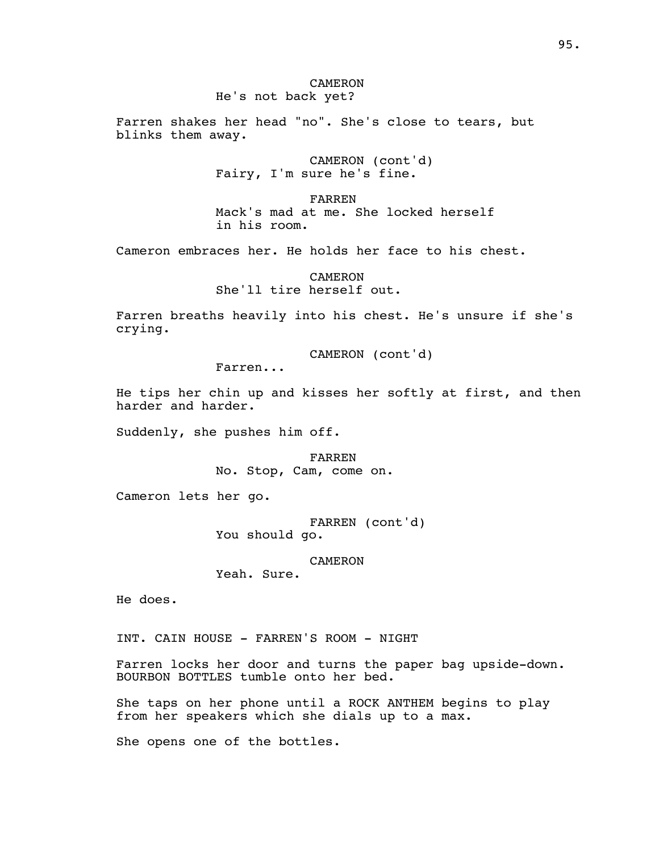Farren shakes her head "no". She's close to tears, but blinks them away.

> CAMERON (cont'd) Fairy, I'm sure he's fine.

FARREN Mack's mad at me. She locked herself in his room.

Cameron embraces her. He holds her face to his chest.

CAMERON She'll tire herself out.

Farren breaths heavily into his chest. He's unsure if she's crying.

CAMERON (cont'd)

Farren...

He tips her chin up and kisses her softly at first, and then harder and harder.

Suddenly, she pushes him off.

FARREN No. Stop, Cam, come on.

Cameron lets her go.

FARREN (cont'd) You should go.

CAMERON

Yeah. Sure.

He does.

INT. CAIN HOUSE - FARREN'S ROOM - NIGHT

Farren locks her door and turns the paper bag upside-down. BOURBON BOTTLES tumble onto her bed.

She taps on her phone until a ROCK ANTHEM begins to play from her speakers which she dials up to a max.

She opens one of the bottles.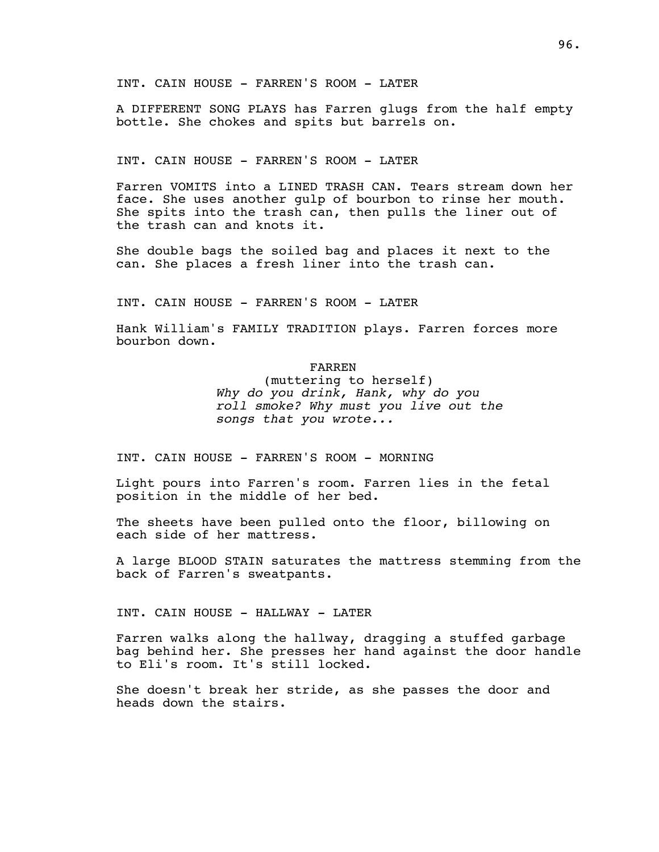INT. CAIN HOUSE - FARREN'S ROOM - LATER

A DIFFERENT SONG PLAYS has Farren glugs from the half empty bottle. She chokes and spits but barrels on.

INT. CAIN HOUSE - FARREN'S ROOM - LATER

Farren VOMITS into a LINED TRASH CAN. Tears stream down her face. She uses another gulp of bourbon to rinse her mouth. She spits into the trash can, then pulls the liner out of the trash can and knots it.

She double bags the soiled bag and places it next to the can. She places a fresh liner into the trash can.

INT. CAIN HOUSE - FARREN'S ROOM - LATER

Hank William's FAMILY TRADITION plays. Farren forces more bourbon down.

FARREN

(muttering to herself) *Why do you drink, Hank, why do you roll smoke? Why must you live out the songs that you wrote...*

INT. CAIN HOUSE - FARREN'S ROOM - MORNING

Light pours into Farren's room. Farren lies in the fetal position in the middle of her bed.

The sheets have been pulled onto the floor, billowing on each side of her mattress.

A large BLOOD STAIN saturates the mattress stemming from the back of Farren's sweatpants.

INT. CAIN HOUSE - HALLWAY - LATER

Farren walks along the hallway, dragging a stuffed garbage bag behind her. She presses her hand against the door handle to Eli's room. It's still locked.

She doesn't break her stride, as she passes the door and heads down the stairs.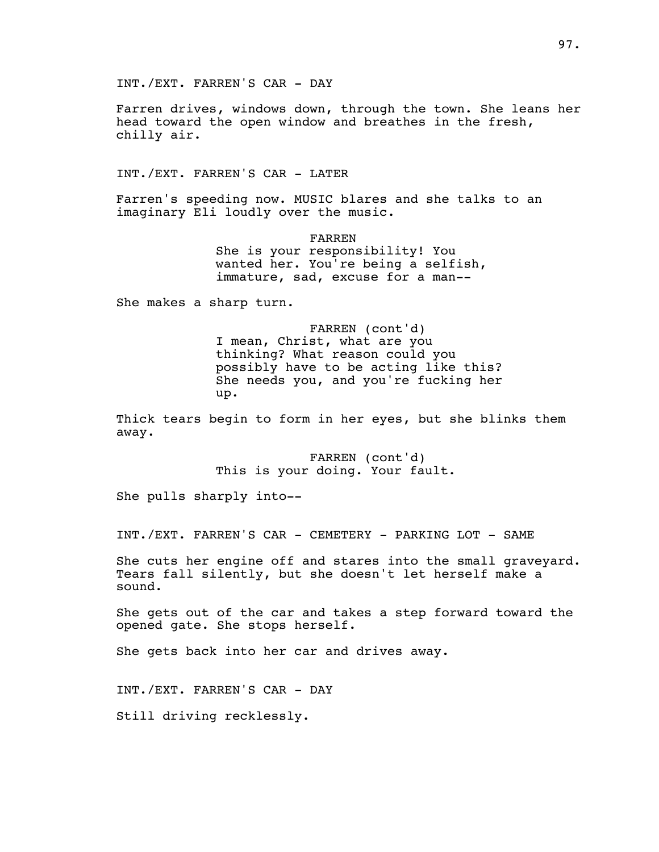INT./EXT. FARREN'S CAR - DAY

Farren drives, windows down, through the town. She leans her head toward the open window and breathes in the fresh, chilly air.

INT./EXT. FARREN'S CAR - LATER

Farren's speeding now. MUSIC blares and she talks to an imaginary Eli loudly over the music.

> FARREN She is your responsibility! You wanted her. You're being a selfish, immature, sad, excuse for a man--

She makes a sharp turn.

FARREN (cont'd) I mean, Christ, what are you thinking? What reason could you possibly have to be acting like this? She needs you, and you're fucking her up.

Thick tears begin to form in her eyes, but she blinks them away.

> FARREN (cont'd) This is your doing. Your fault.

She pulls sharply into--

INT./EXT. FARREN'S CAR - CEMETERY - PARKING LOT - SAME

She cuts her engine off and stares into the small graveyard. Tears fall silently, but she doesn't let herself make a sound.

She gets out of the car and takes a step forward toward the opened gate. She stops herself.

She gets back into her car and drives away.

INT./EXT. FARREN'S CAR - DAY

Still driving recklessly.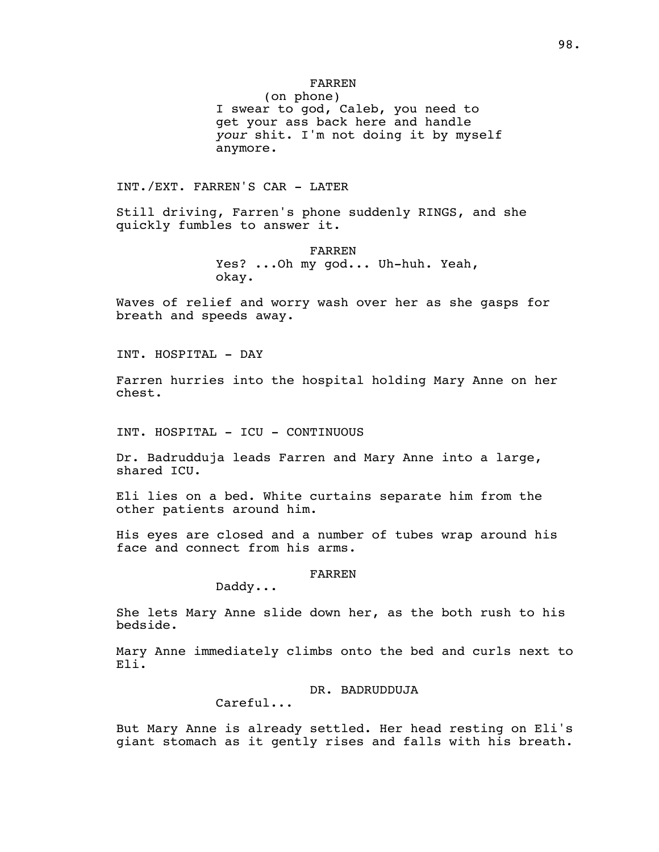# FARREN

(on phone) I swear to god, Caleb, you need to get your ass back here and handle *your* shit. I'm not doing it by myself anymore.

INT./EXT. FARREN'S CAR - LATER

Still driving, Farren's phone suddenly RINGS, and she quickly fumbles to answer it.

> FARREN Yes? ...Oh my god... Uh-huh. Yeah, okay.

Waves of relief and worry wash over her as she gasps for breath and speeds away.

INT. HOSPITAL - DAY

Farren hurries into the hospital holding Mary Anne on her chest.

INT. HOSPITAL - ICU - CONTINUOUS

Dr. Badrudduja leads Farren and Mary Anne into a large, shared ICU.

Eli lies on a bed. White curtains separate him from the other patients around him.

His eyes are closed and a number of tubes wrap around his face and connect from his arms.

# FARREN

Daddy...

She lets Mary Anne slide down her, as the both rush to his bedside.

Mary Anne immediately climbs onto the bed and curls next to Eli.

### DR. BADRUDDUJA

Careful...

But Mary Anne is already settled. Her head resting on Eli's giant stomach as it gently rises and falls with his breath.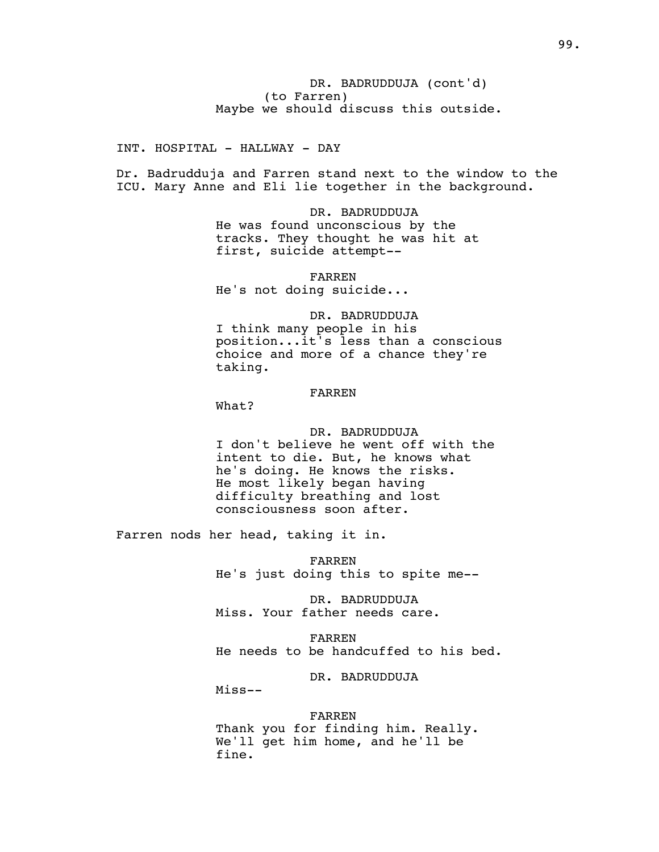INT. HOSPITAL - HALLWAY - DAY

Dr. Badrudduja and Farren stand next to the window to the ICU. Mary Anne and Eli lie together in the background.

> DR. BADRUDDUJA He was found unconscious by the tracks. They thought he was hit at first, suicide attempt--

FARREN He's not doing suicide...

DR. BADRUDDUJA I think many people in his position...it's less than a conscious choice and more of a chance they're taking.

# FARREN

What?

DR. BADRUDDUJA I don't believe he went off with the intent to die. But, he knows what he's doing. He knows the risks. He most likely began having difficulty breathing and lost consciousness soon after.

Farren nods her head, taking it in.

FARREN He's just doing this to spite me--

DR. BADRUDDUJA Miss. Your father needs care.

FARREN He needs to be handcuffed to his bed.

DR. BADRUDDUJA

Miss--

#### FARREN

Thank you for finding him. Really. We'll get him home, and he'll be fine.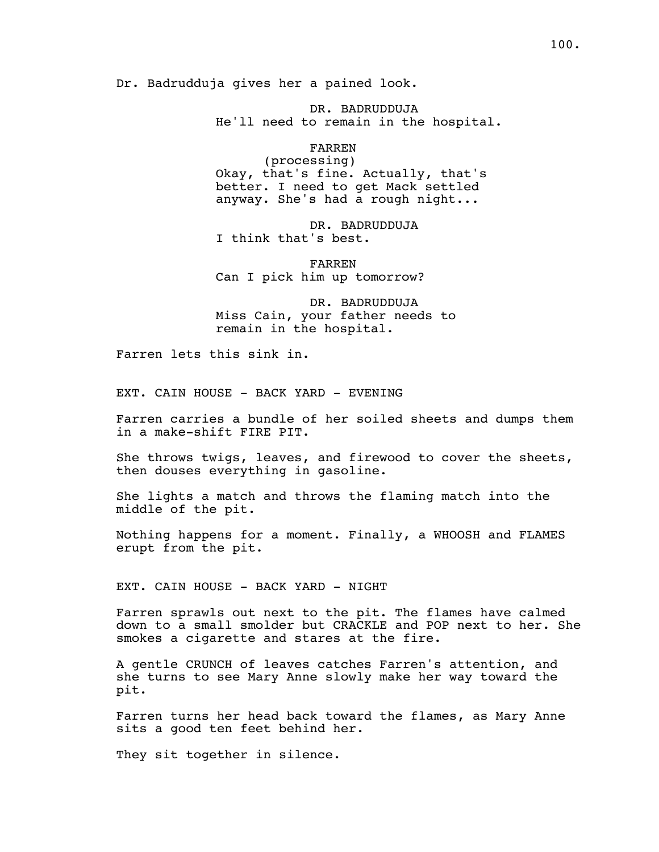Dr. Badrudduja gives her a pained look.

DR. BADRUDDUJA He'll need to remain in the hospital.

FARREN

(processing) Okay, that's fine. Actually, that's better. I need to get Mack settled anyway. She's had a rough night...

DR. BADRUDDUJA I think that's best.

FARREN Can I pick him up tomorrow?

DR. BADRUDDUJA Miss Cain, your father needs to remain in the hospital.

Farren lets this sink in.

EXT. CAIN HOUSE - BACK YARD - EVENING

Farren carries a bundle of her soiled sheets and dumps them in a make-shift FIRE PIT.

She throws twigs, leaves, and firewood to cover the sheets, then douses everything in gasoline.

She lights a match and throws the flaming match into the middle of the pit.

Nothing happens for a moment. Finally, a WHOOSH and FLAMES erupt from the pit.

EXT. CAIN HOUSE - BACK YARD - NIGHT

Farren sprawls out next to the pit. The flames have calmed down to a small smolder but CRACKLE and POP next to her. She smokes a cigarette and stares at the fire.

A gentle CRUNCH of leaves catches Farren's attention, and she turns to see Mary Anne slowly make her way toward the pit.

Farren turns her head back toward the flames, as Mary Anne sits a good ten feet behind her.

They sit together in silence.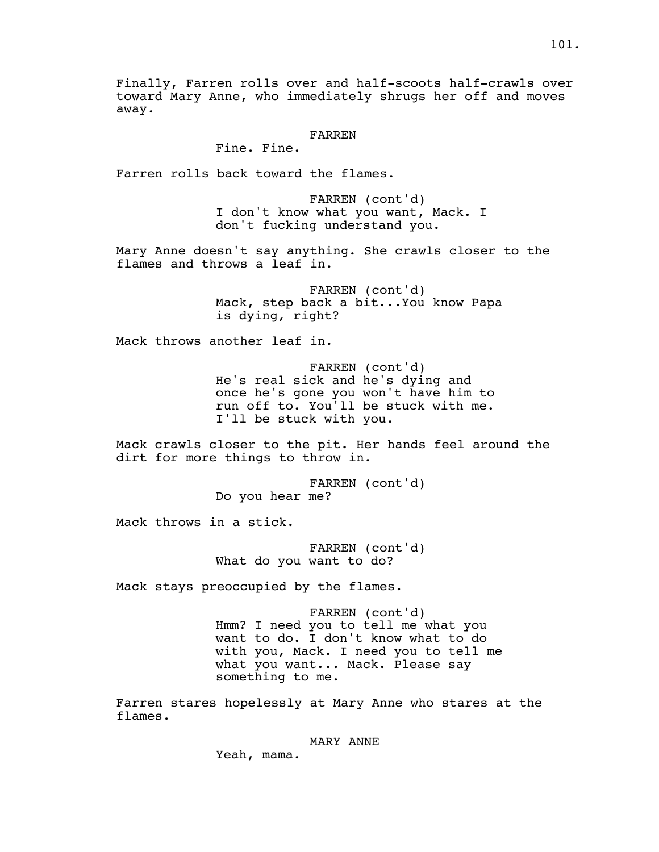Finally, Farren rolls over and half-scoots half-crawls over toward Mary Anne, who immediately shrugs her off and moves away.

#### FARREN

Fine. Fine.

Farren rolls back toward the flames.

FARREN (cont'd) I don't know what you want, Mack. I don't fucking understand you.

Mary Anne doesn't say anything. She crawls closer to the flames and throws a leaf in.

> FARREN (cont'd) Mack, step back a bit...You know Papa is dying, right?

Mack throws another leaf in.

FARREN (cont'd) He's real sick and he's dying and once he's gone you won't have him to run off to. You'll be stuck with me. I'll be stuck with you.

Mack crawls closer to the pit. Her hands feel around the dirt for more things to throw in.

> FARREN (cont'd) Do you hear me?

Mack throws in a stick.

FARREN (cont'd) What do you want to do?

Mack stays preoccupied by the flames.

FARREN (cont'd) Hmm? I need you to tell me what you want to do. I don't know what to do with you, Mack. I need you to tell me what you want... Mack. Please say something to me.

Farren stares hopelessly at Mary Anne who stares at the flames.

### MARY ANNE

Yeah, mama.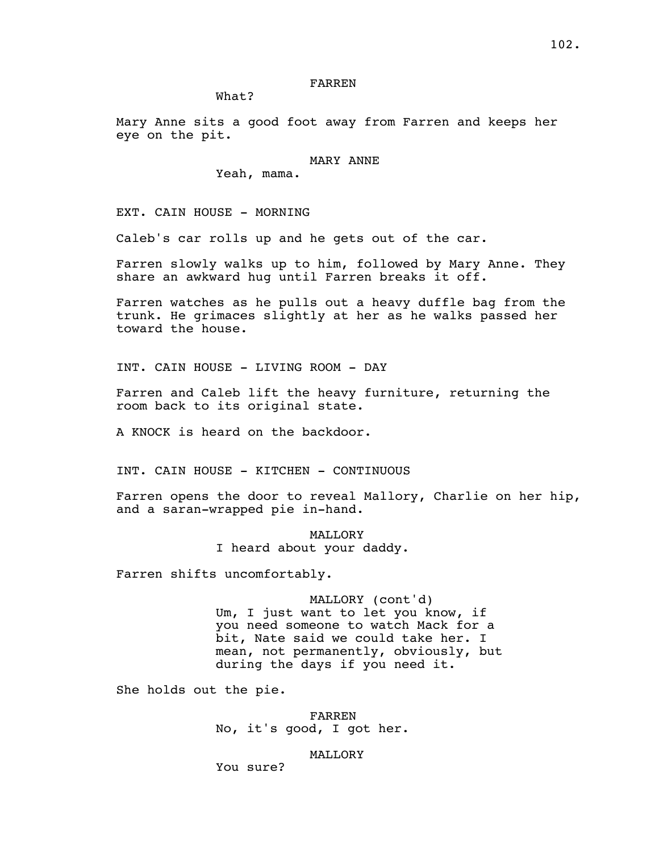# FARREN

What?

Mary Anne sits a good foot away from Farren and keeps her eye on the pit.

### MARY ANNE

Yeah, mama.

EXT. CAIN HOUSE - MORNING

Caleb's car rolls up and he gets out of the car.

Farren slowly walks up to him, followed by Mary Anne. They share an awkward hug until Farren breaks it off.

Farren watches as he pulls out a heavy duffle bag from the trunk. He grimaces slightly at her as he walks passed her toward the house.

INT. CAIN HOUSE - LIVING ROOM - DAY

Farren and Caleb lift the heavy furniture, returning the room back to its original state.

A KNOCK is heard on the backdoor.

INT. CAIN HOUSE - KITCHEN - CONTINUOUS

Farren opens the door to reveal Mallory, Charlie on her hip, and a saran-wrapped pie in-hand.

> **MALLORY** I heard about your daddy.

Farren shifts uncomfortably.

MALLORY (cont'd) Um, I just want to let you know, if you need someone to watch Mack for a bit, Nate said we could take her. I mean, not permanently, obviously, but during the days if you need it.

She holds out the pie.

FARREN No, it's good, I got her.

#### MALLORY

You sure?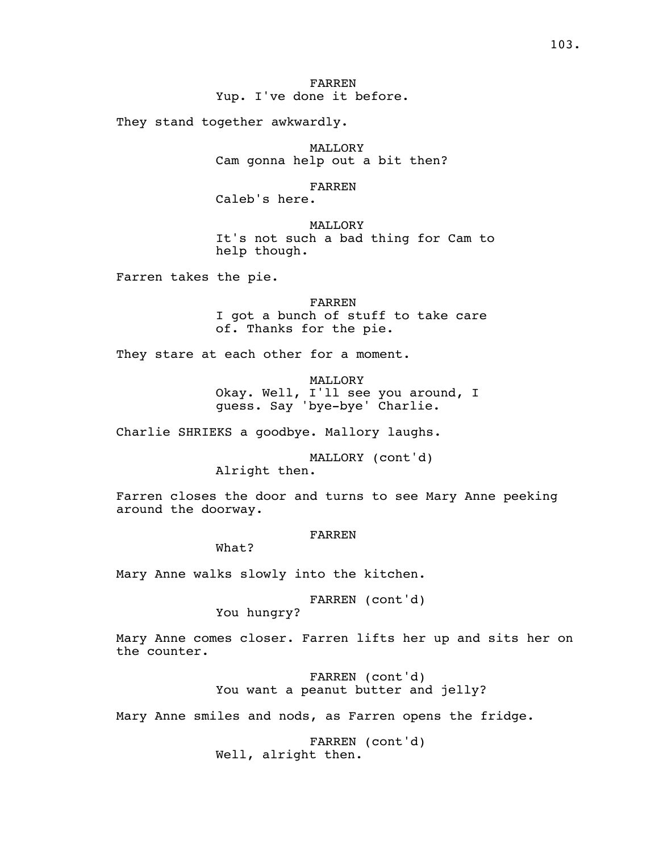# FARREN Yup. I've done it before.

They stand together awkwardly.

MALLORY Cam gonna help out a bit then?

FARREN

Caleb's here.

MALLORY It's not such a bad thing for Cam to help though.

Farren takes the pie.

FARREN I got a bunch of stuff to take care of. Thanks for the pie.

They stare at each other for a moment.

MALLORY Okay. Well, I'll see you around, I guess. Say 'bye-bye' Charlie.

Charlie SHRIEKS a goodbye. Mallory laughs.

MALLORY (cont'd)

Alright then.

Farren closes the door and turns to see Mary Anne peeking around the doorway.

# FARREN

What?

Mary Anne walks slowly into the kitchen.

FARREN (cont'd)

You hungry?

Mary Anne comes closer. Farren lifts her up and sits her on the counter.

> FARREN (cont'd) You want a peanut butter and jelly?

Mary Anne smiles and nods, as Farren opens the fridge.

FARREN (cont'd) Well, alright then.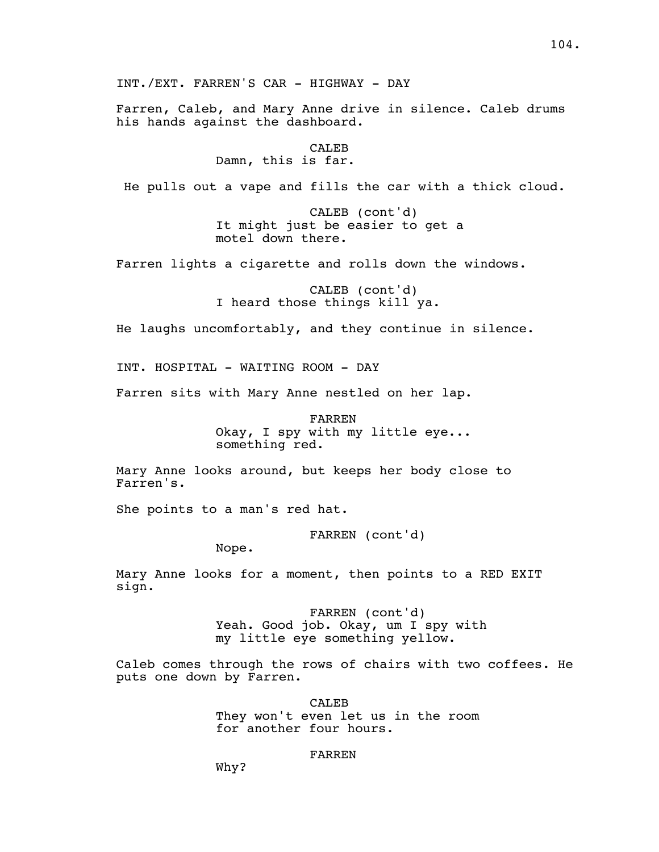Farren, Caleb, and Mary Anne drive in silence. Caleb drums his hands against the dashboard.

> CALEB Damn, this is far.

He pulls out a vape and fills the car with a thick cloud.

CALEB (cont'd) It might just be easier to get a motel down there.

Farren lights a cigarette and rolls down the windows.

CALEB (cont'd) I heard those things kill ya.

He laughs uncomfortably, and they continue in silence.

INT. HOSPITAL - WAITING ROOM - DAY

Farren sits with Mary Anne nestled on her lap.

FARREN Okay, I spy with my little eye... something red.

Mary Anne looks around, but keeps her body close to Farren's.

She points to a man's red hat.

FARREN (cont'd)

Nope.

Mary Anne looks for a moment, then points to a RED EXIT sign.

> FARREN (cont'd) Yeah. Good job. Okay, um I spy with my little eye something yellow.

Caleb comes through the rows of chairs with two coffees. He puts one down by Farren.

> CALEB They won't even let us in the room for another four hours.

#### FARREN

Why?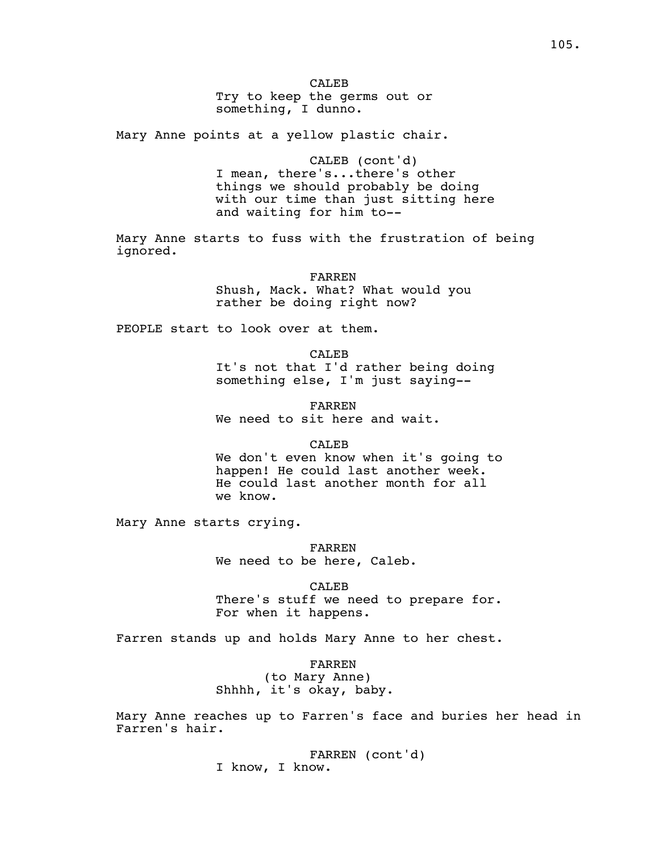CALE<sub>B</sub> Try to keep the germs out or something, I dunno.

Mary Anne points at a yellow plastic chair.

CALEB (cont'd) I mean, there's...there's other things we should probably be doing with our time than just sitting here and waiting for him to--

Mary Anne starts to fuss with the frustration of being ignored.

> FARREN Shush, Mack. What? What would you rather be doing right now?

PEOPLE start to look over at them.

CALEB It's not that I'd rather being doing something else, I'm just saying--

FARREN We need to sit here and wait.

#### CALEB

We don't even know when it's going to happen! He could last another week. He could last another month for all we know.

Mary Anne starts crying.

FARREN We need to be here, Caleb.

CALEB There's stuff we need to prepare for. For when it happens.

Farren stands up and holds Mary Anne to her chest.

FARREN (to Mary Anne) Shhhh, it's okay, baby.

Mary Anne reaches up to Farren's face and buries her head in Farren's hair.

> FARREN (cont'd) I know, I know.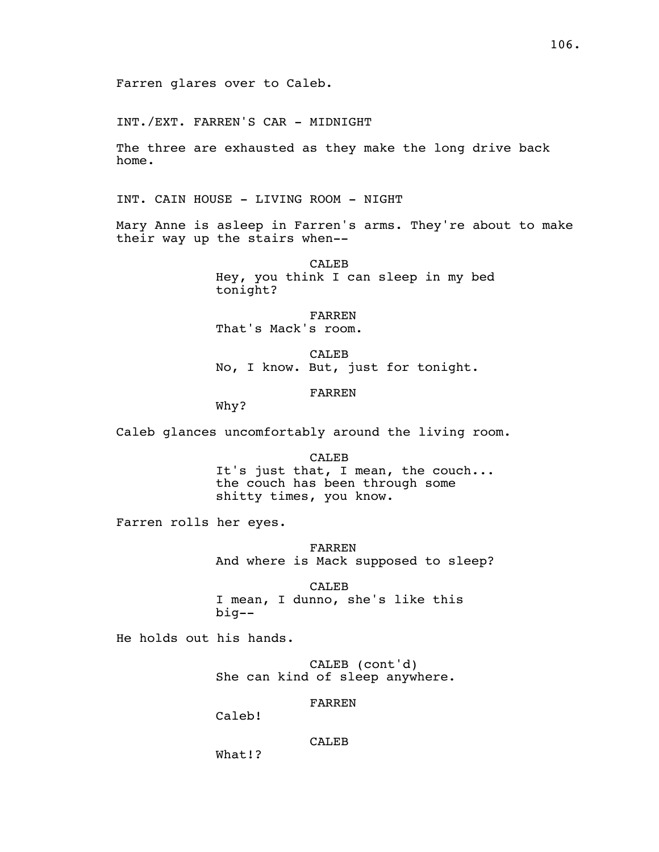Farren glares over to Caleb.

INT./EXT. FARREN'S CAR - MIDNIGHT

The three are exhausted as they make the long drive back home.

INT. CAIN HOUSE - LIVING ROOM - NIGHT

Mary Anne is asleep in Farren's arms. They're about to make their way up the stairs when--

> CALEB Hey, you think I can sleep in my bed tonight?

FARREN That's Mack's room.

CALEB No, I know. But, just for tonight.

# FARREN

Why?

Caleb glances uncomfortably around the living room.

CALEB It's just that, I mean, the couch... the couch has been through some shitty times, you know.

Farren rolls her eyes.

FARREN And where is Mack supposed to sleep?

CALEB I mean, I dunno, she's like this big--

He holds out his hands.

CALEB (cont'd) She can kind of sleep anywhere.

### FARREN

Caleb!

CALEB

What!?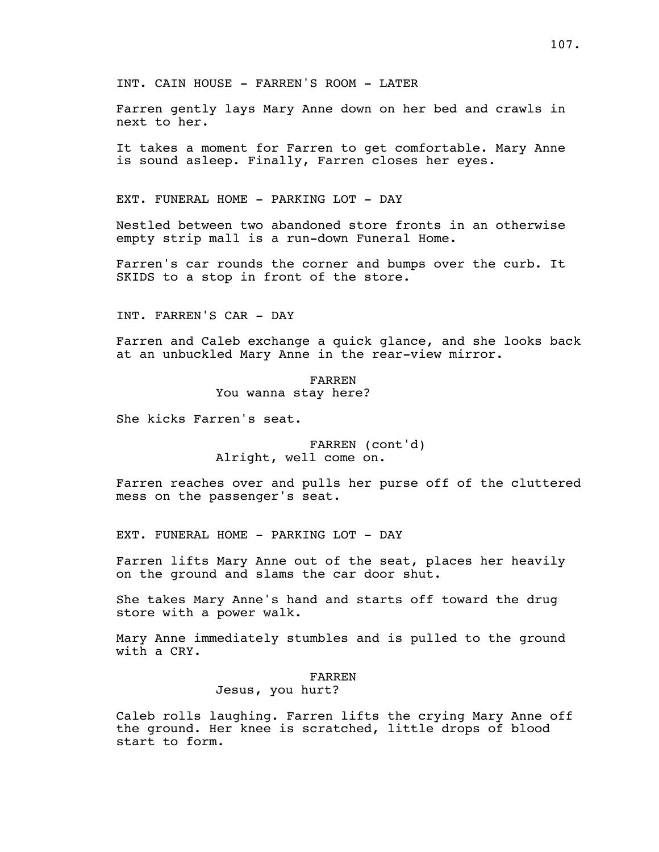Farren gently lays Mary Anne down on her bed and crawls in next to her.

It takes a moment for Farren to get comfortable. Mary Anne is sound asleep. Finally, Farren closes her eyes.

EXT. FUNERAL HOME - PARKING LOT - DAY

Nestled between two abandoned store fronts in an otherwise empty strip mall is a run-down Funeral Home.

Farren's car rounds the corner and bumps over the curb. It SKIDS to a stop in front of the store.

INT. FARREN'S CAR - DAY

Farren and Caleb exchange a quick glance, and she looks back at an unbuckled Mary Anne in the rear-view mirror.

> FARREN You wanna stay here?

She kicks Farren's seat.

FARREN (cont'd) Alright, well come on.

Farren reaches over and pulls her purse off of the cluttered mess on the passenger's seat.

EXT. FUNERAL HOME - PARKING LOT - DAY

Farren lifts Mary Anne out of the seat, places her heavily on the ground and slams the car door shut.

She takes Mary Anne's hand and starts off toward the drug store with a power walk.

Mary Anne immediately stumbles and is pulled to the ground with a CRY.

# FARREN

# Jesus, you hurt?

Caleb rolls laughing. Farren lifts the crying Mary Anne off the ground. Her knee is scratched, little drops of blood start to form.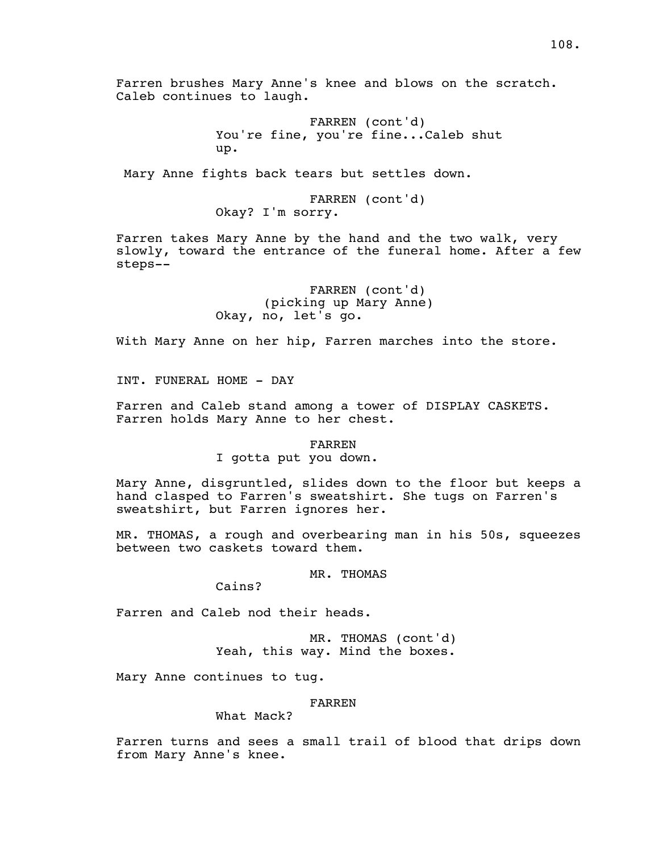Farren brushes Mary Anne's knee and blows on the scratch. Caleb continues to laugh. FARREN (cont'd) You're fine, you're fine...Caleb shut up. Mary Anne fights back tears but settles down. FARREN (cont'd) Okay? I'm sorry. Farren takes Mary Anne by the hand and the two walk, very slowly, toward the entrance of the funeral home. After a few steps-- FARREN (cont'd) (picking up Mary Anne) Okay, no, let's go. With Mary Anne on her hip, Farren marches into the store. INT. FUNERAL HOME - DAY Farren and Caleb stand among a tower of DISPLAY CASKETS. Farren holds Mary Anne to her chest. FARREN I gotta put you down. Mary Anne, disgruntled, slides down to the floor but keeps a hand clasped to Farren's sweatshirt. She tugs on Farren's sweatshirt, but Farren ignores her. MR. THOMAS, a rough and overbearing man in his 50s, squeezes between two caskets toward them. MR. THOMAS Cains? Farren and Caleb nod their heads. MR. THOMAS (cont'd)

Yeah, this way. Mind the boxes.

Mary Anne continues to tug.

FARREN

What Mack?

Farren turns and sees a small trail of blood that drips down from Mary Anne's knee.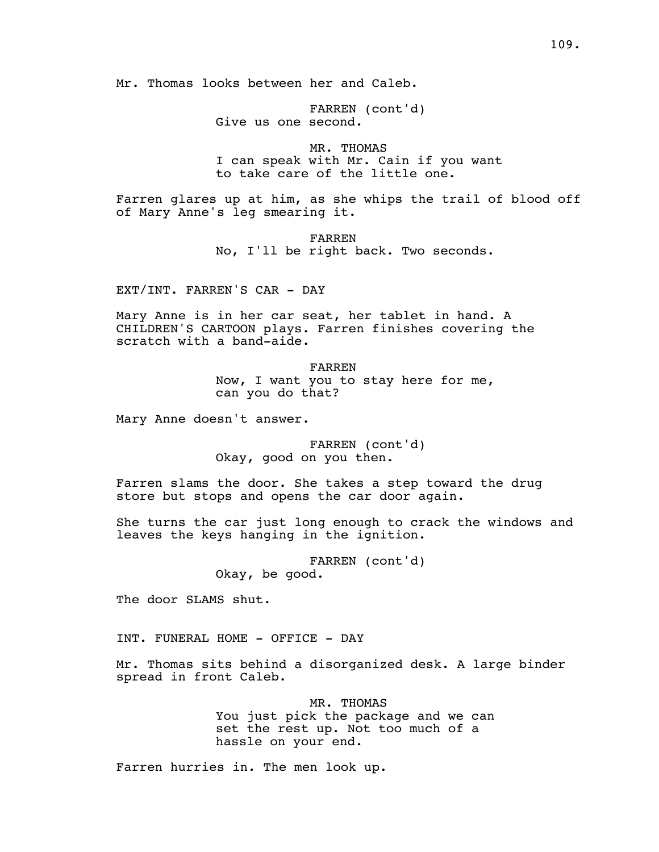Mr. Thomas looks between her and Caleb.

FARREN (cont'd) Give us one second.

MR. THOMAS I can speak with Mr. Cain if you want to take care of the little one.

Farren glares up at him, as she whips the trail of blood off of Mary Anne's leg smearing it.

> FARREN No, I'll be right back. Two seconds.

EXT/INT. FARREN'S CAR - DAY

Mary Anne is in her car seat, her tablet in hand. A CHILDREN'S CARTOON plays. Farren finishes covering the scratch with a band-aide.

> FARREN Now, I want you to stay here for me, can you do that?

Mary Anne doesn't answer.

FARREN (cont'd) Okay, good on you then.

Farren slams the door. She takes a step toward the drug store but stops and opens the car door again.

She turns the car just long enough to crack the windows and leaves the keys hanging in the ignition.

> FARREN (cont'd) Okay, be good.

The door SLAMS shut.

INT. FUNERAL HOME - OFFICE - DAY

Mr. Thomas sits behind a disorganized desk. A large binder spread in front Caleb.

> MR. THOMAS You just pick the package and we can set the rest up. Not too much of a hassle on your end.

Farren hurries in. The men look up.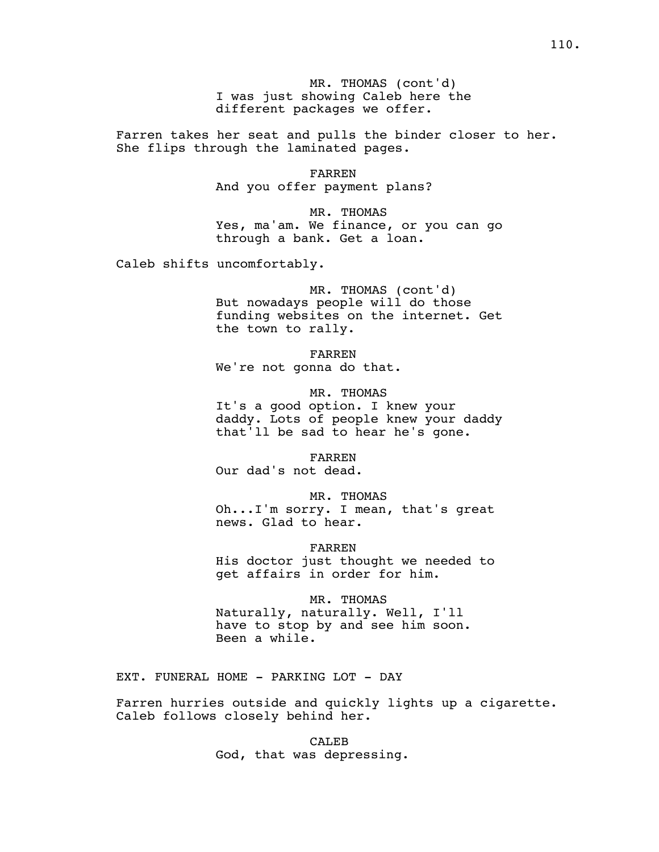MR. THOMAS (cont'd) I was just showing Caleb here the different packages we offer.

Farren takes her seat and pulls the binder closer to her. She flips through the laminated pages.

> FARREN And you offer payment plans?

MR. THOMAS Yes, ma'am. We finance, or you can go through a bank. Get a loan.

Caleb shifts uncomfortably.

MR. THOMAS (cont'd) But nowadays people will do those funding websites on the internet. Get the town to rally.

FARREN We're not gonna do that.

MR. THOMAS It's a good option. I knew your daddy. Lots of people knew your daddy that'll be sad to hear he's gone.

FARREN Our dad's not dead.

MR. THOMAS Oh...I'm sorry. I mean, that's great news. Glad to hear.

FARREN His doctor just thought we needed to get affairs in order for him.

MR. THOMAS Naturally, naturally. Well, I'll have to stop by and see him soon. Been a while.

EXT. FUNERAL HOME - PARKING LOT - DAY

Farren hurries outside and quickly lights up a cigarette. Caleb follows closely behind her.

> CALEB God, that was depressing.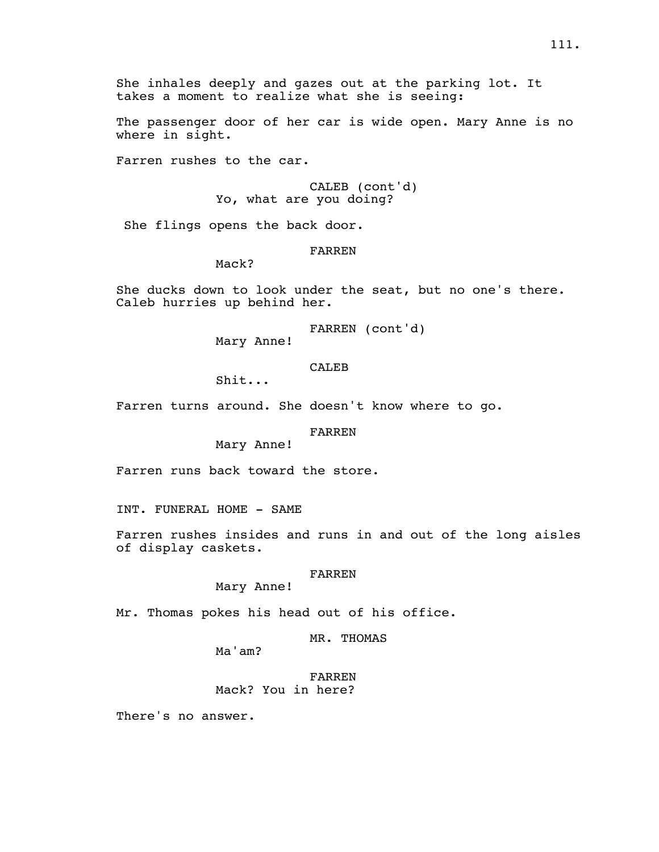She inhales deeply and gazes out at the parking lot. It takes a moment to realize what she is seeing:

The passenger door of her car is wide open. Mary Anne is no where in sight.

Farren rushes to the car.

CALEB (cont'd) Yo, what are you doing?

She flings opens the back door.

# FARREN

Mack?

She ducks down to look under the seat, but no one's there. Caleb hurries up behind her.

FARREN (cont'd)

Mary Anne!

CALE<sub>B</sub>

Shit...

Farren turns around. She doesn't know where to go.

## FARREN

Mary Anne!

Farren runs back toward the store.

INT. FUNERAL HOME - SAME

Farren rushes insides and runs in and out of the long aisles of display caskets.

# FARREN

Mary Anne!

Mr. Thomas pokes his head out of his office.

MR. THOMAS

Ma'am?

FARREN Mack? You in here?

There's no answer.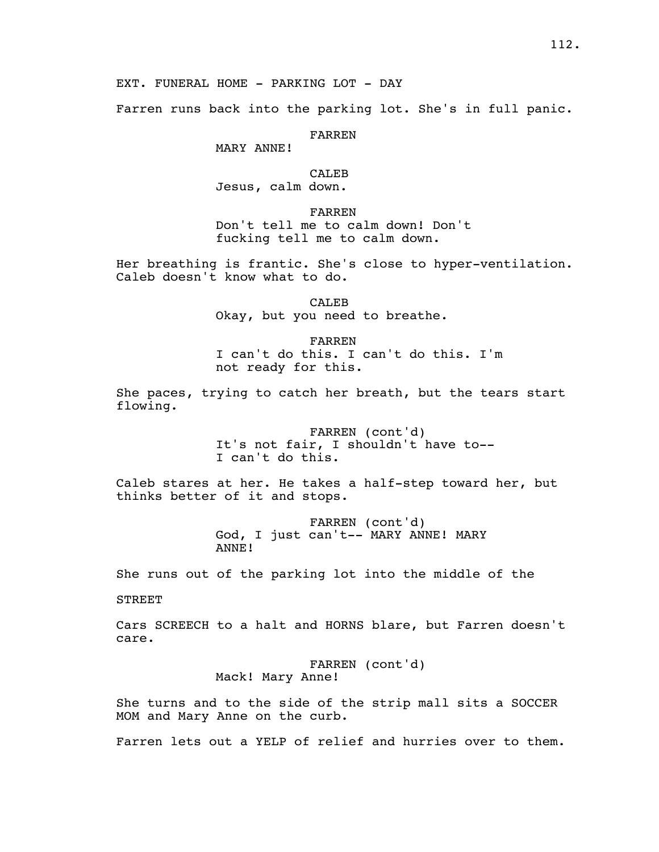EXT. FUNERAL HOME - PARKING LOT - DAY

Farren runs back into the parking lot. She's in full panic.

FARREN

MARY ANNE!

CALEB

Jesus, calm down.

FARREN

Don't tell me to calm down! Don't fucking tell me to calm down.

Her breathing is frantic. She's close to hyper-ventilation. Caleb doesn't know what to do.

> CALEB Okay, but you need to breathe.

FARREN I can't do this. I can't do this. I'm not ready for this.

She paces, trying to catch her breath, but the tears start flowing.

> FARREN (cont'd) It's not fair, I shouldn't have to-- I can't do this.

Caleb stares at her. He takes a half-step toward her, but thinks better of it and stops.

> FARREN (cont'd) God, I just can't-- MARY ANNE! MARY ANNE!

She runs out of the parking lot into the middle of the

STREET

Cars SCREECH to a halt and HORNS blare, but Farren doesn't care.

> FARREN (cont'd) Mack! Mary Anne!

She turns and to the side of the strip mall sits a SOCCER MOM and Mary Anne on the curb.

Farren lets out a YELP of relief and hurries over to them.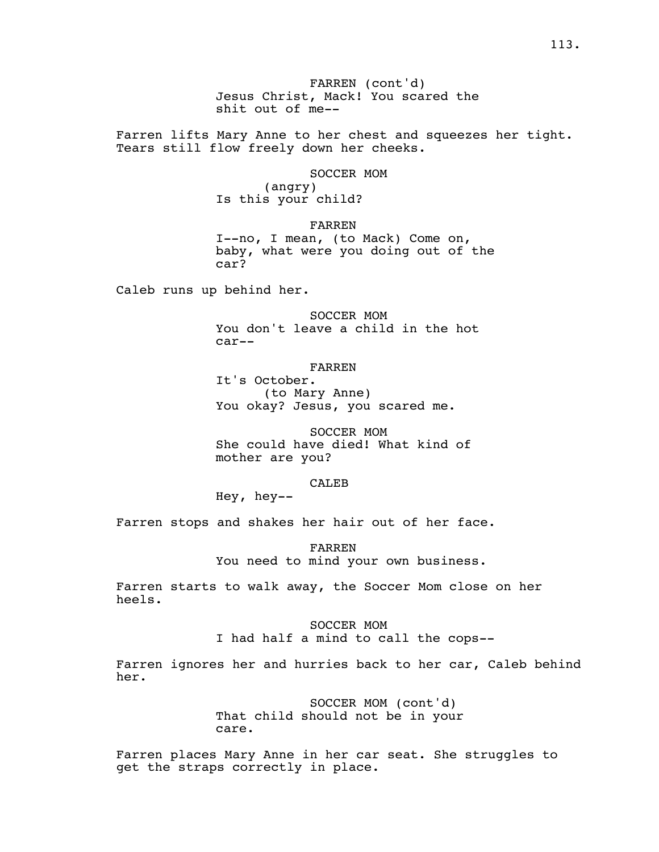FARREN (cont'd) Jesus Christ, Mack! You scared the shit out of me--

Farren lifts Mary Anne to her chest and squeezes her tight. Tears still flow freely down her cheeks.

SOCCER MOM

(angry) Is this your child?

FARREN I--no, I mean, (to Mack) Come on, baby, what were you doing out of the car?

Caleb runs up behind her.

SOCCER MOM You don't leave a child in the hot car--

FARREN

It's October. (to Mary Anne) You okay? Jesus, you scared me.

SOCCER MOM She could have died! What kind of mother are you?

# CALEB

Hey, hey--

Farren stops and shakes her hair out of her face.

FARREN You need to mind your own business.

Farren starts to walk away, the Soccer Mom close on her heels.

> SOCCER MOM I had half a mind to call the cops--

Farren ignores her and hurries back to her car, Caleb behind her.

> SOCCER MOM (cont'd) That child should not be in your care.

Farren places Mary Anne in her car seat. She struggles to get the straps correctly in place.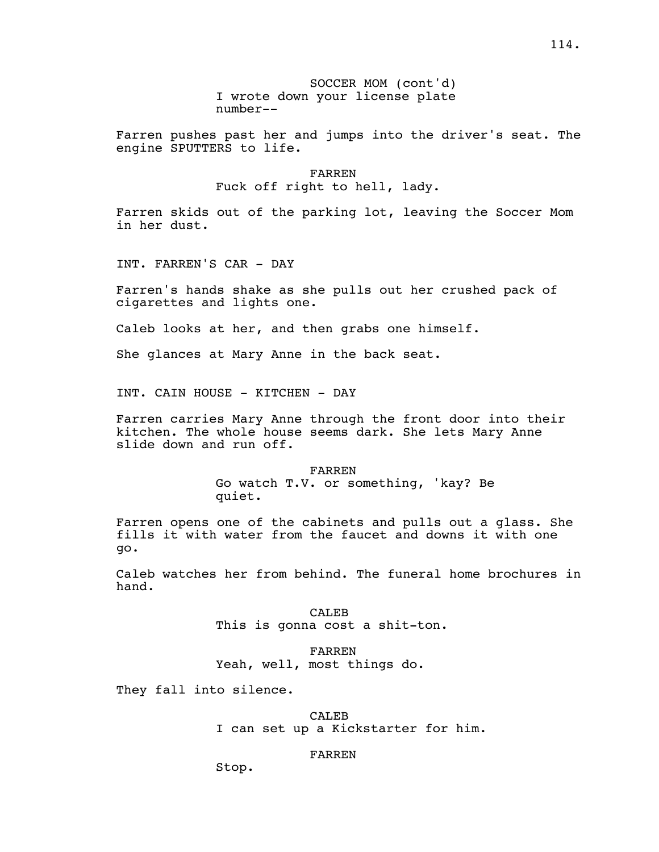Farren pushes past her and jumps into the driver's seat. The engine SPUTTERS to life.

> FARREN Fuck off right to hell, lady.

Farren skids out of the parking lot, leaving the Soccer Mom in her dust.

INT. FARREN'S CAR - DAY

Farren's hands shake as she pulls out her crushed pack of cigarettes and lights one.

Caleb looks at her, and then grabs one himself.

She glances at Mary Anne in the back seat.

INT. CAIN HOUSE - KITCHEN - DAY

Farren carries Mary Anne through the front door into their kitchen. The whole house seems dark. She lets Mary Anne slide down and run off.

> FARREN Go watch T.V. or something, 'kay? Be quiet.

Farren opens one of the cabinets and pulls out a glass. She fills it with water from the faucet and downs it with one go.

Caleb watches her from behind. The funeral home brochures in hand.

> CALEB This is gonna cost a shit-ton.

FARREN Yeah, well, most things do.

They fall into silence.

CALEB

I can set up a Kickstarter for him.

#### FARREN

Stop.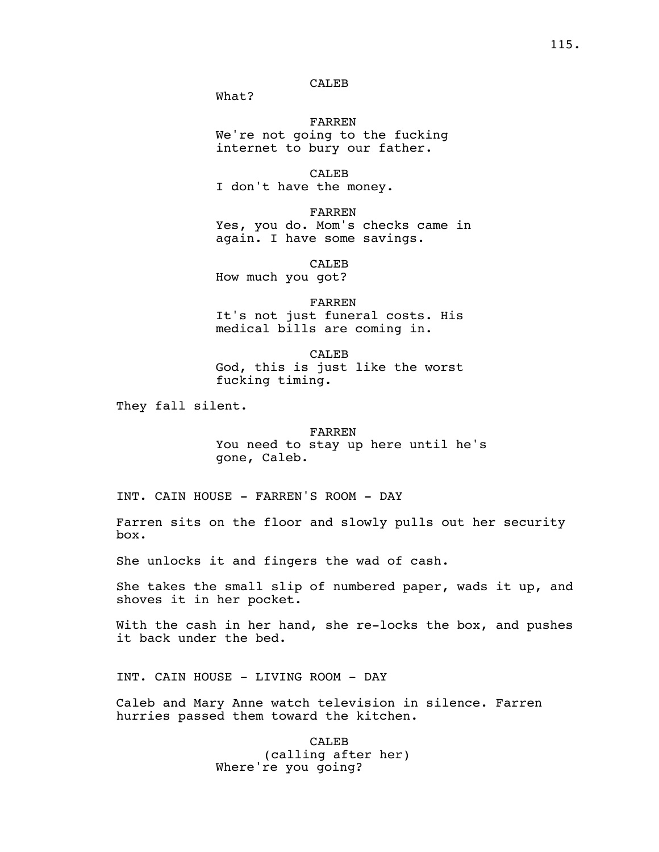# CALEB

What?

FARREN We're not going to the fucking internet to bury our father.

CALEB I don't have the money.

FARREN Yes, you do. Mom's checks came in again. I have some savings.

CALEB How much you got?

FARREN It's not just funeral costs. His medical bills are coming in.

CALEB God, this is just like the worst fucking timing.

They fall silent.

# FARREN You need to stay up here until he's gone, Caleb.

INT. CAIN HOUSE - FARREN'S ROOM - DAY

Farren sits on the floor and slowly pulls out her security box.

She unlocks it and fingers the wad of cash.

She takes the small slip of numbered paper, wads it up, and shoves it in her pocket.

With the cash in her hand, she re-locks the box, and pushes it back under the bed.

INT. CAIN HOUSE - LIVING ROOM - DAY

Caleb and Mary Anne watch television in silence. Farren hurries passed them toward the kitchen.

> CALEB (calling after her) Where're you going?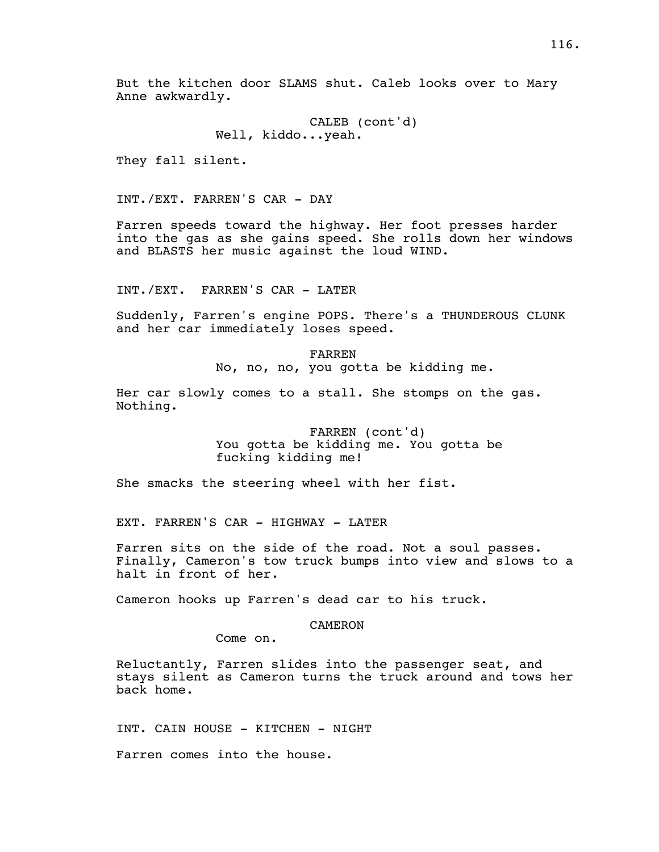But the kitchen door SLAMS shut. Caleb looks over to Mary Anne awkwardly.

> CALEB (cont'd) Well, kiddo...yeah.

They fall silent.

INT./EXT. FARREN'S CAR - DAY

Farren speeds toward the highway. Her foot presses harder into the gas as she gains speed. She rolls down her windows and BLASTS her music against the loud WIND.

INT./EXT. FARREN'S CAR - LATER

Suddenly, Farren's engine POPS. There's a THUNDEROUS CLUNK and her car immediately loses speed.

> FARREN No, no, no, you gotta be kidding me.

Her car slowly comes to a stall. She stomps on the gas. Nothing.

> FARREN (cont'd) You gotta be kidding me. You gotta be fucking kidding me!

She smacks the steering wheel with her fist.

EXT. FARREN'S CAR - HIGHWAY - LATER

Farren sits on the side of the road. Not a soul passes. Finally, Cameron's tow truck bumps into view and slows to a halt in front of her.

Cameron hooks up Farren's dead car to his truck.

### **CAMERON**

Come on.

Reluctantly, Farren slides into the passenger seat, and stays silent as Cameron turns the truck around and tows her back home.

INT. CAIN HOUSE - KITCHEN - NIGHT

Farren comes into the house.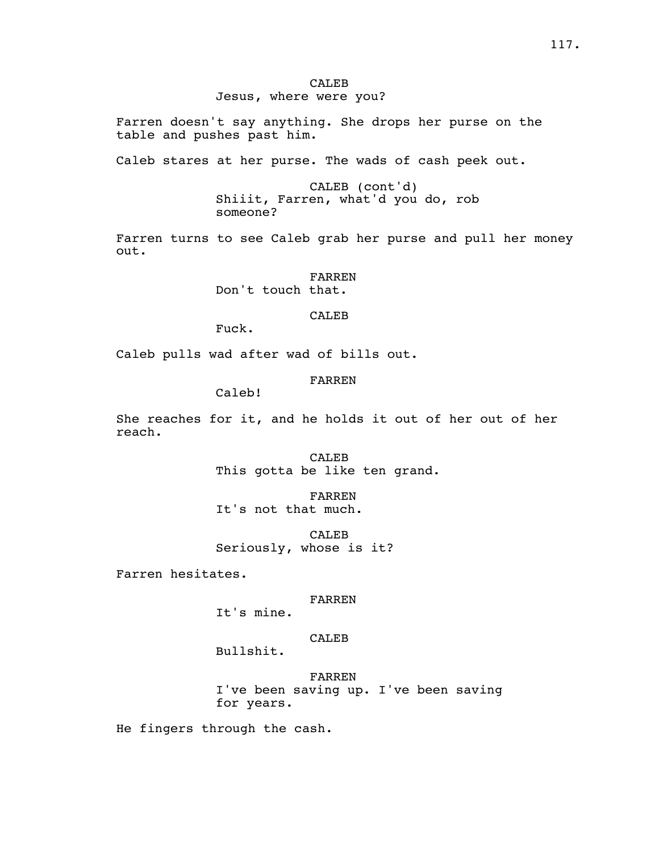## CALEB Jesus, where were you?

Farren doesn't say anything. She drops her purse on the table and pushes past him.

Caleb stares at her purse. The wads of cash peek out.

CALEB (cont'd) Shiiit, Farren, what'd you do, rob someone?

Farren turns to see Caleb grab her purse and pull her money out.

> FARREN Don't touch that.

> > CALEB

Fuck.

Caleb pulls wad after wad of bills out.

FARREN

Caleb!

She reaches for it, and he holds it out of her out of her reach.

> CALEB This gotta be like ten grand.

FARREN It's not that much.

CALE<sub>B</sub> Seriously, whose is it?

Farren hesitates.

### FARREN

It's mine.

# CALEB

Bullshit.

FARREN I've been saving up. I've been saving for years.

He fingers through the cash.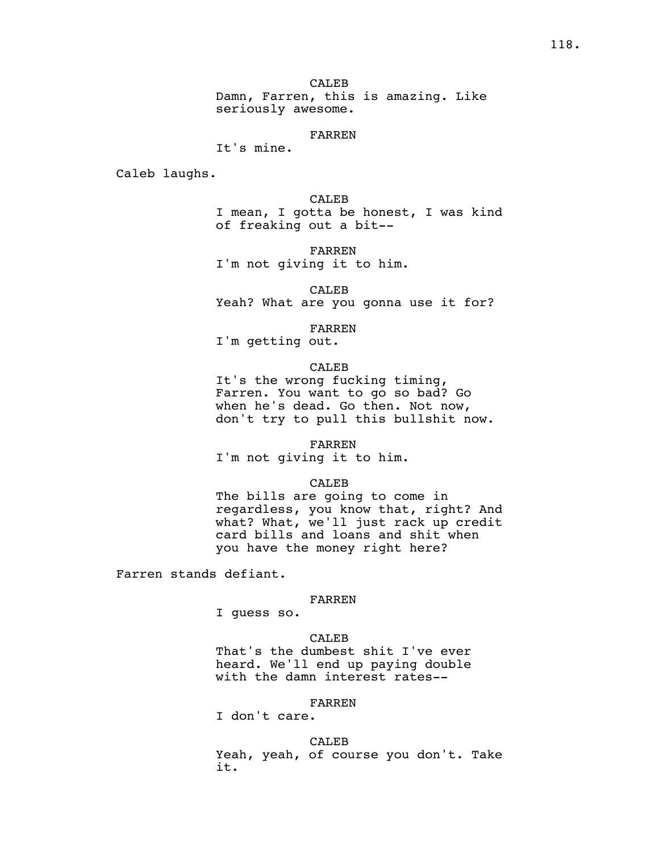#### FARREN

# It's mine.

Caleb laughs.

CALEB I mean, I gotta be honest, I was kind of freaking out a bit--

FARREN I'm not giving it to him.

CALEB

Yeah? What are you gonna use it for?

FARREN

I'm getting out.

### CALEB

It's the wrong fucking timing, Farren. You want to go so bad? Go when he's dead. Go then. Not now, don't try to pull this bullshit now.

FARREN

I'm not giving it to him.

## CALEB

The bills are going to come in regardless, you know that, right? And what? What, we'll just rack up credit card bills and loans and shit when you have the money right here?

Farren stands defiant.

#### FARREN

I guess so.

# CALEB

That's the dumbest shit I've ever heard. We'll end up paying double with the damn interest rates--

## FARREN

I don't care.

#### CALEB

Yeah, yeah, of course you don't. Take it.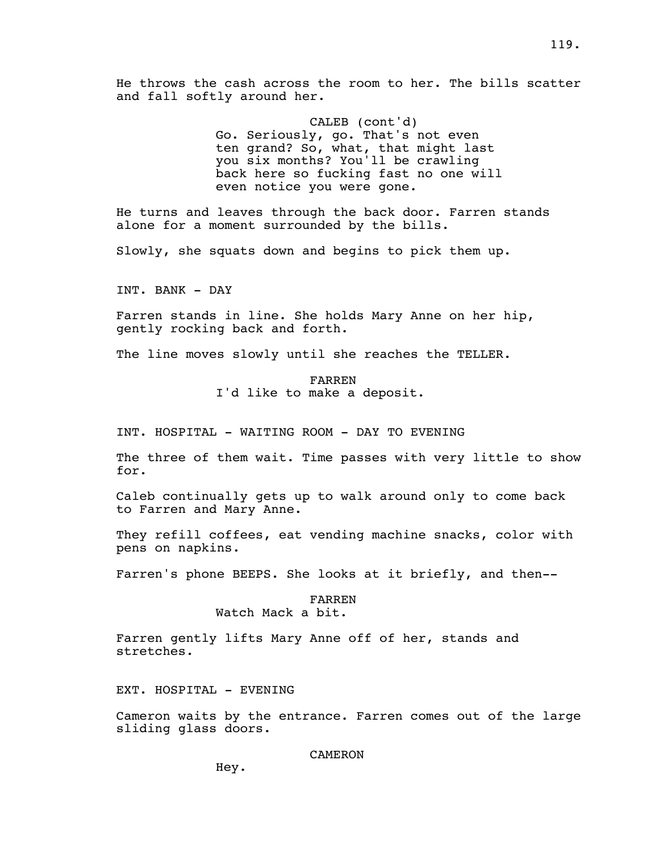He throws the cash across the room to her. The bills scatter and fall softly around her.

> CALEB (cont'd) Go. Seriously, go. That's not even ten grand? So, what, that might last you six months? You'll be crawling back here so fucking fast no one will even notice you were gone.

He turns and leaves through the back door. Farren stands alone for a moment surrounded by the bills.

Slowly, she squats down and begins to pick them up.

INT. BANK - DAY

Farren stands in line. She holds Mary Anne on her hip, gently rocking back and forth.

The line moves slowly until she reaches the TELLER.

FARREN I'd like to make a deposit.

INT. HOSPITAL - WAITING ROOM - DAY TO EVENING

The three of them wait. Time passes with very little to show for.

Caleb continually gets up to walk around only to come back to Farren and Mary Anne.

They refill coffees, eat vending machine snacks, color with pens on napkins.

Farren's phone BEEPS. She looks at it briefly, and then--

## FARREN Watch Mack a bit.

Farren gently lifts Mary Anne off of her, stands and stretches.

EXT. HOSPITAL - EVENING

Cameron waits by the entrance. Farren comes out of the large sliding glass doors.

CAMERON

Hey.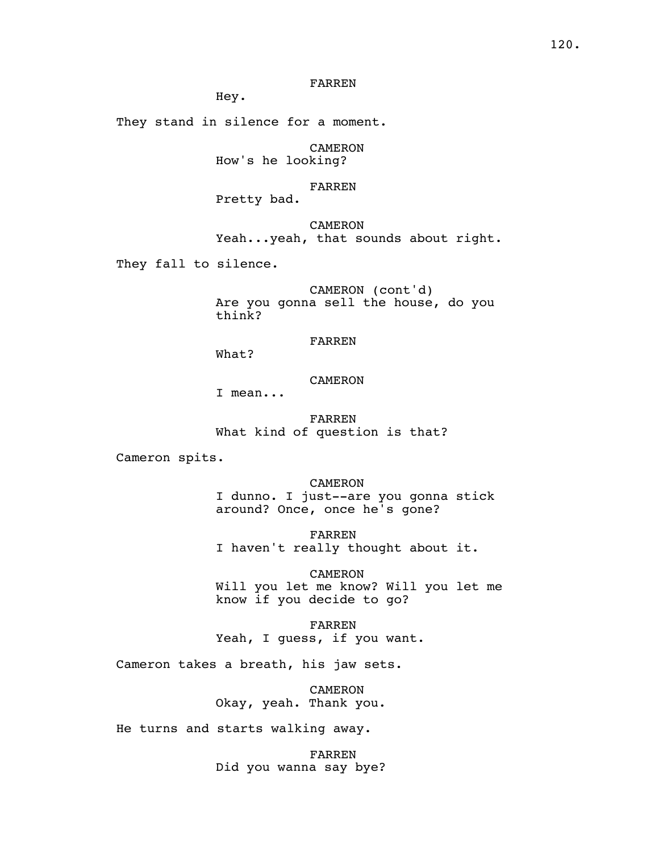## FARREN

Hey.

They stand in silence for a moment.

CAMERON How's he looking?

### FARREN

Pretty bad.

CAMERON Yeah...yeah, that sounds about right.

They fall to silence.

CAMERON (cont'd) Are you gonna sell the house, do you think?

# FARREN

What?

## CAMERON

I mean...

FARREN What kind of question is that?

Cameron spits.

CAMERON I dunno. I just--are you gonna stick around? Once, once he's gone?

FARREN I haven't really thought about it.

CAMERON Will you let me know? Will you let me know if you decide to go?

FARREN Yeah, I guess, if you want.

Cameron takes a breath, his jaw sets.

CAMERON Okay, yeah. Thank you.

He turns and starts walking away.

FARREN Did you wanna say bye?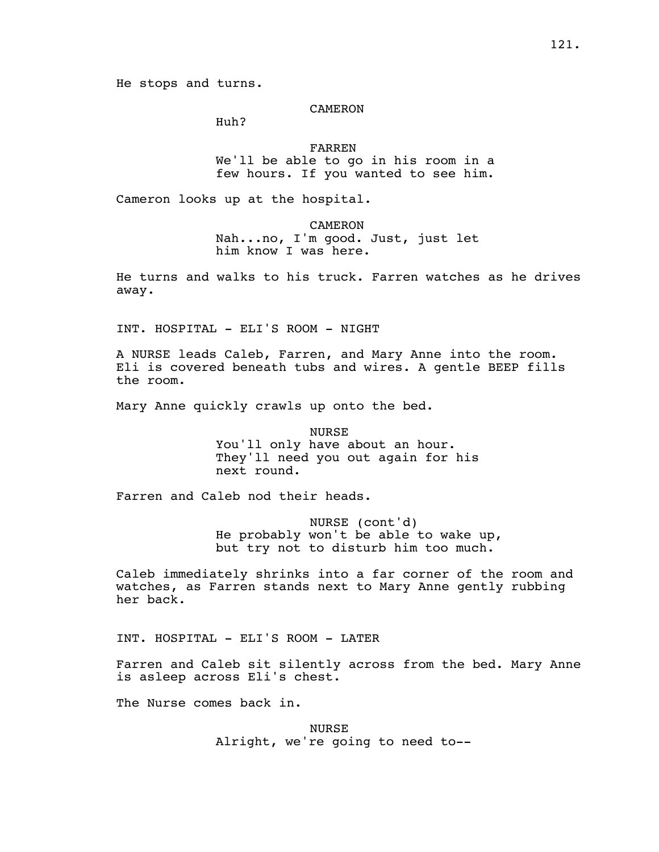He stops and turns.

### **CAMERON**

Huh?

### FARREN

We'll be able to go in his room in a few hours. If you wanted to see him.

Cameron looks up at the hospital.

CAMERON

Nah...no, I'm good. Just, just let him know I was here.

He turns and walks to his truck. Farren watches as he drives away.

INT. HOSPITAL - ELI'S ROOM - NIGHT

A NURSE leads Caleb, Farren, and Mary Anne into the room. Eli is covered beneath tubs and wires. A gentle BEEP fills the room.

Mary Anne quickly crawls up onto the bed.

NURSE You'll only have about an hour. They'll need you out again for his next round.

Farren and Caleb nod their heads.

NURSE (cont'd) He probably won't be able to wake up, but try not to disturb him too much.

Caleb immediately shrinks into a far corner of the room and watches, as Farren stands next to Mary Anne gently rubbing her back.

INT. HOSPITAL - ELI'S ROOM - LATER

Farren and Caleb sit silently across from the bed. Mary Anne is asleep across Eli's chest.

The Nurse comes back in.

NURSE Alright, we're going to need to--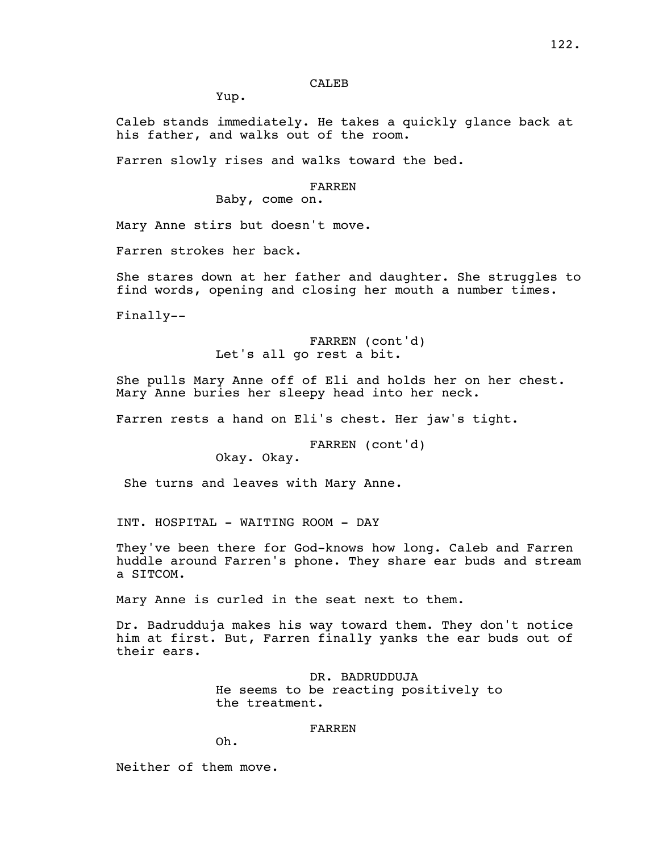## CALE<sub>B</sub>

Yup.

Caleb stands immediately. He takes a quickly glance back at his father, and walks out of the room.

Farren slowly rises and walks toward the bed.

### FARREN

Baby, come on.

Mary Anne stirs but doesn't move.

Farren strokes her back.

She stares down at her father and daughter. She struggles to find words, opening and closing her mouth a number times.

Finally--

FARREN (cont'd) Let's all go rest a bit.

She pulls Mary Anne off of Eli and holds her on her chest. Mary Anne buries her sleepy head into her neck.

Farren rests a hand on Eli's chest. Her jaw's tight.

FARREN (cont'd)

Okay. Okay.

She turns and leaves with Mary Anne.

INT. HOSPITAL - WAITING ROOM - DAY

They've been there for God-knows how long. Caleb and Farren huddle around Farren's phone. They share ear buds and stream a SITCOM.

Mary Anne is curled in the seat next to them.

Dr. Badrudduja makes his way toward them. They don't notice him at first. But, Farren finally yanks the ear buds out of their ears.

> DR. BADRUDDUJA He seems to be reacting positively to the treatment.

## FARREN

Oh.

Neither of them move.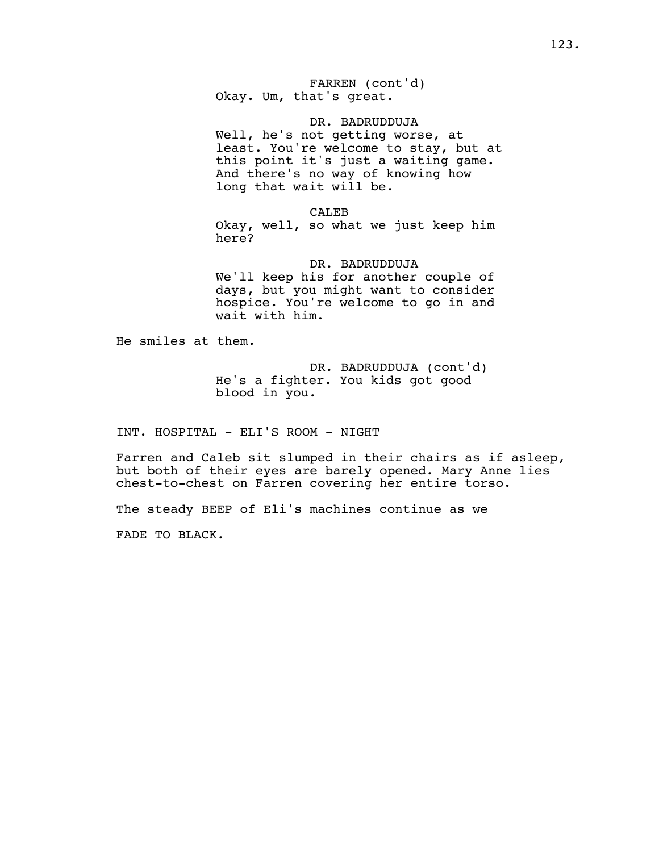FARREN (cont'd) Okay. Um, that's great.

DR. BADRUDDUJA Well, he's not getting worse, at least. You're welcome to stay, but at this point it's just a waiting game. And there's no way of knowing how long that wait will be.

CALEB

Okay, well, so what we just keep him here?

DR. BADRUDDUJA

We'll keep his for another couple of days, but you might want to consider hospice. You're welcome to go in and wait with him.

He smiles at them.

DR. BADRUDDUJA (cont'd) He's a fighter. You kids got good blood in you.

INT. HOSPITAL - ELI'S ROOM - NIGHT

Farren and Caleb sit slumped in their chairs as if asleep, but both of their eyes are barely opened. Mary Anne lies chest-to-chest on Farren covering her entire torso.

The steady BEEP of Eli's machines continue as we

FADE TO BLACK.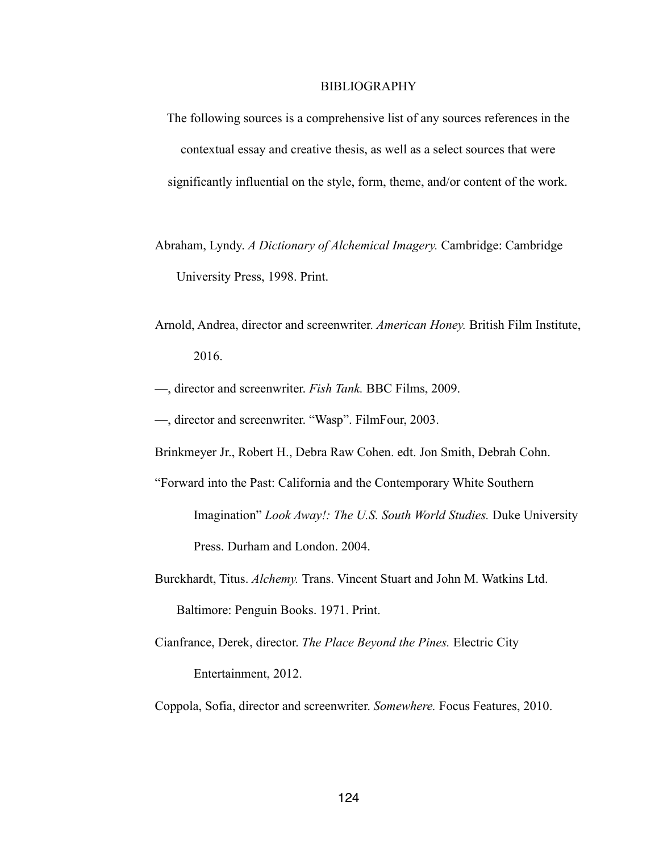# BIBLIOGRAPHY

- The following sources is a comprehensive list of any sources references in the contextual essay and creative thesis, as well as a select sources that were significantly influential on the style, form, theme, and/or content of the work.
- Abraham, Lyndy. *A Dictionary of Alchemical Imagery.* Cambridge: Cambridge University Press, 1998. Print.
- Arnold, Andrea, director and screenwriter. *American Honey.* British Film Institute, 2016.
- —, director and screenwriter. *Fish Tank.* BBC Films, 2009.
- —, director and screenwriter. "Wasp". FilmFour, 2003.
- Brinkmeyer Jr., Robert H., Debra Raw Cohen. edt. Jon Smith, Debrah Cohn.
- "Forward into the Past: California and the Contemporary White Southern Imagination" *Look Away!: The U.S. South World Studies.* Duke University Press. Durham and London. 2004.
- Burckhardt, Titus. *Alchemy.* Trans. Vincent Stuart and John M. Watkins Ltd. Baltimore: Penguin Books. 1971. Print.
- Cianfrance, Derek, director. *The Place Beyond the Pines.* Electric City Entertainment, 2012.
- Coppola, Sofia, director and screenwriter. *Somewhere.* Focus Features, 2010.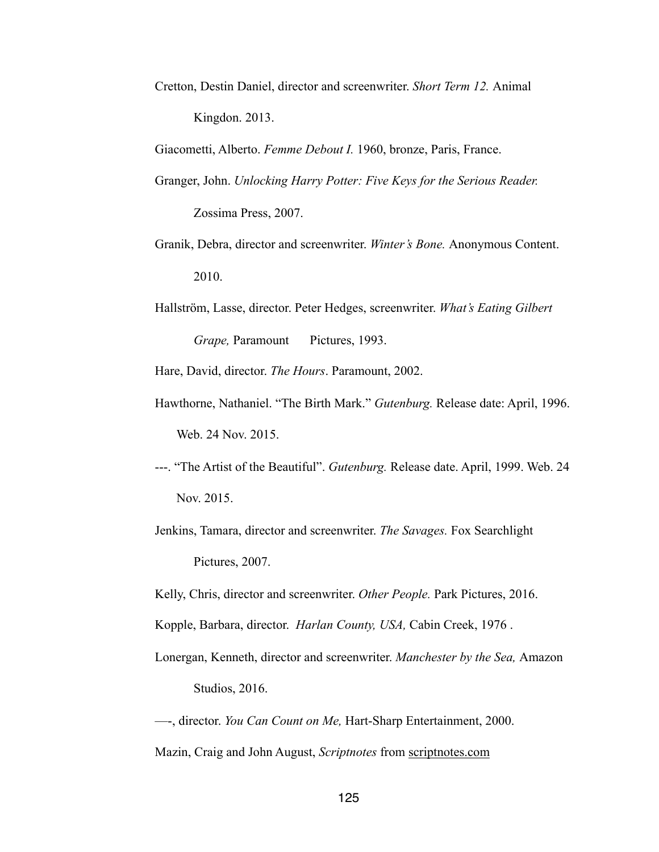Cretton, Destin Daniel, director and screenwriter. *Short Term 12.* Animal Kingdon. 2013.

Giacometti, Alberto. *Femme Debout I.* 1960, bronze, Paris, France.

Granger, John. *Unlocking Harry Potter: Five Keys for the Serious Reader.* 

Zossima Press, 2007.

- Granik, Debra, director and screenwriter. *Winter's Bone.* Anonymous Content. 2010.
- Hallström, Lasse, director. Peter Hedges, screenwriter. *What's Eating Gilbert Grape, Paramount Pictures, 1993.*

Hare, David, director. *The Hours*. Paramount, 2002.

- Hawthorne, Nathaniel. "The Birth Mark." *Gutenburg.* Release date: April, 1996. Web. 24 Nov. 2015.
- ---. "The Artist of the Beautiful". *Gutenburg.* Release date. April, 1999. Web. 24 Nov. 2015.
- Jenkins, Tamara, director and screenwriter. *The Savages.* Fox Searchlight Pictures, 2007.

Kelly, Chris, director and screenwriter. *Other People.* Park Pictures, 2016.

Kopple, Barbara, director. *Harlan County, USA,* Cabin Creek, 1976 .

Lonergan, Kenneth, director and screenwriter. *Manchester by the Sea,* Amazon Studios, 2016.

—-, director. *You Can Count on Me,* Hart-Sharp Entertainment, 2000.

Mazin, Craig and John August, *Scriptnotes* from scriptnotes.com